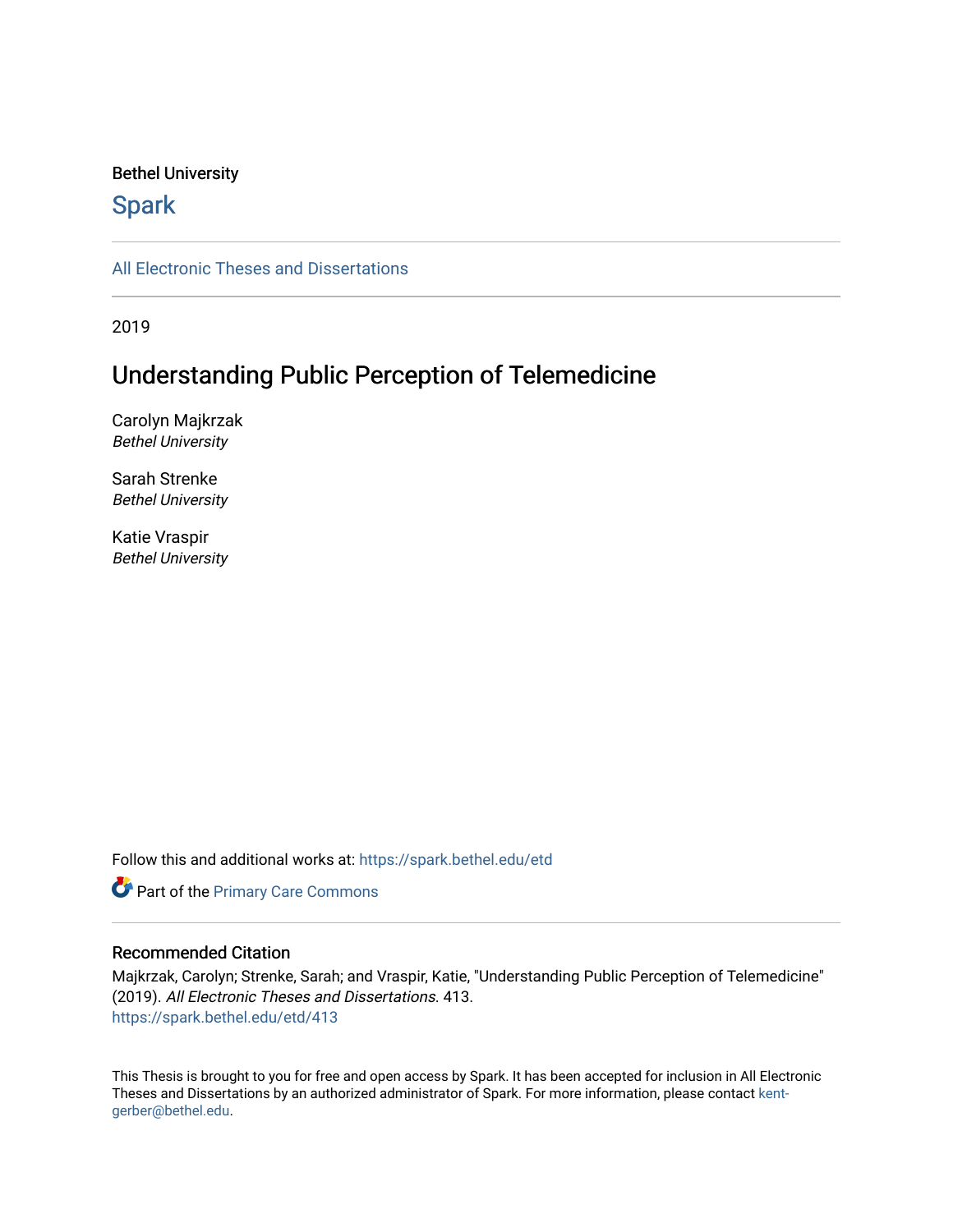#### Bethel University

## **Spark**

[All Electronic Theses and Dissertations](https://spark.bethel.edu/etd) 

2019

## Understanding Public Perception of Telemedicine

Carolyn Majkrzak Bethel University

Sarah Strenke Bethel University

Katie Vraspir Bethel University

Follow this and additional works at: [https://spark.bethel.edu/etd](https://spark.bethel.edu/etd?utm_source=spark.bethel.edu%2Fetd%2F413&utm_medium=PDF&utm_campaign=PDFCoverPages)

**Part of the [Primary Care Commons](http://network.bepress.com/hgg/discipline/1092?utm_source=spark.bethel.edu%2Fetd%2F413&utm_medium=PDF&utm_campaign=PDFCoverPages)** 

#### Recommended Citation

Majkrzak, Carolyn; Strenke, Sarah; and Vraspir, Katie, "Understanding Public Perception of Telemedicine" (2019). All Electronic Theses and Dissertations. 413. [https://spark.bethel.edu/etd/413](https://spark.bethel.edu/etd/413?utm_source=spark.bethel.edu%2Fetd%2F413&utm_medium=PDF&utm_campaign=PDFCoverPages)

This Thesis is brought to you for free and open access by Spark. It has been accepted for inclusion in All Electronic Theses and Dissertations by an authorized administrator of Spark. For more information, please contact [kent](mailto:kent-gerber@bethel.edu)[gerber@bethel.edu.](mailto:kent-gerber@bethel.edu)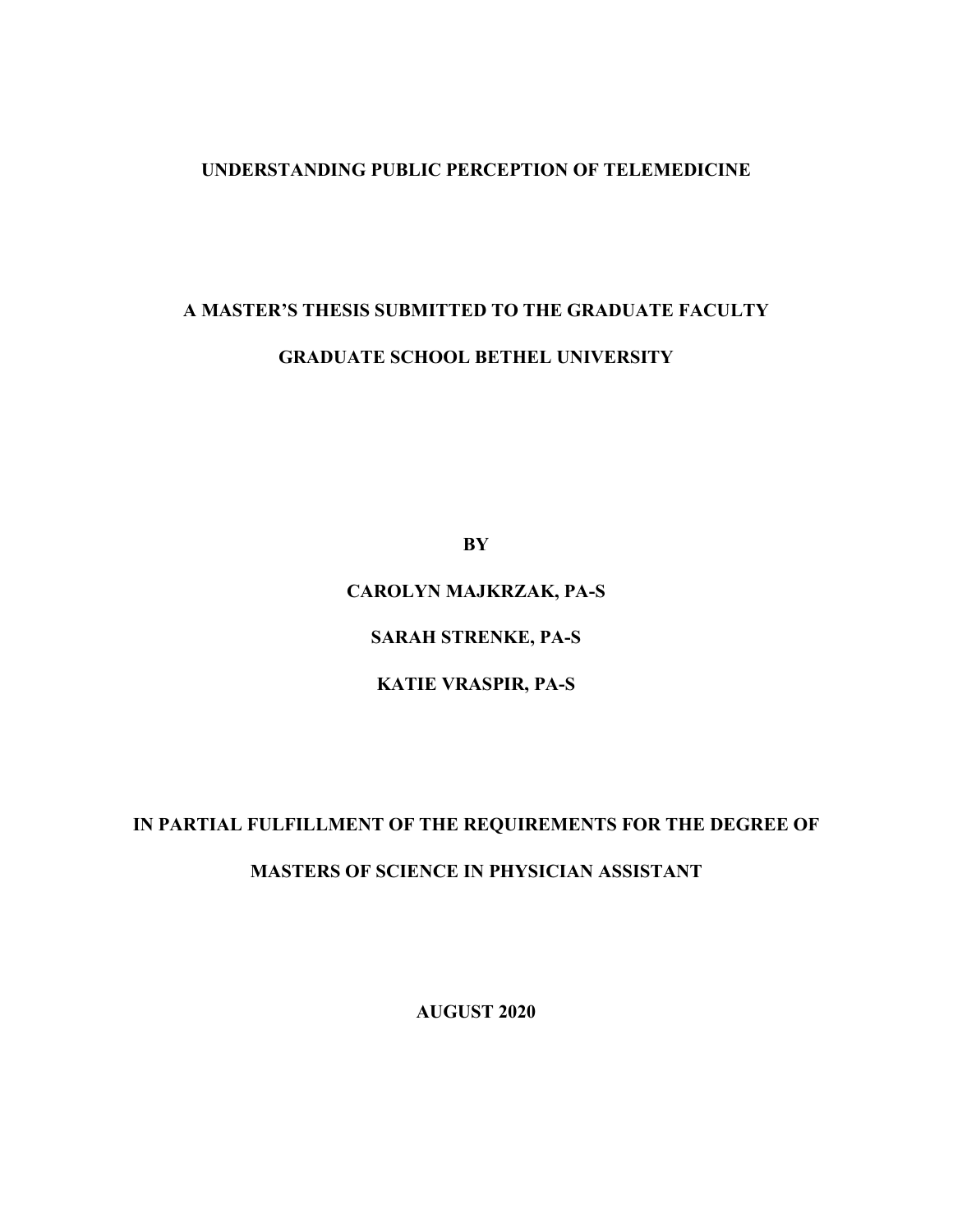#### **UNDERSTANDING PUBLIC PERCEPTION OF TELEMEDICINE**

# **A MASTER'S THESIS SUBMITTED TO THE GRADUATE FACULTY GRADUATE SCHOOL BETHEL UNIVERSITY**

**BY**

## **CAROLYN MAJKRZAK, PA-S**

**SARAH STRENKE, PA-S** 

### **KATIE VRASPIR, PA-S**

## **IN PARTIAL FULFILLMENT OF THE REQUIREMENTS FOR THE DEGREE OF**

## **MASTERS OF SCIENCE IN PHYSICIAN ASSISTANT**

**AUGUST 2020**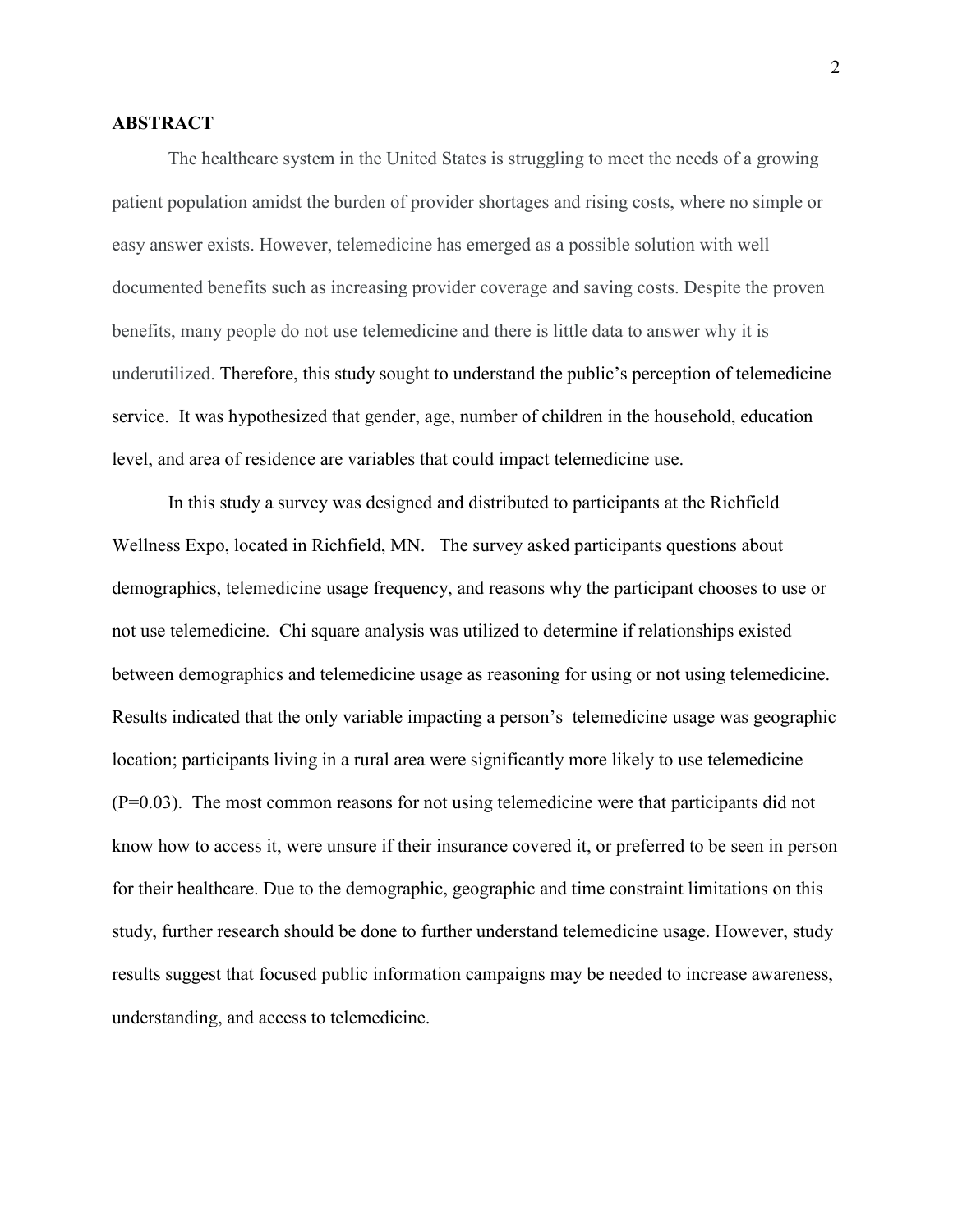#### **ABSTRACT**

The healthcare system in the United States is struggling to meet the needs of a growing patient population amidst the burden of provider shortages and rising costs, where no simple or easy answer exists. However, telemedicine has emerged as a possible solution with well documented benefits such as increasing provider coverage and saving costs. Despite the proven benefits, many people do not use telemedicine and there is little data to answer why it is underutilized. Therefore, this study sought to understand the public's perception of telemedicine service. It was hypothesized that gender, age, number of children in the household, education level, and area of residence are variables that could impact telemedicine use.

In this study a survey was designed and distributed to participants at the Richfield Wellness Expo, located in Richfield, MN. The survey asked participants questions about demographics, telemedicine usage frequency, and reasons why the participant chooses to use or not use telemedicine. Chi square analysis was utilized to determine if relationships existed between demographics and telemedicine usage as reasoning for using or not using telemedicine. Results indicated that the only variable impacting a person's telemedicine usage was geographic location; participants living in a rural area were significantly more likely to use telemedicine (P=0.03). The most common reasons for not using telemedicine were that participants did not know how to access it, were unsure if their insurance covered it, or preferred to be seen in person for their healthcare. Due to the demographic, geographic and time constraint limitations on this study, further research should be done to further understand telemedicine usage. However, study results suggest that focused public information campaigns may be needed to increase awareness, understanding, and access to telemedicine.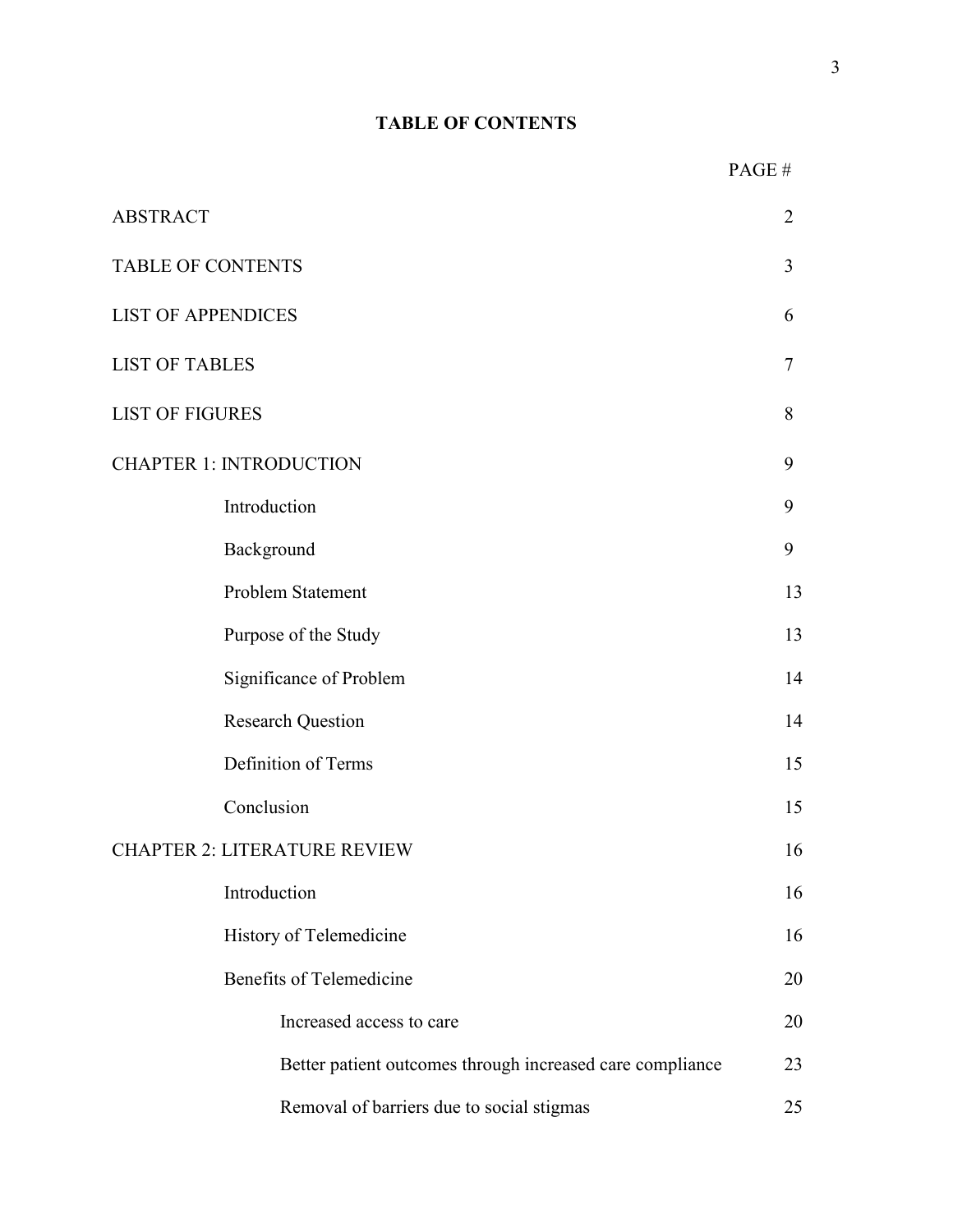## **TABLE OF CONTENTS**

|                                                           | PAGE# |
|-----------------------------------------------------------|-------|
| <b>ABSTRACT</b>                                           | 2     |
| <b>TABLE OF CONTENTS</b>                                  | 3     |
| <b>LIST OF APPENDICES</b>                                 | 6     |
| <b>LIST OF TABLES</b>                                     | 7     |
| <b>LIST OF FIGURES</b>                                    | 8     |
| <b>CHAPTER 1: INTRODUCTION</b>                            | 9     |
| Introduction                                              | 9     |
| Background                                                | 9     |
| Problem Statement                                         | 13    |
| Purpose of the Study                                      | 13    |
| Significance of Problem                                   | 14    |
| <b>Research Question</b>                                  | 14    |
| Definition of Terms                                       | 15    |
| Conclusion                                                | 15    |
| <b>CHAPTER 2: LITERATURE REVIEW</b>                       | 16    |
| Introduction                                              | 16    |
| History of Telemedicine                                   | 16    |
| <b>Benefits of Telemedicine</b>                           | 20    |
| Increased access to care                                  | 20    |
| Better patient outcomes through increased care compliance | 23    |
| Removal of barriers due to social stigmas                 | 25    |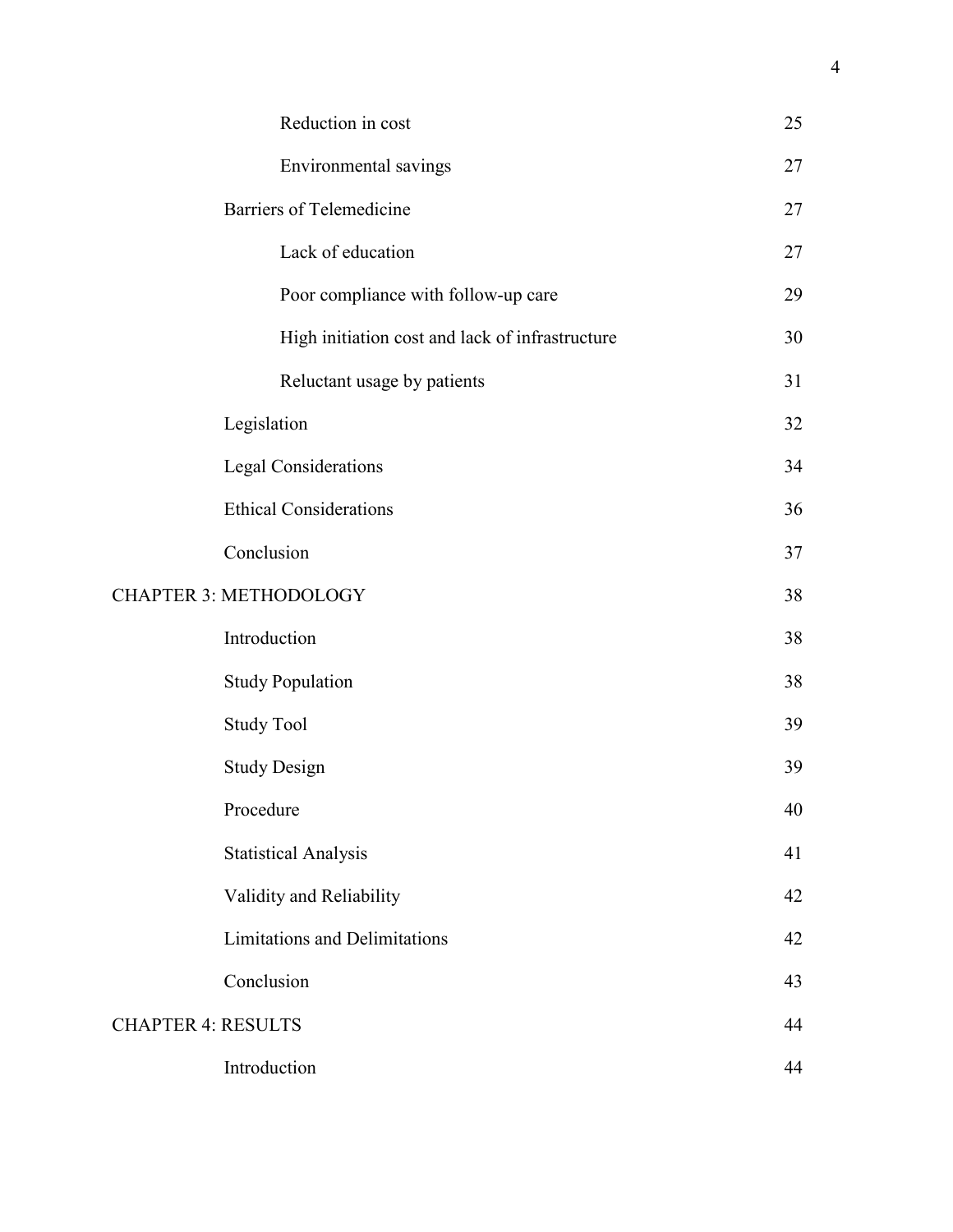|                           | Reduction in cost                               | 25 |
|---------------------------|-------------------------------------------------|----|
|                           | Environmental savings                           | 27 |
|                           | <b>Barriers of Telemedicine</b>                 | 27 |
|                           | Lack of education                               | 27 |
|                           | Poor compliance with follow-up care             | 29 |
|                           | High initiation cost and lack of infrastructure | 30 |
|                           | Reluctant usage by patients                     | 31 |
|                           | Legislation                                     | 32 |
|                           | Legal Considerations                            | 34 |
|                           | <b>Ethical Considerations</b>                   | 36 |
|                           | Conclusion                                      | 37 |
|                           | <b>CHAPTER 3: METHODOLOGY</b>                   | 38 |
|                           | Introduction                                    | 38 |
|                           | <b>Study Population</b>                         | 38 |
|                           | <b>Study Tool</b>                               | 39 |
|                           | <b>Study Design</b>                             | 39 |
|                           | Procedure                                       | 40 |
|                           | <b>Statistical Analysis</b>                     | 41 |
|                           | Validity and Reliability                        | 42 |
|                           | <b>Limitations and Delimitations</b>            | 42 |
|                           | Conclusion                                      | 43 |
| <b>CHAPTER 4: RESULTS</b> |                                                 | 44 |
|                           | Introduction                                    | 44 |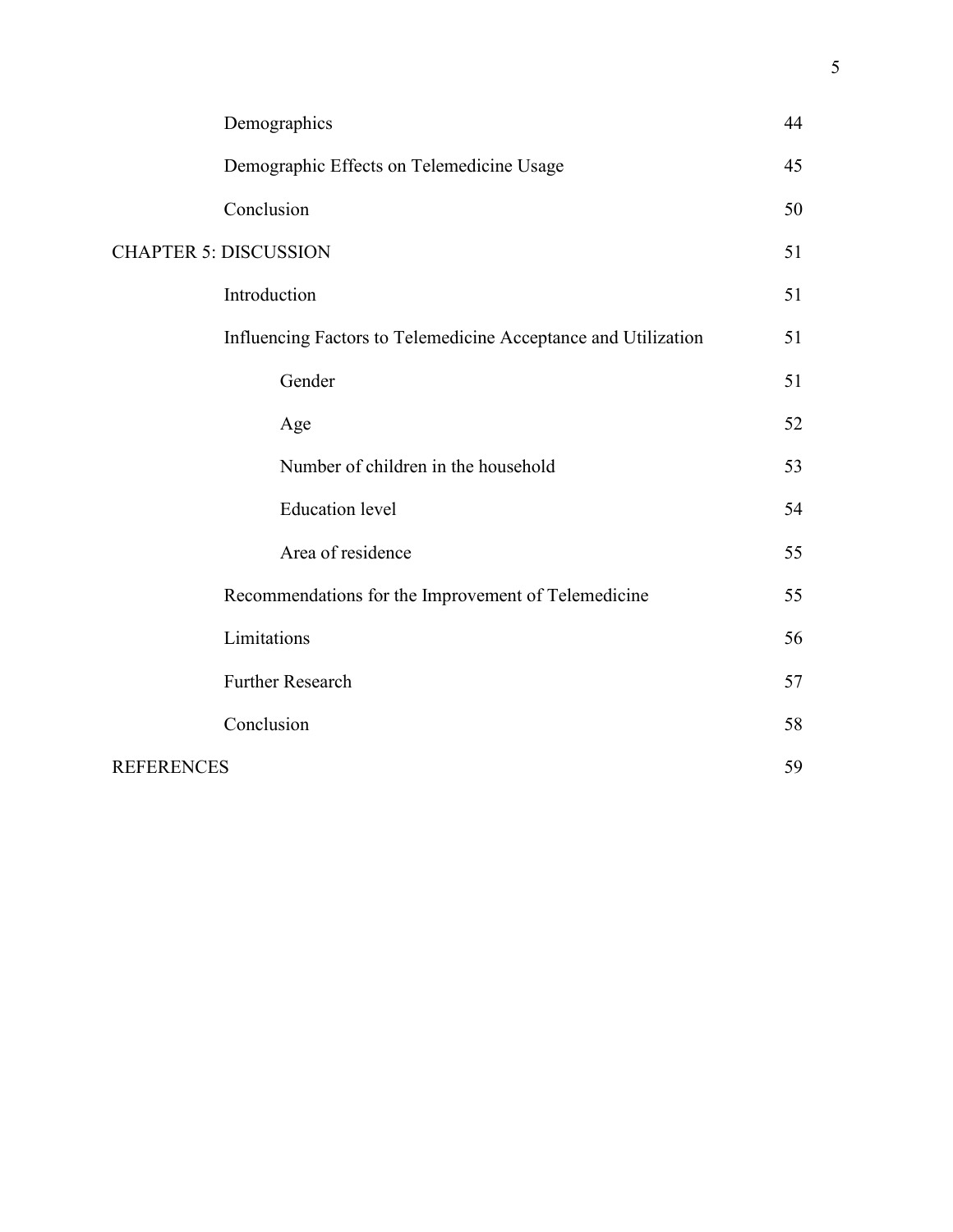|                   | Demographics                                                   | 44 |
|-------------------|----------------------------------------------------------------|----|
|                   | Demographic Effects on Telemedicine Usage                      | 45 |
|                   | Conclusion                                                     | 50 |
|                   | <b>CHAPTER 5: DISCUSSION</b>                                   | 51 |
|                   | Introduction                                                   | 51 |
|                   | Influencing Factors to Telemedicine Acceptance and Utilization | 51 |
|                   | Gender                                                         | 51 |
|                   | Age                                                            | 52 |
|                   | Number of children in the household                            | 53 |
|                   | <b>Education</b> level                                         | 54 |
|                   | Area of residence                                              | 55 |
|                   | Recommendations for the Improvement of Telemedicine            | 55 |
|                   | Limitations                                                    | 56 |
|                   | Further Research                                               | 57 |
|                   | Conclusion                                                     | 58 |
| <b>REFERENCES</b> |                                                                | 59 |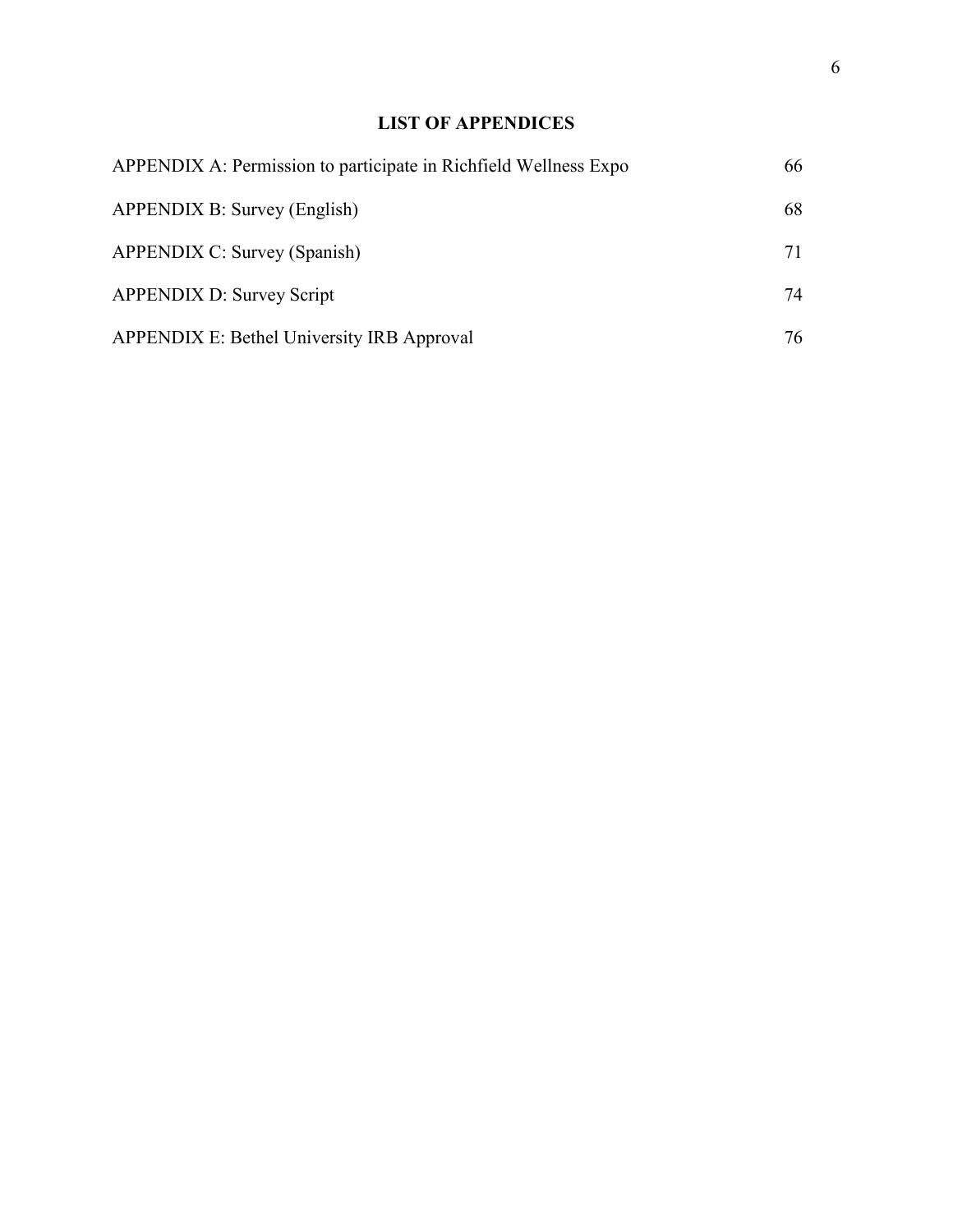## **LIST OF APPENDICES**

| APPENDIX A: Permission to participate in Richfield Wellness Expo | 66 |
|------------------------------------------------------------------|----|
| APPENDIX B: Survey (English)                                     | 68 |
| <b>APPENDIX C: Survey (Spanish)</b>                              | 71 |
| <b>APPENDIX D: Survey Script</b>                                 | 74 |
| APPENDIX E: Bethel University IRB Approval                       | 76 |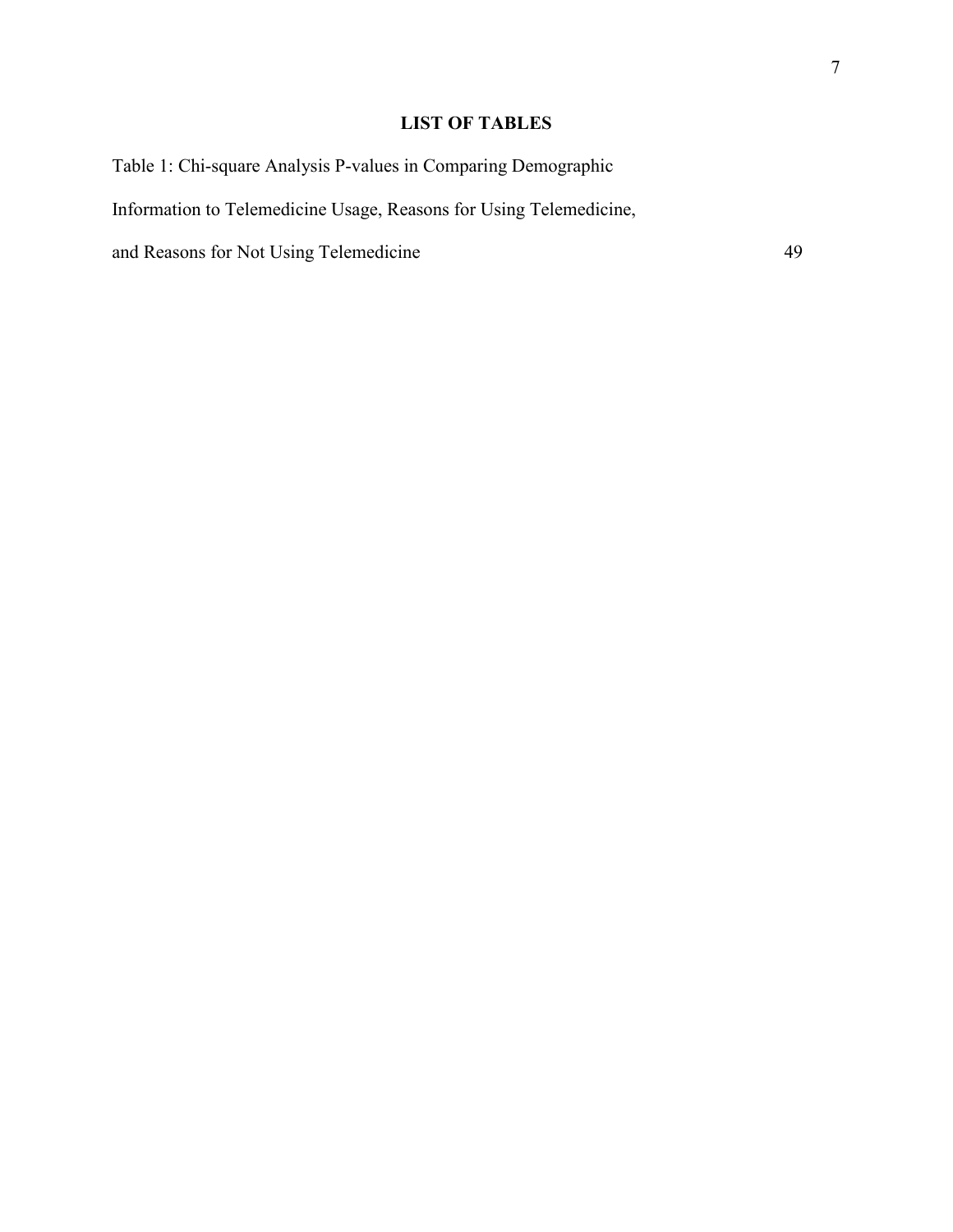## 7

## **LIST OF TABLES**

Table 1: Chi-square Analysis P-values in Comparing Demographic Information to Telemedicine Usage, Reasons for Using Telemedicine, and Reasons for Not Using Telemedicine 49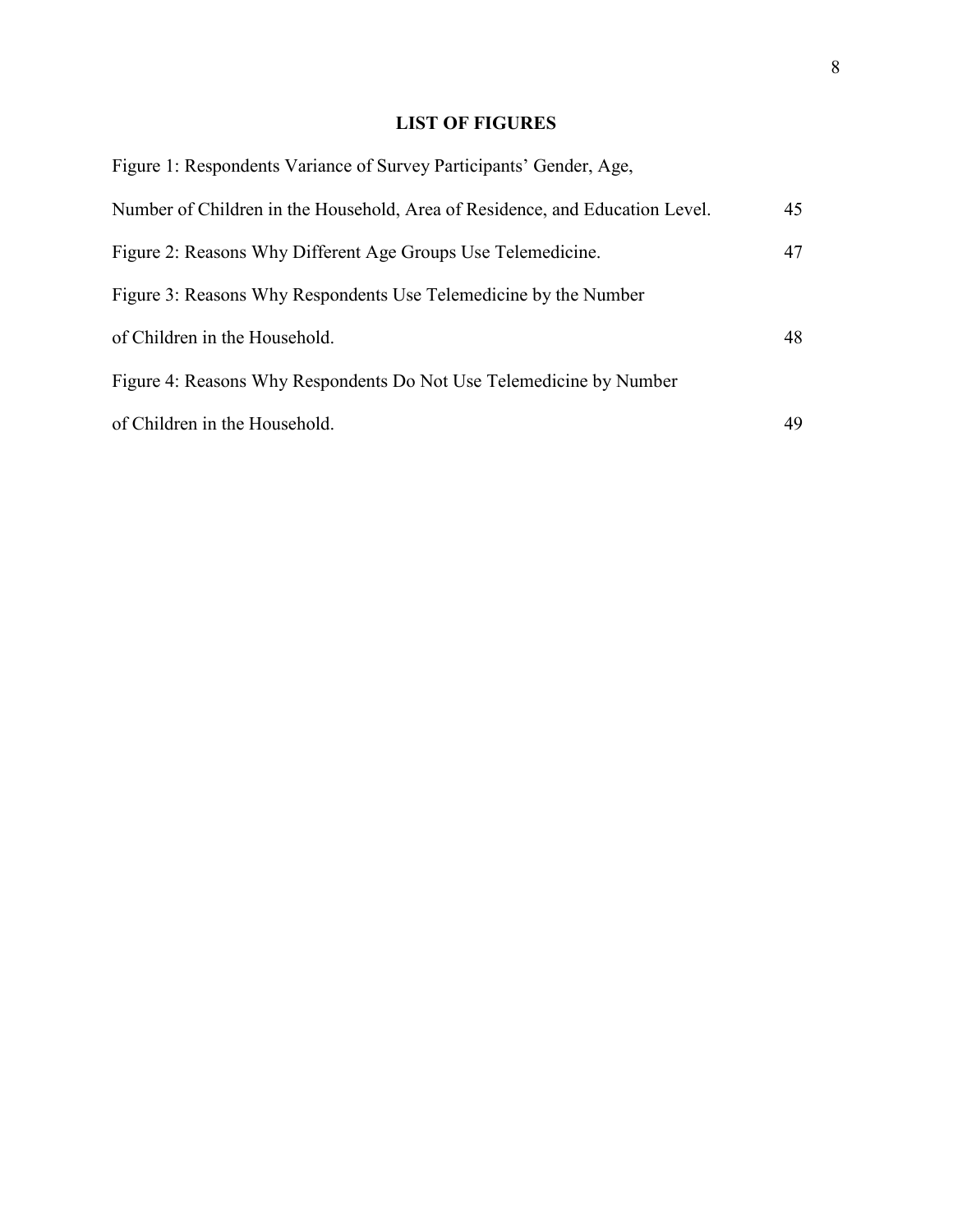## **LIST OF FIGURES**

| Figure 1: Respondents Variance of Survey Participants' Gender, Age,          |    |
|------------------------------------------------------------------------------|----|
| Number of Children in the Household, Area of Residence, and Education Level. | 45 |
| Figure 2: Reasons Why Different Age Groups Use Telemedicine.                 | 47 |
| Figure 3: Reasons Why Respondents Use Telemedicine by the Number             |    |
| of Children in the Household.                                                | 48 |
| Figure 4: Reasons Why Respondents Do Not Use Telemedicine by Number          |    |
| of Children in the Household.                                                | 49 |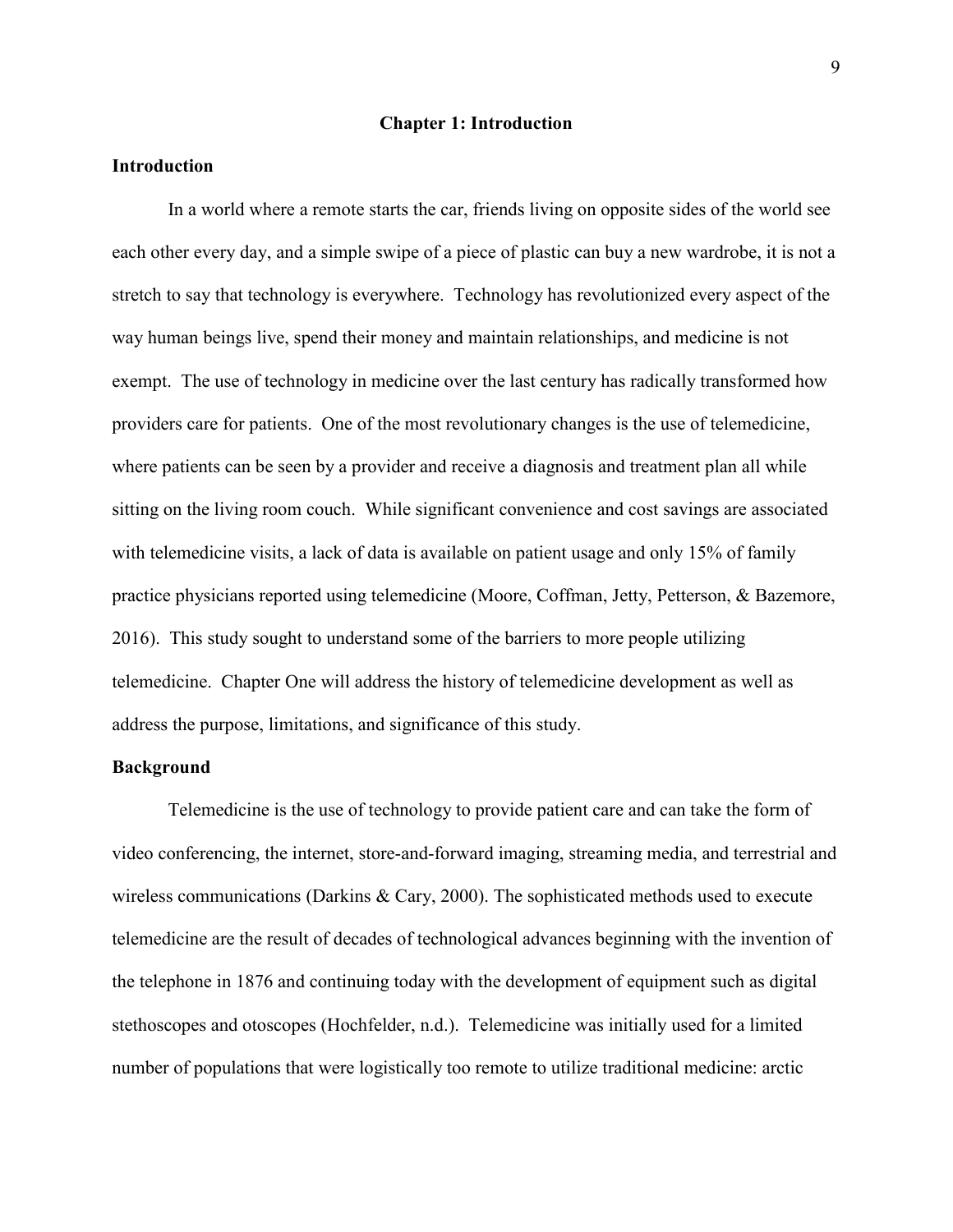#### **Chapter 1: Introduction**

#### **Introduction**

In a world where a remote starts the car, friends living on opposite sides of the world see each other every day, and a simple swipe of a piece of plastic can buy a new wardrobe, it is not a stretch to say that technology is everywhere. Technology has revolutionized every aspect of the way human beings live, spend their money and maintain relationships, and medicine is not exempt. The use of technology in medicine over the last century has radically transformed how providers care for patients. One of the most revolutionary changes is the use of telemedicine, where patients can be seen by a provider and receive a diagnosis and treatment plan all while sitting on the living room couch. While significant convenience and cost savings are associated with telemedicine visits, a lack of data is available on patient usage and only 15% of family practice physicians reported using telemedicine (Moore, Coffman, Jetty, Petterson, & Bazemore, 2016). This study sought to understand some of the barriers to more people utilizing telemedicine. Chapter One will address the history of telemedicine development as well as address the purpose, limitations, and significance of this study.

#### **Background**

Telemedicine is the use of technology to provide patient care and can take the form of video conferencing, the internet, store-and-forward imaging, streaming media, and terrestrial and wireless communications (Darkins & Cary, 2000). The sophisticated methods used to execute telemedicine are the result of decades of technological advances beginning with the invention of the telephone in 1876 and continuing today with the development of equipment such as digital stethoscopes and otoscopes (Hochfelder, n.d.). Telemedicine was initially used for a limited number of populations that were logistically too remote to utilize traditional medicine: arctic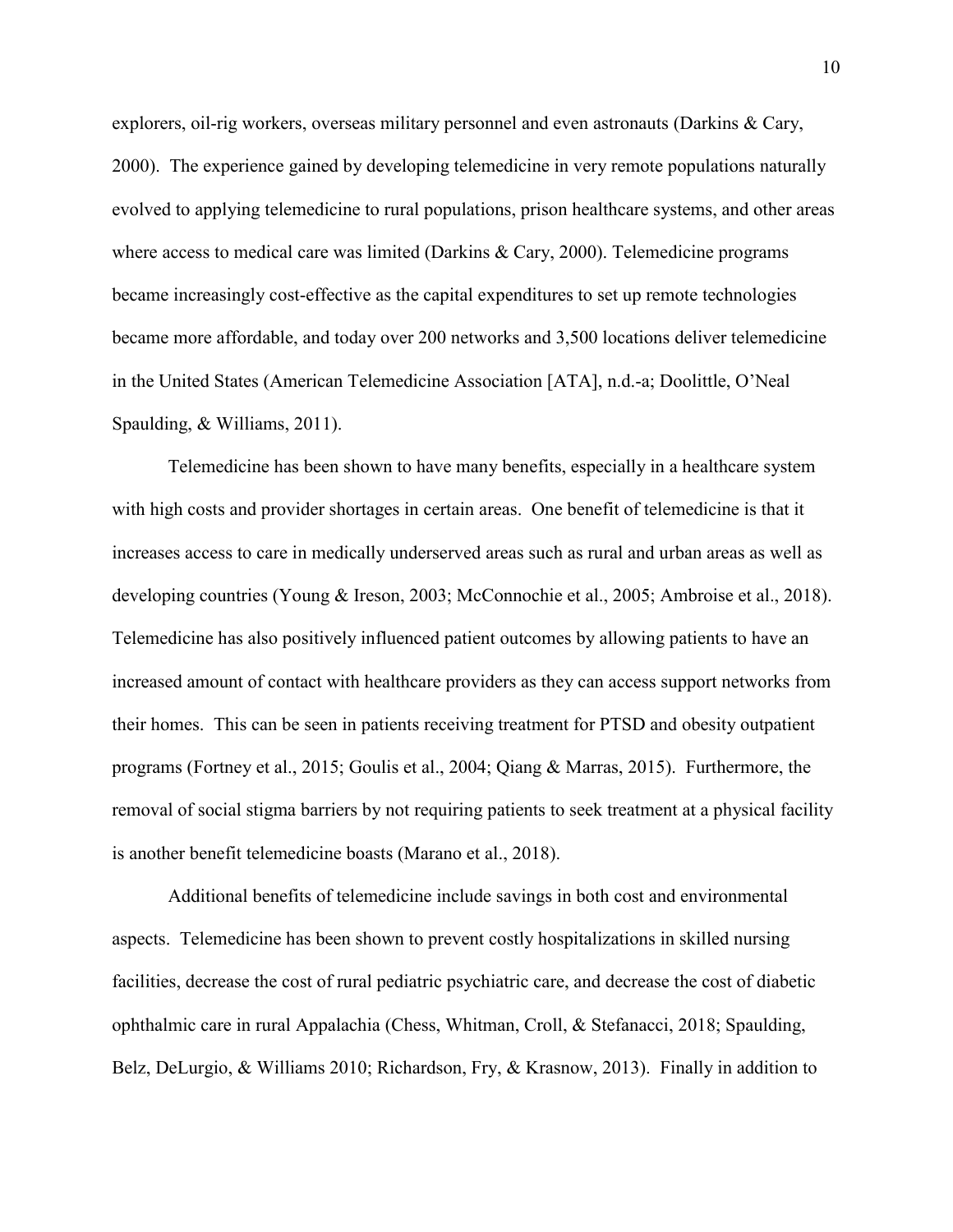explorers, oil-rig workers, overseas military personnel and even astronauts (Darkins & Cary, 2000). The experience gained by developing telemedicine in very remote populations naturally evolved to applying telemedicine to rural populations, prison healthcare systems, and other areas where access to medical care was limited (Darkins & Cary, 2000). Telemedicine programs became increasingly cost-effective as the capital expenditures to set up remote technologies became more affordable, and today over 200 networks and 3,500 locations deliver telemedicine in the United States (American Telemedicine Association [ATA], n.d.-a; Doolittle, O'Neal Spaulding, & Williams, 2011).

Telemedicine has been shown to have many benefits, especially in a healthcare system with high costs and provider shortages in certain areas. One benefit of telemedicine is that it increases access to care in medically underserved areas such as rural and urban areas as well as developing countries (Young & Ireson, 2003; McConnochie et al., 2005; Ambroise et al., 2018). Telemedicine has also positively influenced patient outcomes by allowing patients to have an increased amount of contact with healthcare providers as they can access support networks from their homes. This can be seen in patients receiving treatment for PTSD and obesity outpatient programs (Fortney et al., 2015; Goulis et al., 2004; Qiang & Marras, 2015). Furthermore, the removal of social stigma barriers by not requiring patients to seek treatment at a physical facility is another benefit telemedicine boasts (Marano et al., 2018).

Additional benefits of telemedicine include savings in both cost and environmental aspects. Telemedicine has been shown to prevent costly hospitalizations in skilled nursing facilities, decrease the cost of rural pediatric psychiatric care, and decrease the cost of diabetic ophthalmic care in rural Appalachia (Chess, Whitman, Croll, & Stefanacci, 2018; Spaulding, Belz, DeLurgio, & Williams 2010; Richardson, Fry, & Krasnow, 2013). Finally in addition to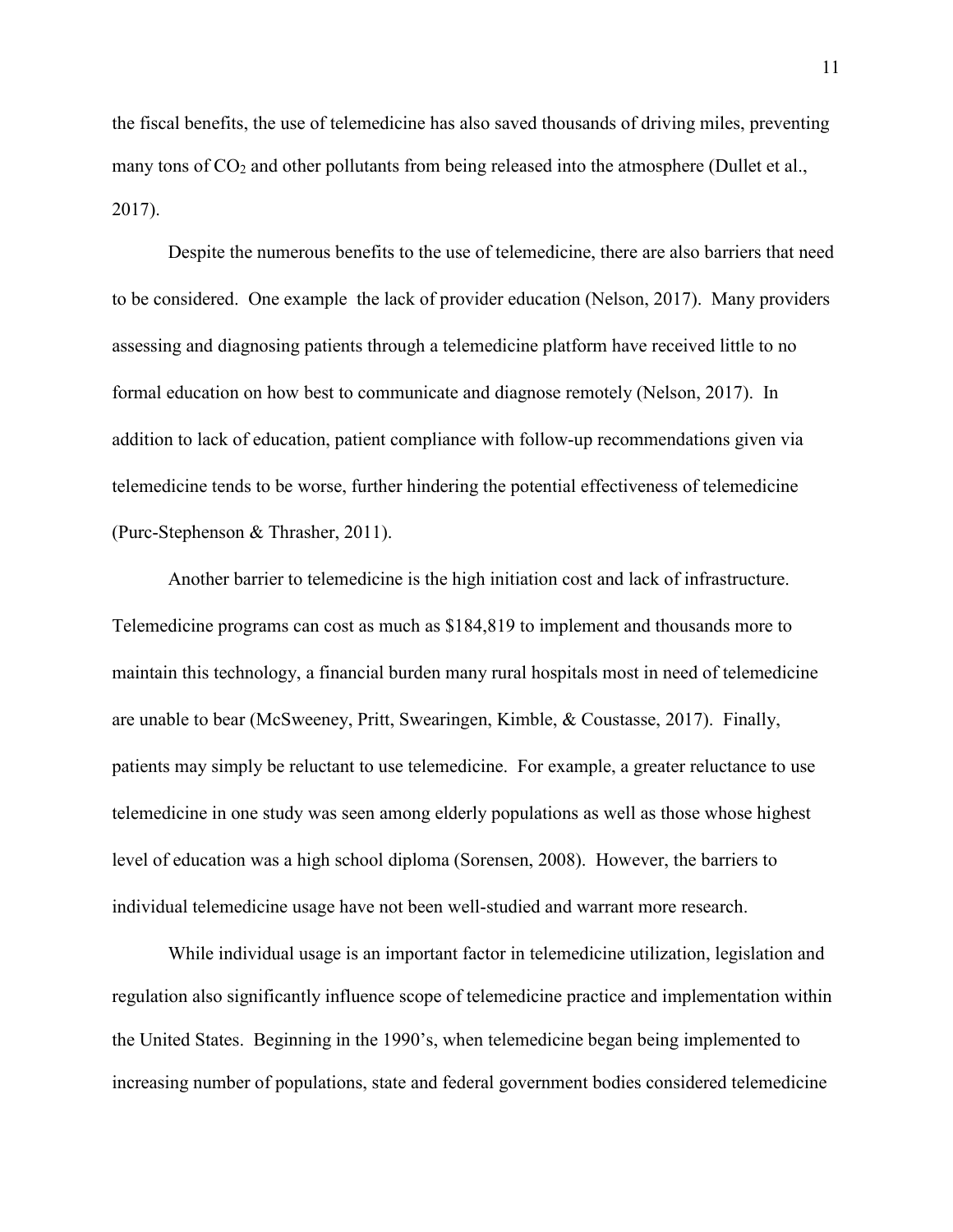the fiscal benefits, the use of telemedicine has also saved thousands of driving miles, preventing many tons of  $CO<sub>2</sub>$  and other pollutants from being released into the atmosphere (Dullet et al., 2017).

Despite the numerous benefits to the use of telemedicine, there are also barriers that need to be considered. One example the lack of provider education (Nelson, 2017). Many providers assessing and diagnosing patients through a telemedicine platform have received little to no formal education on how best to communicate and diagnose remotely (Nelson, 2017). In addition to lack of education, patient compliance with follow-up recommendations given via telemedicine tends to be worse, further hindering the potential effectiveness of telemedicine (Purc-Stephenson & Thrasher, 2011).

Another barrier to telemedicine is the high initiation cost and lack of infrastructure. Telemedicine programs can cost as much as \$184,819 to implement and thousands more to maintain this technology, a financial burden many rural hospitals most in need of telemedicine are unable to bear (McSweeney, Pritt, Swearingen, Kimble, & Coustasse, 2017). Finally, patients may simply be reluctant to use telemedicine. For example, a greater reluctance to use telemedicine in one study was seen among elderly populations as well as those whose highest level of education was a high school diploma (Sorensen, 2008). However, the barriers to individual telemedicine usage have not been well-studied and warrant more research.

While individual usage is an important factor in telemedicine utilization, legislation and regulation also significantly influence scope of telemedicine practice and implementation within the United States. Beginning in the 1990's, when telemedicine began being implemented to increasing number of populations, state and federal government bodies considered telemedicine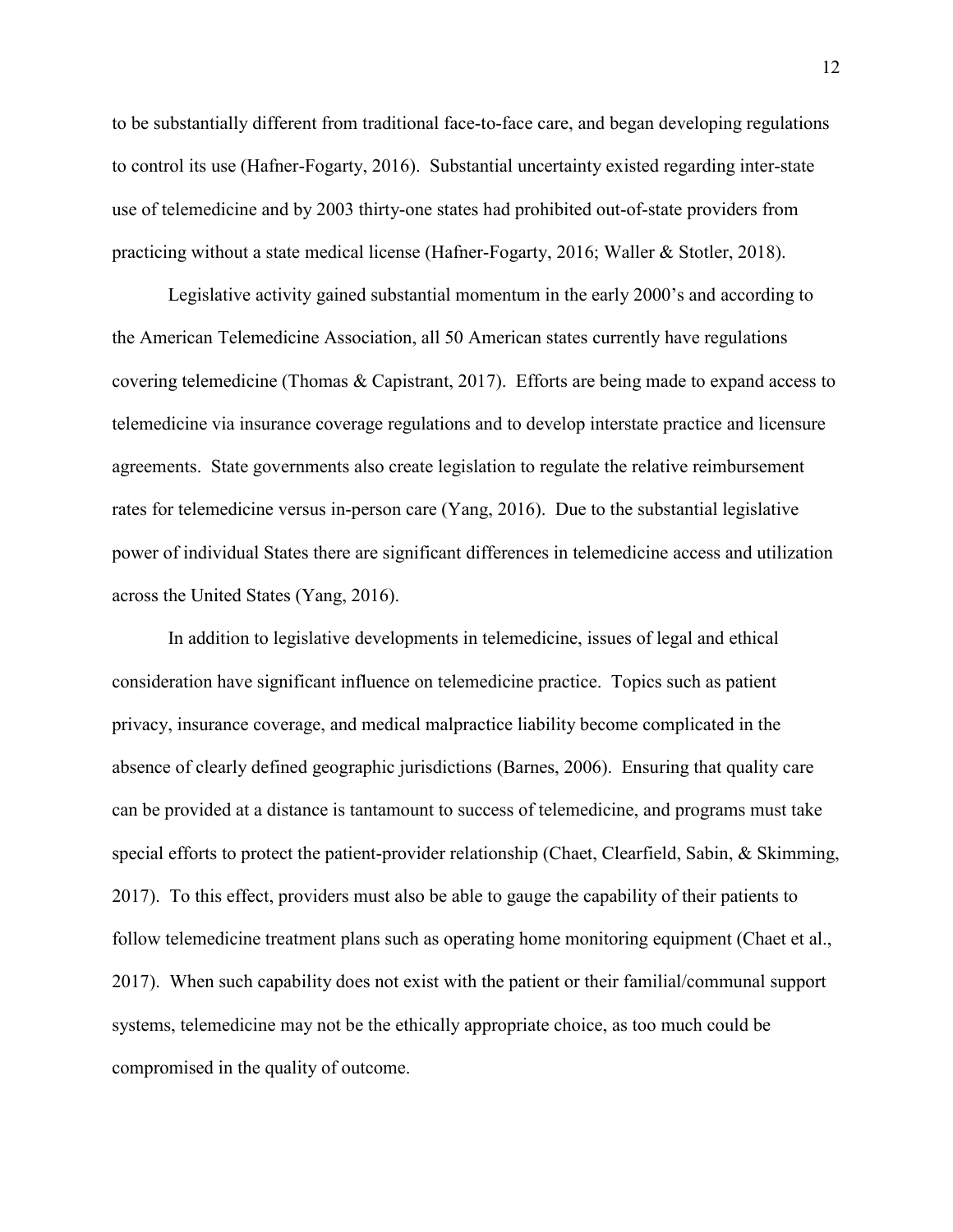to be substantially different from traditional face-to-face care, and began developing regulations to control its use (Hafner-Fogarty, 2016). Substantial uncertainty existed regarding inter-state use of telemedicine and by 2003 thirty-one states had prohibited out-of-state providers from practicing without a state medical license (Hafner-Fogarty, 2016; Waller & Stotler, 2018).

Legislative activity gained substantial momentum in the early 2000's and according to the American Telemedicine Association, all 50 American states currently have regulations covering telemedicine (Thomas & Capistrant, 2017). Efforts are being made to expand access to telemedicine via insurance coverage regulations and to develop interstate practice and licensure agreements. State governments also create legislation to regulate the relative reimbursement rates for telemedicine versus in-person care (Yang, 2016). Due to the substantial legislative power of individual States there are significant differences in telemedicine access and utilization across the United States (Yang, 2016).

In addition to legislative developments in telemedicine, issues of legal and ethical consideration have significant influence on telemedicine practice. Topics such as patient privacy, insurance coverage, and medical malpractice liability become complicated in the absence of clearly defined geographic jurisdictions (Barnes, 2006). Ensuring that quality care can be provided at a distance is tantamount to success of telemedicine, and programs must take special efforts to protect the patient-provider relationship (Chaet, Clearfield, Sabin, & Skimming, 2017). To this effect, providers must also be able to gauge the capability of their patients to follow telemedicine treatment plans such as operating home monitoring equipment (Chaet et al., 2017). When such capability does not exist with the patient or their familial/communal support systems, telemedicine may not be the ethically appropriate choice, as too much could be compromised in the quality of outcome.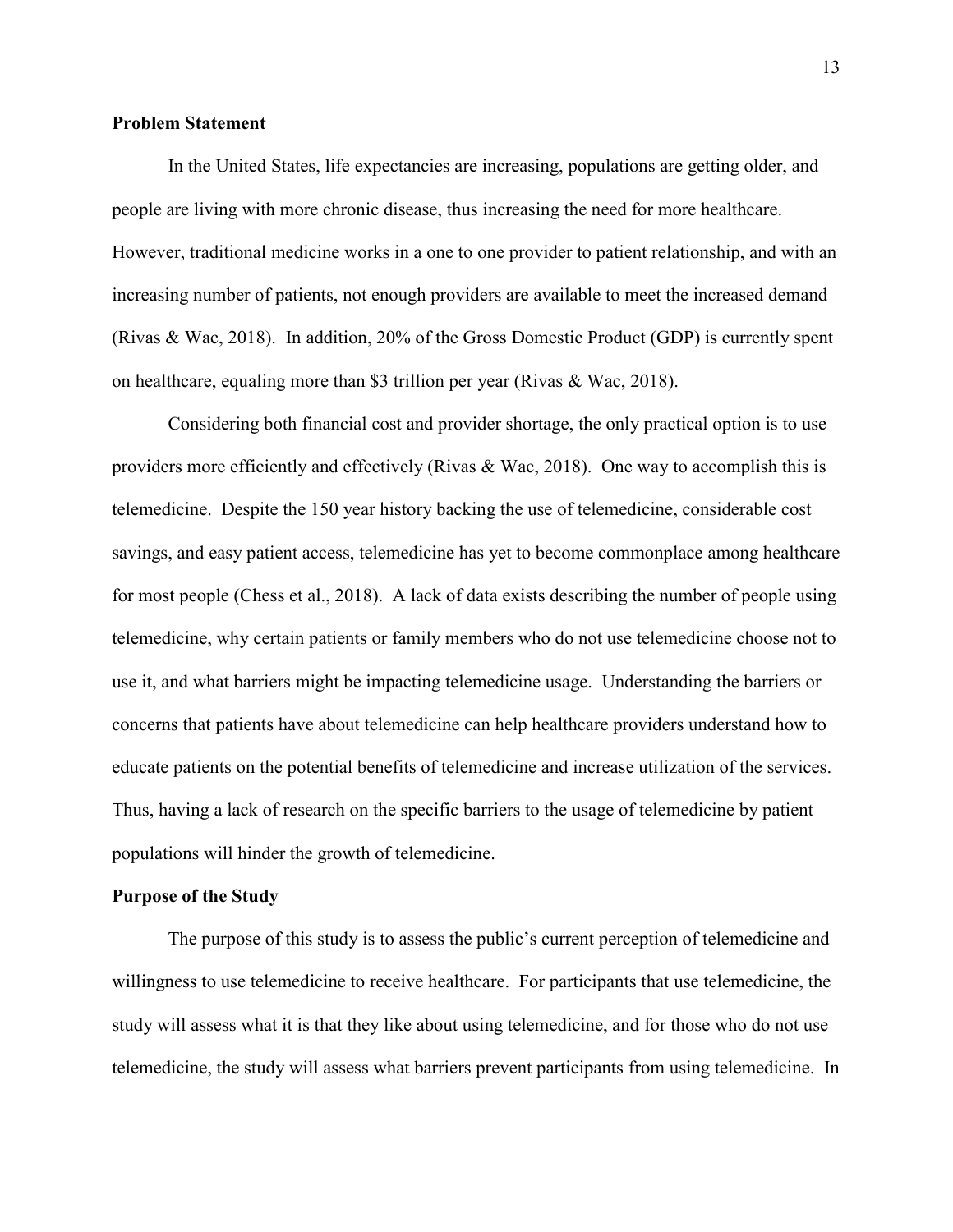#### **Problem Statement**

In the United States, life expectancies are increasing, populations are getting older, and people are living with more chronic disease, thus increasing the need for more healthcare. However, traditional medicine works in a one to one provider to patient relationship, and with an increasing number of patients, not enough providers are available to meet the increased demand (Rivas & Wac, 2018). In addition, 20% of the Gross Domestic Product (GDP) is currently spent on healthcare, equaling more than \$3 trillion per year (Rivas & Wac, 2018).

Considering both financial cost and provider shortage, the only practical option is to use providers more efficiently and effectively (Rivas & Wac, 2018). One way to accomplish this is telemedicine. Despite the 150 year history backing the use of telemedicine, considerable cost savings, and easy patient access, telemedicine has yet to become commonplace among healthcare for most people (Chess et al., 2018). A lack of data exists describing the number of people using telemedicine, why certain patients or family members who do not use telemedicine choose not to use it, and what barriers might be impacting telemedicine usage. Understanding the barriers or concerns that patients have about telemedicine can help healthcare providers understand how to educate patients on the potential benefits of telemedicine and increase utilization of the services. Thus, having a lack of research on the specific barriers to the usage of telemedicine by patient populations will hinder the growth of telemedicine.

#### **Purpose of the Study**

The purpose of this study is to assess the public's current perception of telemedicine and willingness to use telemedicine to receive healthcare. For participants that use telemedicine, the study will assess what it is that they like about using telemedicine, and for those who do not use telemedicine, the study will assess what barriers prevent participants from using telemedicine. In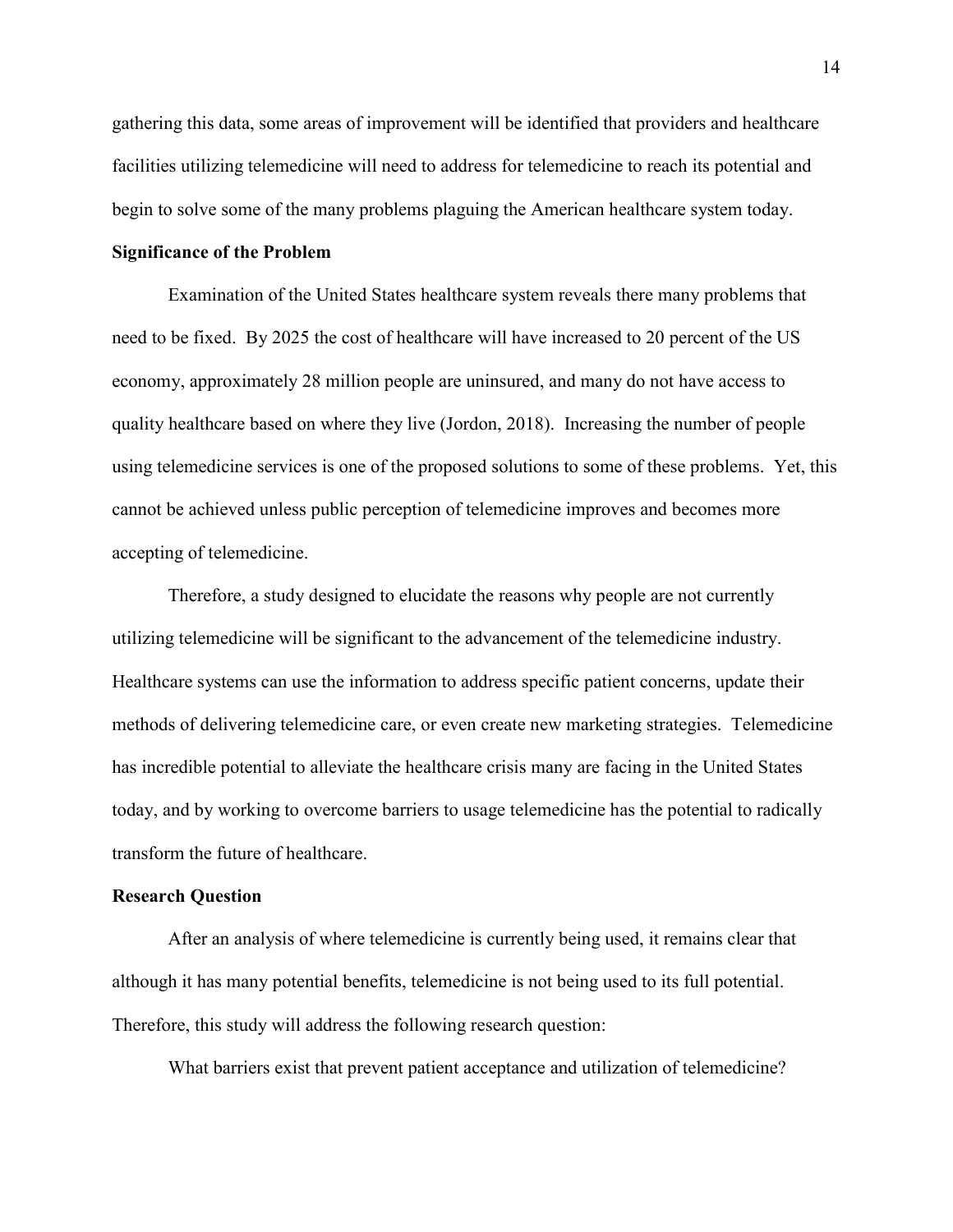gathering this data, some areas of improvement will be identified that providers and healthcare facilities utilizing telemedicine will need to address for telemedicine to reach its potential and begin to solve some of the many problems plaguing the American healthcare system today.

#### **Significance of the Problem**

Examination of the United States healthcare system reveals there many problems that need to be fixed. By 2025 the cost of healthcare will have increased to 20 percent of the US economy, approximately 28 million people are uninsured, and many do not have access to quality healthcare based on where they live (Jordon, 2018). Increasing the number of people using telemedicine services is one of the proposed solutions to some of these problems. Yet, this cannot be achieved unless public perception of telemedicine improves and becomes more accepting of telemedicine.

Therefore, a study designed to elucidate the reasons why people are not currently utilizing telemedicine will be significant to the advancement of the telemedicine industry. Healthcare systems can use the information to address specific patient concerns, update their methods of delivering telemedicine care, or even create new marketing strategies. Telemedicine has incredible potential to alleviate the healthcare crisis many are facing in the United States today, and by working to overcome barriers to usage telemedicine has the potential to radically transform the future of healthcare.

#### **Research Question**

After an analysis of where telemedicine is currently being used, it remains clear that although it has many potential benefits, telemedicine is not being used to its full potential. Therefore, this study will address the following research question:

What barriers exist that prevent patient acceptance and utilization of telemedicine?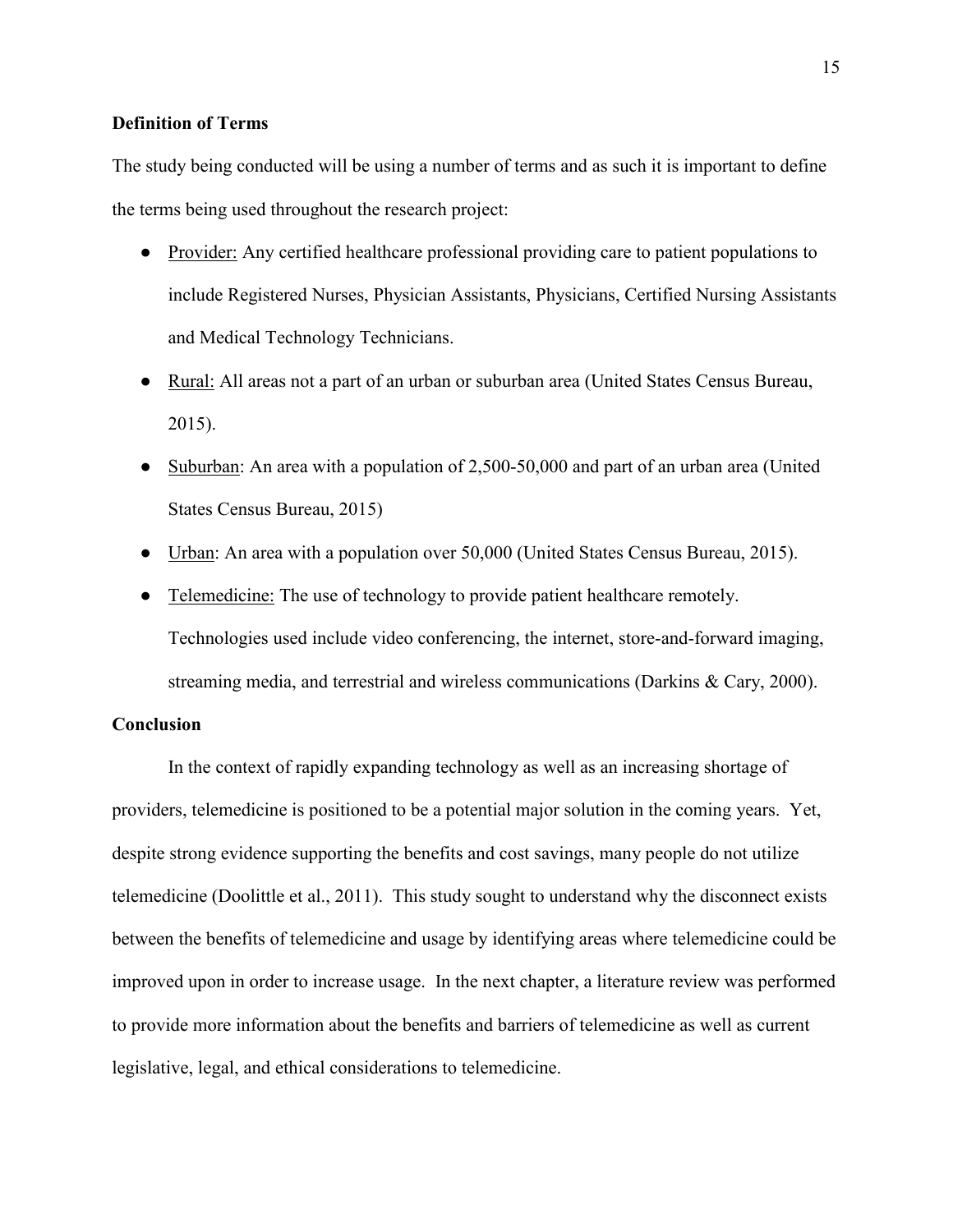#### **Definition of Terms**

The study being conducted will be using a number of terms and as such it is important to define the terms being used throughout the research project:

- Provider: Any certified healthcare professional providing care to patient populations to include Registered Nurses, Physician Assistants, Physicians, Certified Nursing Assistants and Medical Technology Technicians.
- Rural: All areas not a part of an urban or suburban area (United States Census Bureau, 2015).
- Suburban: An area with a population of 2,500-50,000 and part of an urban area (United States Census Bureau, 2015)
- Urban: An area with a population over 50,000 (United States Census Bureau, 2015).
- Telemedicine: The use of technology to provide patient healthcare remotely. Technologies used include video conferencing, the internet, store-and-forward imaging, streaming media, and terrestrial and wireless communications (Darkins & Cary, 2000).

#### **Conclusion**

In the context of rapidly expanding technology as well as an increasing shortage of providers, telemedicine is positioned to be a potential major solution in the coming years. Yet, despite strong evidence supporting the benefits and cost savings, many people do not utilize telemedicine (Doolittle et al., 2011). This study sought to understand why the disconnect exists between the benefits of telemedicine and usage by identifying areas where telemedicine could be improved upon in order to increase usage. In the next chapter, a literature review was performed to provide more information about the benefits and barriers of telemedicine as well as current legislative, legal, and ethical considerations to telemedicine.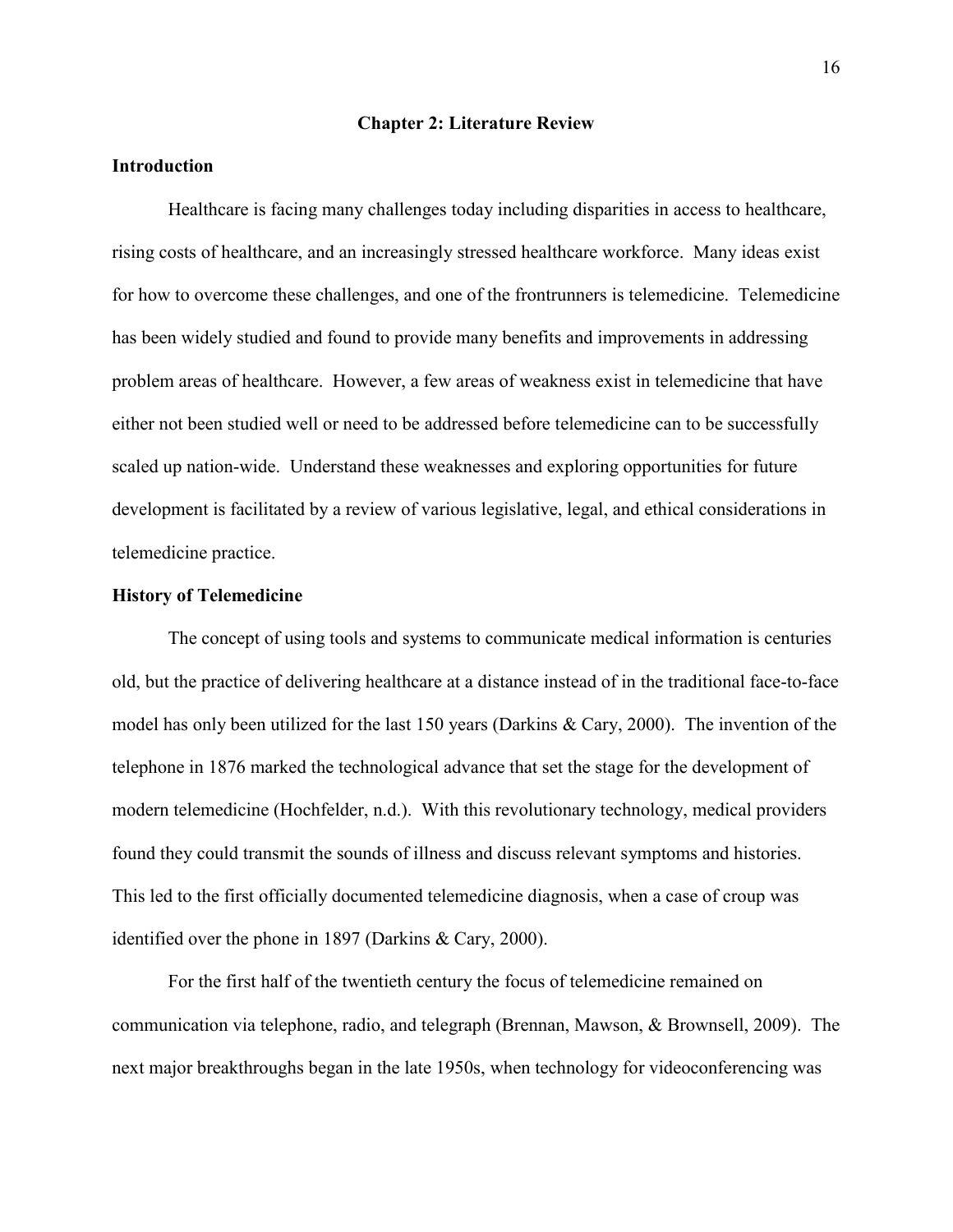#### **Chapter 2: Literature Review**

#### **Introduction**

Healthcare is facing many challenges today including disparities in access to healthcare, rising costs of healthcare, and an increasingly stressed healthcare workforce. Many ideas exist for how to overcome these challenges, and one of the frontrunners is telemedicine. Telemedicine has been widely studied and found to provide many benefits and improvements in addressing problem areas of healthcare. However, a few areas of weakness exist in telemedicine that have either not been studied well or need to be addressed before telemedicine can to be successfully scaled up nation-wide. Understand these weaknesses and exploring opportunities for future development is facilitated by a review of various legislative, legal, and ethical considerations in telemedicine practice.

#### **History of Telemedicine**

The concept of using tools and systems to communicate medical information is centuries old, but the practice of delivering healthcare at a distance instead of in the traditional face-to-face model has only been utilized for the last 150 years (Darkins & Cary, 2000). The invention of the telephone in 1876 marked the technological advance that set the stage for the development of modern telemedicine (Hochfelder, n.d.). With this revolutionary technology, medical providers found they could transmit the sounds of illness and discuss relevant symptoms and histories. This led to the first officially documented telemedicine diagnosis, when a case of croup was identified over the phone in 1897 (Darkins & Cary, 2000).

For the first half of the twentieth century the focus of telemedicine remained on communication via telephone, radio, and telegraph (Brennan, Mawson, & Brownsell, 2009). The next major breakthroughs began in the late 1950s, when technology for videoconferencing was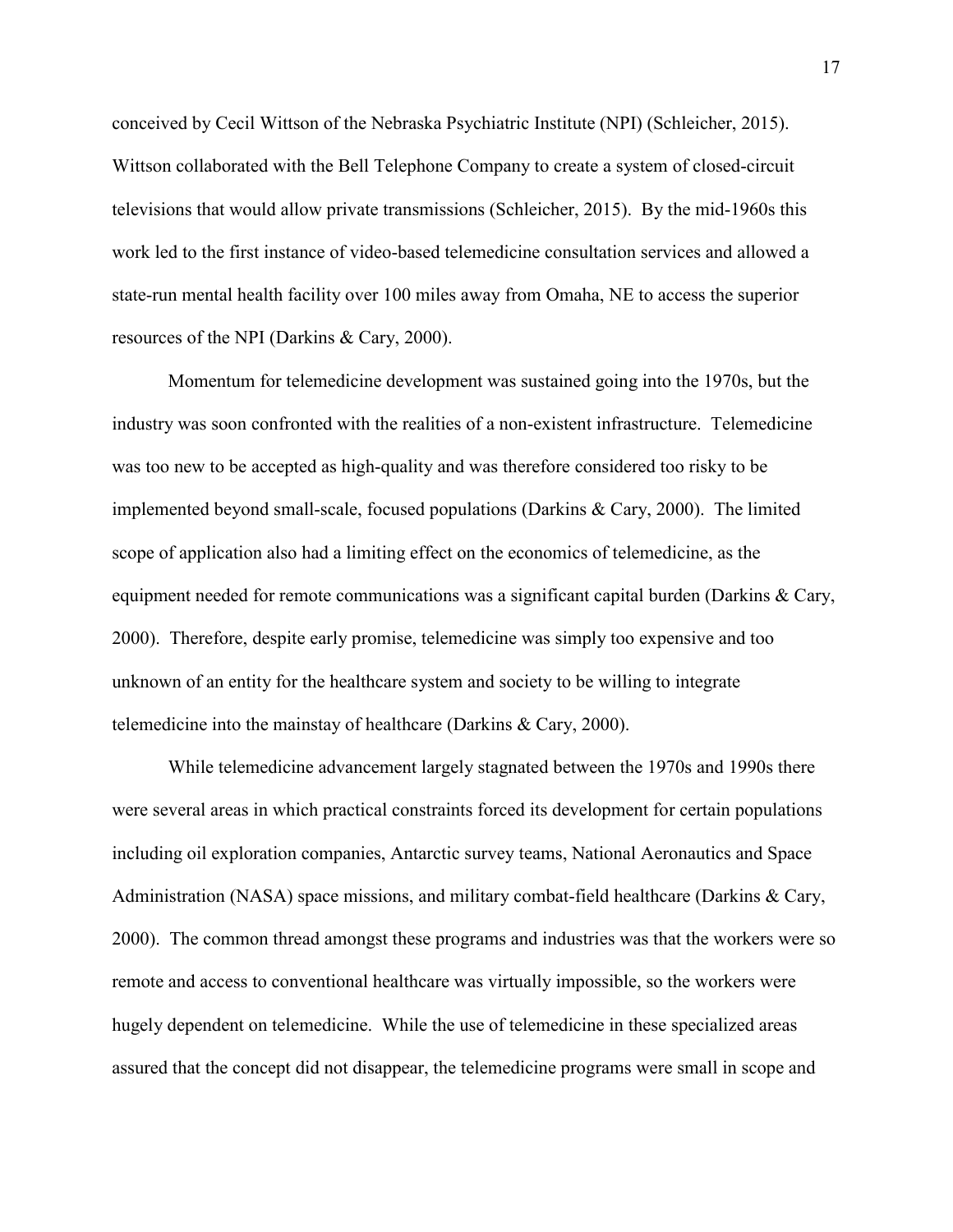conceived by Cecil Wittson of the Nebraska Psychiatric Institute (NPI) (Schleicher, 2015). Wittson collaborated with the Bell Telephone Company to create a system of closed-circuit televisions that would allow private transmissions (Schleicher, 2015). By the mid-1960s this work led to the first instance of video-based telemedicine consultation services and allowed a state-run mental health facility over 100 miles away from Omaha, NE to access the superior resources of the NPI (Darkins & Cary, 2000).

Momentum for telemedicine development was sustained going into the 1970s, but the industry was soon confronted with the realities of a non-existent infrastructure. Telemedicine was too new to be accepted as high-quality and was therefore considered too risky to be implemented beyond small-scale, focused populations (Darkins & Cary, 2000). The limited scope of application also had a limiting effect on the economics of telemedicine, as the equipment needed for remote communications was a significant capital burden (Darkins & Cary, 2000). Therefore, despite early promise, telemedicine was simply too expensive and too unknown of an entity for the healthcare system and society to be willing to integrate telemedicine into the mainstay of healthcare (Darkins & Cary, 2000).

While telemedicine advancement largely stagnated between the 1970s and 1990s there were several areas in which practical constraints forced its development for certain populations including oil exploration companies, Antarctic survey teams, National Aeronautics and Space Administration (NASA) space missions, and military combat-field healthcare (Darkins & Cary, 2000). The common thread amongst these programs and industries was that the workers were so remote and access to conventional healthcare was virtually impossible, so the workers were hugely dependent on telemedicine. While the use of telemedicine in these specialized areas assured that the concept did not disappear, the telemedicine programs were small in scope and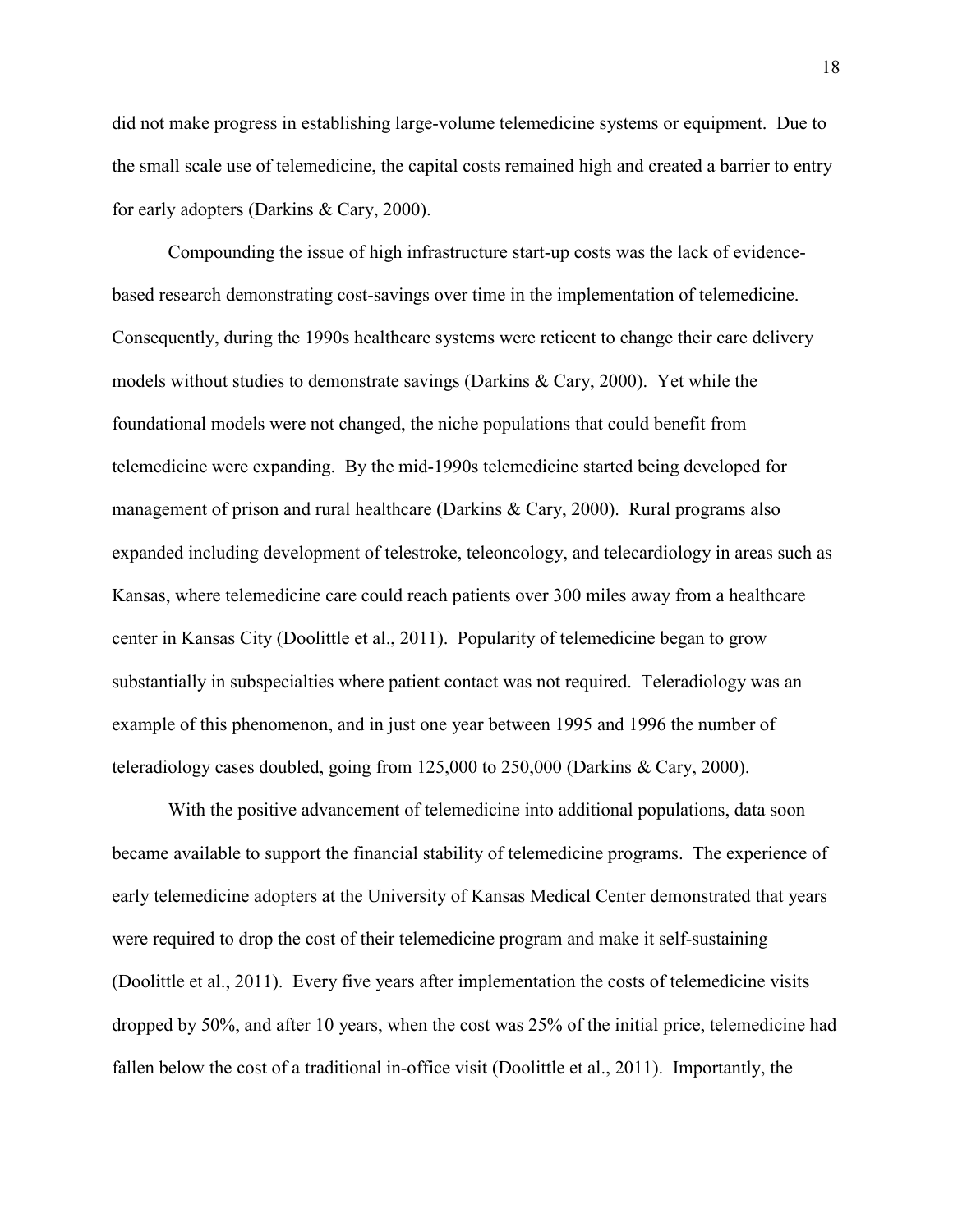did not make progress in establishing large-volume telemedicine systems or equipment. Due to the small scale use of telemedicine, the capital costs remained high and created a barrier to entry for early adopters (Darkins & Cary, 2000).

Compounding the issue of high infrastructure start-up costs was the lack of evidencebased research demonstrating cost-savings over time in the implementation of telemedicine. Consequently, during the 1990s healthcare systems were reticent to change their care delivery models without studies to demonstrate savings (Darkins & Cary, 2000). Yet while the foundational models were not changed, the niche populations that could benefit from telemedicine were expanding. By the mid-1990s telemedicine started being developed for management of prison and rural healthcare (Darkins & Cary, 2000). Rural programs also expanded including development of telestroke, teleoncology, and telecardiology in areas such as Kansas, where telemedicine care could reach patients over 300 miles away from a healthcare center in Kansas City (Doolittle et al., 2011). Popularity of telemedicine began to grow substantially in subspecialties where patient contact was not required. Teleradiology was an example of this phenomenon, and in just one year between 1995 and 1996 the number of teleradiology cases doubled, going from 125,000 to 250,000 (Darkins & Cary, 2000).

With the positive advancement of telemedicine into additional populations, data soon became available to support the financial stability of telemedicine programs. The experience of early telemedicine adopters at the University of Kansas Medical Center demonstrated that years were required to drop the cost of their telemedicine program and make it self-sustaining (Doolittle et al., 2011). Every five years after implementation the costs of telemedicine visits dropped by 50%, and after 10 years, when the cost was 25% of the initial price, telemedicine had fallen below the cost of a traditional in-office visit (Doolittle et al., 2011). Importantly, the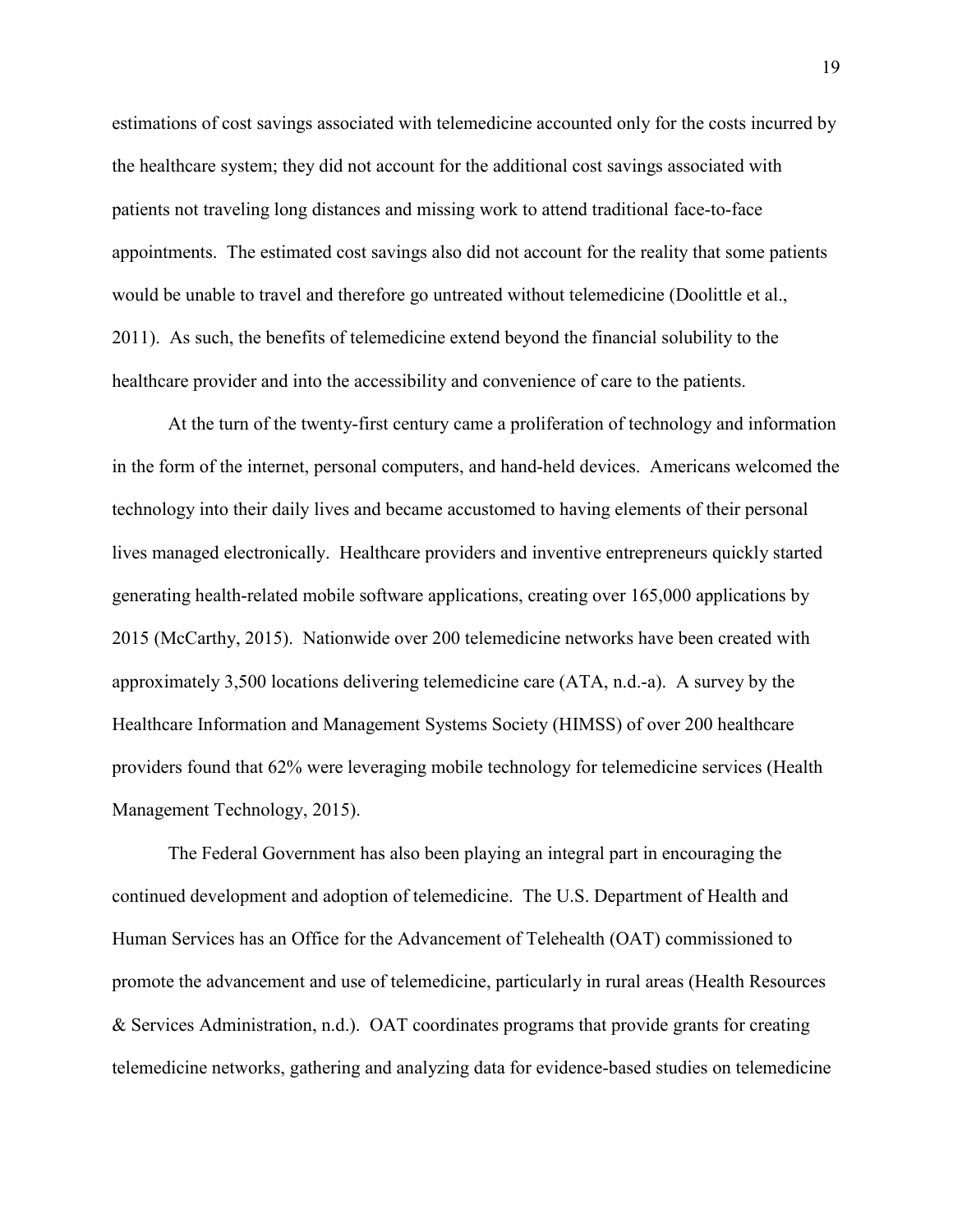estimations of cost savings associated with telemedicine accounted only for the costs incurred by the healthcare system; they did not account for the additional cost savings associated with patients not traveling long distances and missing work to attend traditional face-to-face appointments. The estimated cost savings also did not account for the reality that some patients would be unable to travel and therefore go untreated without telemedicine (Doolittle et al., 2011). As such, the benefits of telemedicine extend beyond the financial solubility to the healthcare provider and into the accessibility and convenience of care to the patients.

At the turn of the twenty-first century came a proliferation of technology and information in the form of the internet, personal computers, and hand-held devices. Americans welcomed the technology into their daily lives and became accustomed to having elements of their personal lives managed electronically. Healthcare providers and inventive entrepreneurs quickly started generating health-related mobile software applications, creating over 165,000 applications by 2015 (McCarthy, 2015). Nationwide over 200 telemedicine networks have been created with approximately 3,500 locations delivering telemedicine care (ATA, n.d.-a). A survey by the Healthcare Information and Management Systems Society (HIMSS) of over 200 healthcare providers found that 62% were leveraging mobile technology for telemedicine services (Health Management Technology, 2015).

The Federal Government has also been playing an integral part in encouraging the continued development and adoption of telemedicine. The U.S. Department of Health and Human Services has an Office for the Advancement of Telehealth (OAT) commissioned to promote the advancement and use of telemedicine, particularly in rural areas (Health Resources & Services Administration, n.d.). OAT coordinates programs that provide grants for creating telemedicine networks, gathering and analyzing data for evidence-based studies on telemedicine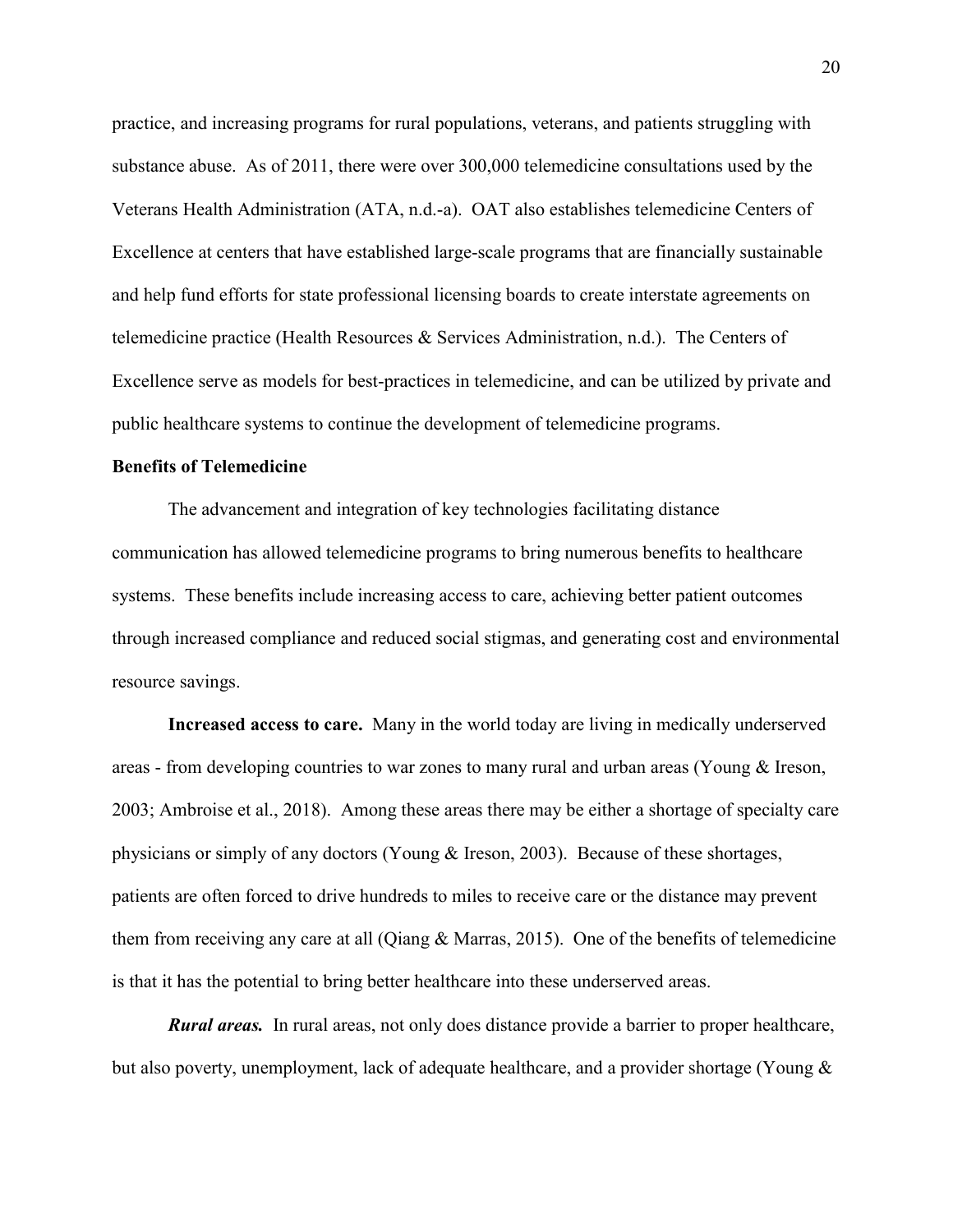practice, and increasing programs for rural populations, veterans, and patients struggling with substance abuse. As of 2011, there were over 300,000 telemedicine consultations used by the Veterans Health Administration (ATA, n.d.-a). OAT also establishes telemedicine Centers of Excellence at centers that have established large-scale programs that are financially sustainable and help fund efforts for state professional licensing boards to create interstate agreements on telemedicine practice (Health Resources & Services Administration, n.d.). The Centers of Excellence serve as models for best-practices in telemedicine, and can be utilized by private and public healthcare systems to continue the development of telemedicine programs.

#### **Benefits of Telemedicine**

The advancement and integration of key technologies facilitating distance communication has allowed telemedicine programs to bring numerous benefits to healthcare systems. These benefits include increasing access to care, achieving better patient outcomes through increased compliance and reduced social stigmas, and generating cost and environmental resource savings.

**Increased access to care.** Many in the world today are living in medically underserved areas - from developing countries to war zones to many rural and urban areas (Young & Ireson, 2003; Ambroise et al., 2018). Among these areas there may be either a shortage of specialty care physicians or simply of any doctors (Young & Ireson, 2003). Because of these shortages, patients are often forced to drive hundreds to miles to receive care or the distance may prevent them from receiving any care at all (Qiang & Marras, 2015). One of the benefits of telemedicine is that it has the potential to bring better healthcare into these underserved areas.

*Rural areas.* In rural areas, not only does distance provide a barrier to proper healthcare, but also poverty, unemployment, lack of adequate healthcare, and a provider shortage (Young &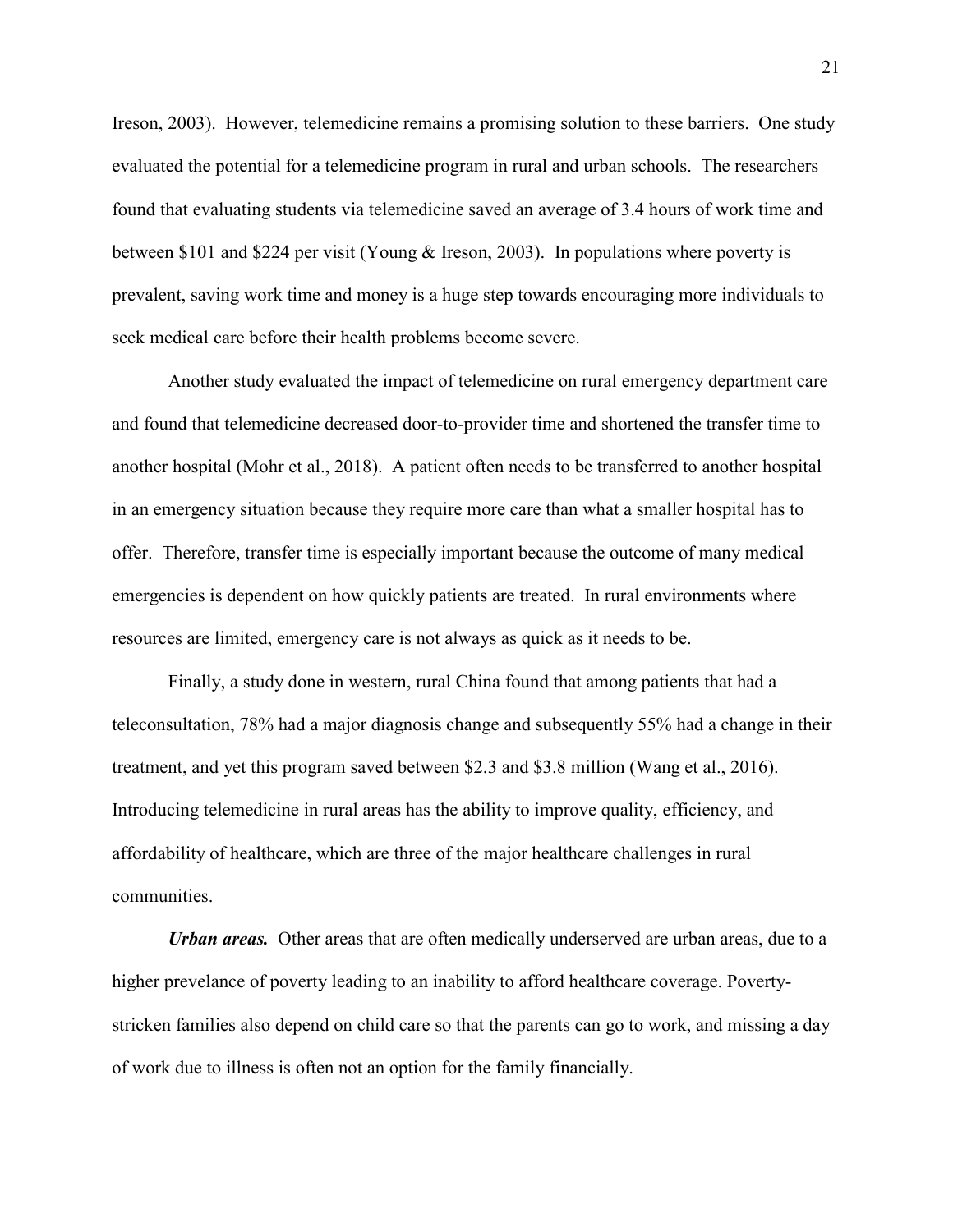Ireson, 2003). However, telemedicine remains a promising solution to these barriers. One study evaluated the potential for a telemedicine program in rural and urban schools. The researchers found that evaluating students via telemedicine saved an average of 3.4 hours of work time and between \$101 and \$224 per visit (Young & Ireson, 2003). In populations where poverty is prevalent, saving work time and money is a huge step towards encouraging more individuals to seek medical care before their health problems become severe.

Another study evaluated the impact of telemedicine on rural emergency department care and found that telemedicine decreased door-to-provider time and shortened the transfer time to another hospital (Mohr et al., 2018). A patient often needs to be transferred to another hospital in an emergency situation because they require more care than what a smaller hospital has to offer. Therefore, transfer time is especially important because the outcome of many medical emergencies is dependent on how quickly patients are treated. In rural environments where resources are limited, emergency care is not always as quick as it needs to be.

Finally, a study done in western, rural China found that among patients that had a teleconsultation, 78% had a major diagnosis change and subsequently 55% had a change in their treatment, and yet this program saved between \$2.3 and \$3.8 million (Wang et al., 2016). Introducing telemedicine in rural areas has the ability to improve quality, efficiency, and affordability of healthcare, which are three of the major healthcare challenges in rural communities.

*Urban areas.* Other areas that are often medically underserved are urban areas, due to a higher prevelance of poverty leading to an inability to afford healthcare coverage. Povertystricken families also depend on child care so that the parents can go to work, and missing a day of work due to illness is often not an option for the family financially.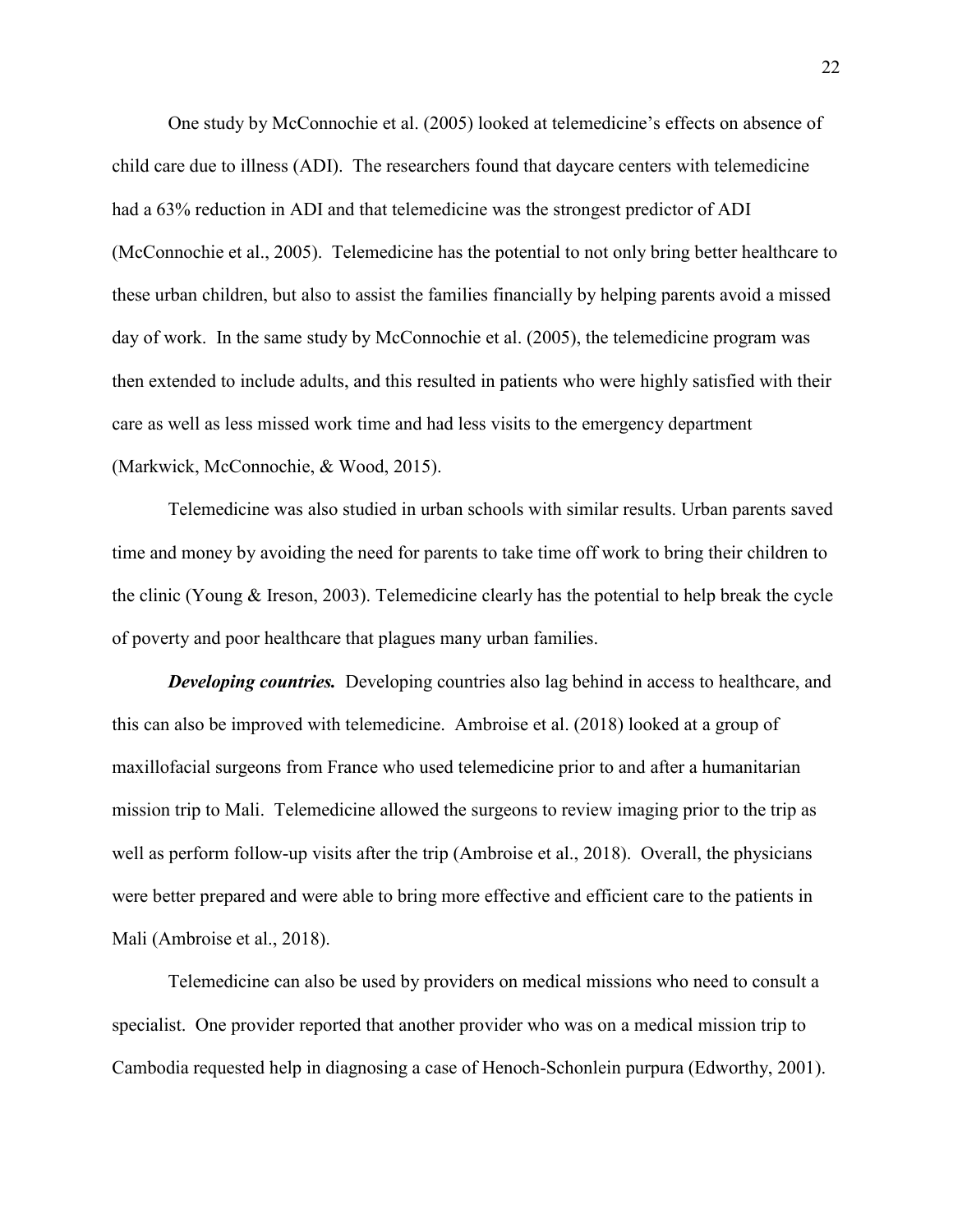One study by McConnochie et al. (2005) looked at telemedicine's effects on absence of child care due to illness (ADI). The researchers found that daycare centers with telemedicine had a 63% reduction in ADI and that telemedicine was the strongest predictor of ADI (McConnochie et al., 2005). Telemedicine has the potential to not only bring better healthcare to these urban children, but also to assist the families financially by helping parents avoid a missed day of work. In the same study by McConnochie et al. (2005), the telemedicine program was then extended to include adults, and this resulted in patients who were highly satisfied with their care as well as less missed work time and had less visits to the emergency department (Markwick, McConnochie, & Wood, 2015).

Telemedicine was also studied in urban schools with similar results. Urban parents saved time and money by avoiding the need for parents to take time off work to bring their children to the clinic (Young & Ireson, 2003). Telemedicine clearly has the potential to help break the cycle of poverty and poor healthcare that plagues many urban families.

**Developing countries.** Developing countries also lag behind in access to healthcare, and this can also be improved with telemedicine. Ambroise et al. (2018) looked at a group of maxillofacial surgeons from France who used telemedicine prior to and after a humanitarian mission trip to Mali. Telemedicine allowed the surgeons to review imaging prior to the trip as well as perform follow-up visits after the trip (Ambroise et al., 2018). Overall, the physicians were better prepared and were able to bring more effective and efficient care to the patients in Mali (Ambroise et al., 2018).

 Telemedicine can also be used by providers on medical missions who need to consult a specialist. One provider reported that another provider who was on a medical mission trip to Cambodia requested help in diagnosing a case of Henoch-Schonlein purpura (Edworthy, 2001).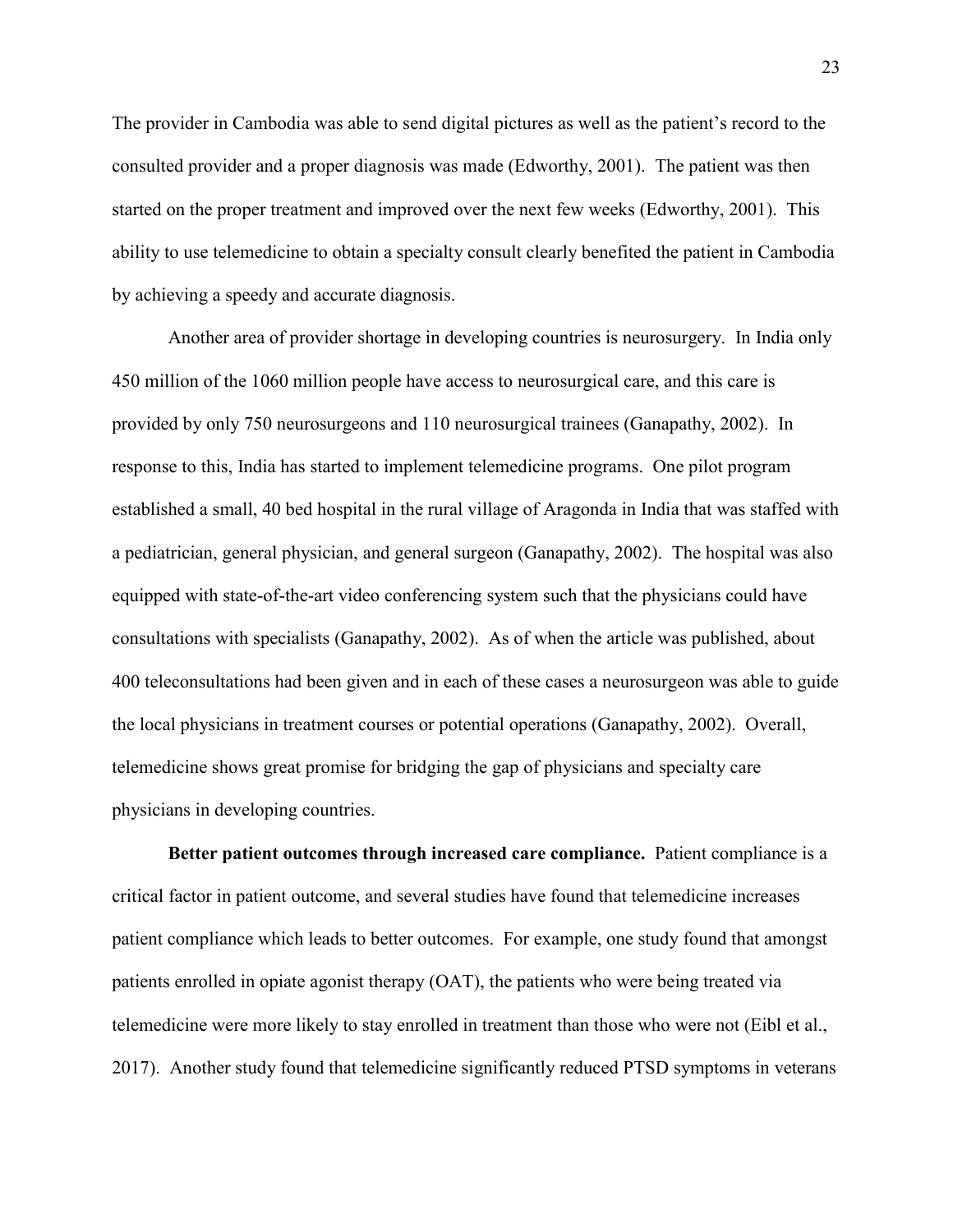The provider in Cambodia was able to send digital pictures as well as the patient's record to the consulted provider and a proper diagnosis was made (Edworthy, 2001). The patient was then started on the proper treatment and improved over the next few weeks (Edworthy, 2001). This ability to use telemedicine to obtain a specialty consult clearly benefited the patient in Cambodia by achieving a speedy and accurate diagnosis.

 Another area of provider shortage in developing countries is neurosurgery. In India only 450 million of the 1060 million people have access to neurosurgical care, and this care is provided by only 750 neurosurgeons and 110 neurosurgical trainees (Ganapathy, 2002). In response to this, India has started to implement telemedicine programs. One pilot program established a small, 40 bed hospital in the rural village of Aragonda in India that was staffed with a pediatrician, general physician, and general surgeon (Ganapathy, 2002). The hospital was also equipped with state-of-the-art video conferencing system such that the physicians could have consultations with specialists (Ganapathy, 2002). As of when the article was published, about 400 teleconsultations had been given and in each of these cases a neurosurgeon was able to guide the local physicians in treatment courses or potential operations (Ganapathy, 2002). Overall, telemedicine shows great promise for bridging the gap of physicians and specialty care physicians in developing countries.

**Better patient outcomes through increased care compliance.** Patient compliance is a critical factor in patient outcome, and several studies have found that telemedicine increases patient compliance which leads to better outcomes. For example, one study found that amongst patients enrolled in opiate agonist therapy (OAT), the patients who were being treated via telemedicine were more likely to stay enrolled in treatment than those who were not (Eibl et al., 2017). Another study found that telemedicine significantly reduced PTSD symptoms in veterans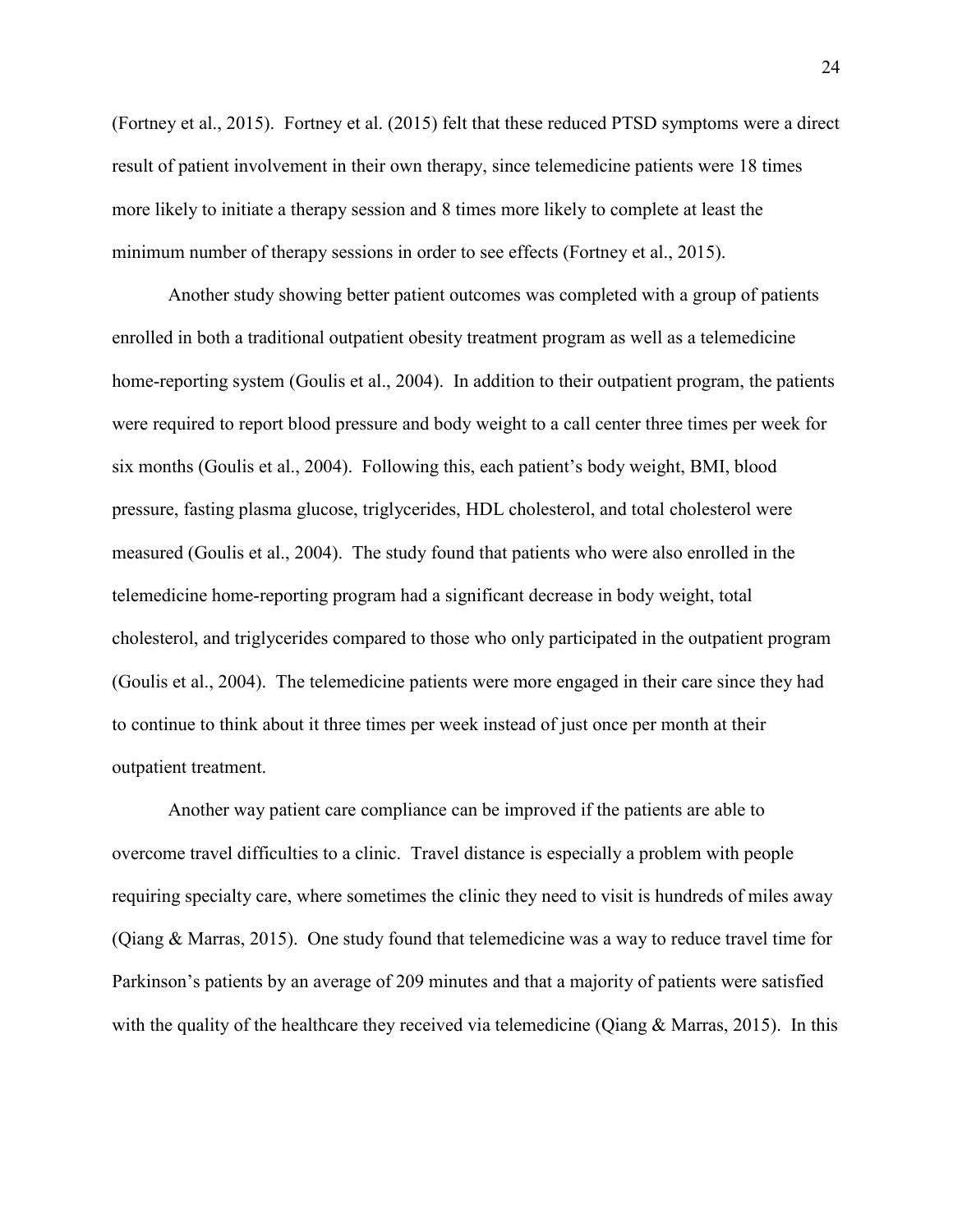(Fortney et al., 2015). Fortney et al. (2015) felt that these reduced PTSD symptoms were a direct result of patient involvement in their own therapy, since telemedicine patients were 18 times more likely to initiate a therapy session and 8 times more likely to complete at least the minimum number of therapy sessions in order to see effects (Fortney et al., 2015).

Another study showing better patient outcomes was completed with a group of patients enrolled in both a traditional outpatient obesity treatment program as well as a telemedicine home-reporting system (Goulis et al., 2004). In addition to their outpatient program, the patients were required to report blood pressure and body weight to a call center three times per week for six months (Goulis et al., 2004). Following this, each patient's body weight, BMI, blood pressure, fasting plasma glucose, triglycerides, HDL cholesterol, and total cholesterol were measured (Goulis et al., 2004). The study found that patients who were also enrolled in the telemedicine home-reporting program had a significant decrease in body weight, total cholesterol, and triglycerides compared to those who only participated in the outpatient program (Goulis et al., 2004). The telemedicine patients were more engaged in their care since they had to continue to think about it three times per week instead of just once per month at their outpatient treatment.

 Another way patient care compliance can be improved if the patients are able to overcome travel difficulties to a clinic. Travel distance is especially a problem with people requiring specialty care, where sometimes the clinic they need to visit is hundreds of miles away (Qiang & Marras, 2015). One study found that telemedicine was a way to reduce travel time for Parkinson's patients by an average of 209 minutes and that a majority of patients were satisfied with the quality of the healthcare they received via telemedicine (Qiang & Marras, 2015). In this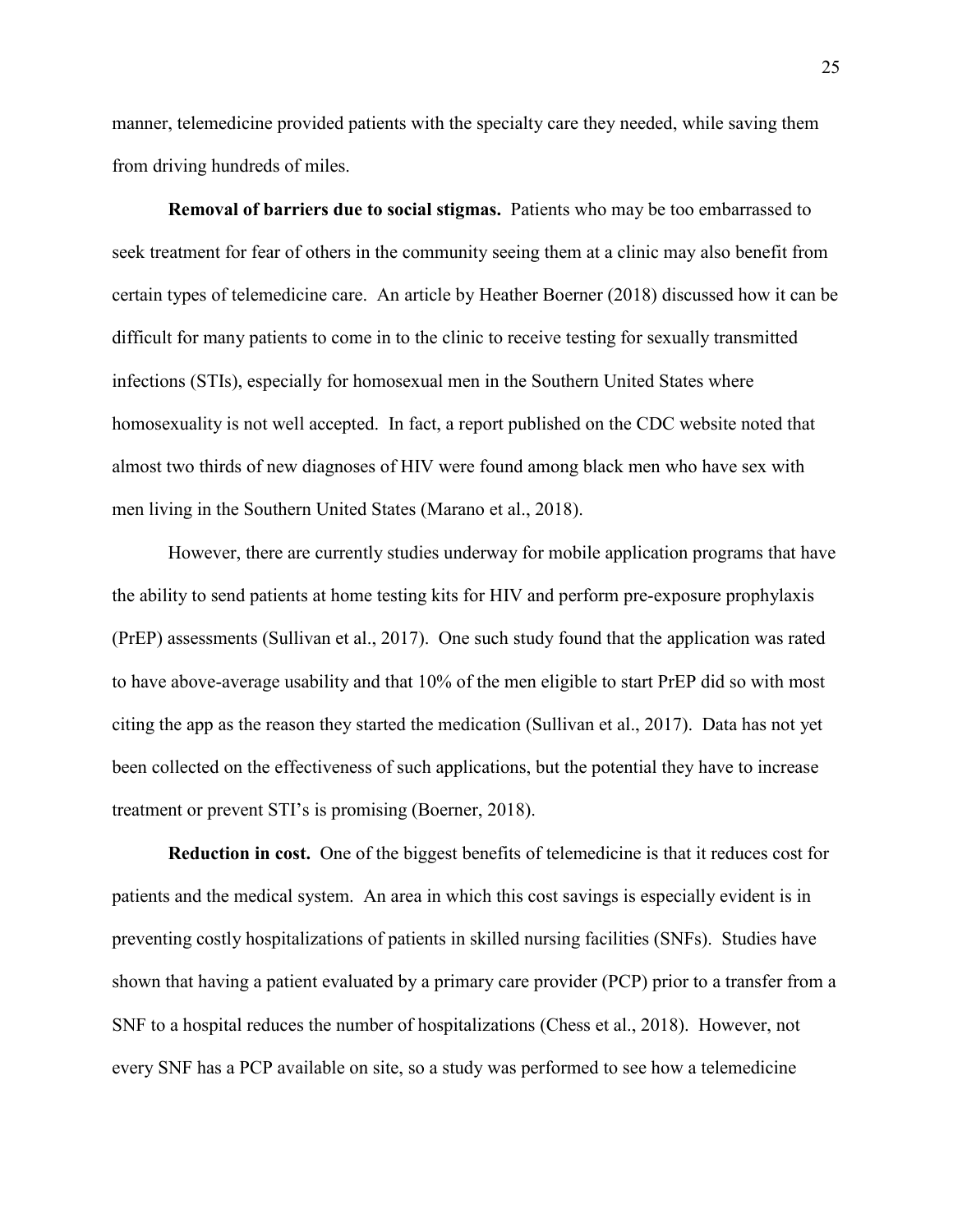manner, telemedicine provided patients with the specialty care they needed, while saving them from driving hundreds of miles.

**Removal of barriers due to social stigmas.** Patients who may be too embarrassed to seek treatment for fear of others in the community seeing them at a clinic may also benefit from certain types of telemedicine care. An article by Heather Boerner (2018) discussed how it can be difficult for many patients to come in to the clinic to receive testing for sexually transmitted infections (STIs), especially for homosexual men in the Southern United States where homosexuality is not well accepted. In fact, a report published on the CDC website noted that almost two thirds of new diagnoses of HIV were found among black men who have sex with men living in the Southern United States (Marano et al., 2018).

However, there are currently studies underway for mobile application programs that have the ability to send patients at home testing kits for HIV and perform pre-exposure prophylaxis (PrEP) assessments (Sullivan et al., 2017). One such study found that the application was rated to have above-average usability and that 10% of the men eligible to start PrEP did so with most citing the app as the reason they started the medication (Sullivan et al., 2017). Data has not yet been collected on the effectiveness of such applications, but the potential they have to increase treatment or prevent STI's is promising (Boerner, 2018).

**Reduction in cost.** One of the biggest benefits of telemedicine is that it reduces cost for patients and the medical system. An area in which this cost savings is especially evident is in preventing costly hospitalizations of patients in skilled nursing facilities (SNFs). Studies have shown that having a patient evaluated by a primary care provider (PCP) prior to a transfer from a SNF to a hospital reduces the number of hospitalizations (Chess et al., 2018). However, not every SNF has a PCP available on site, so a study was performed to see how a telemedicine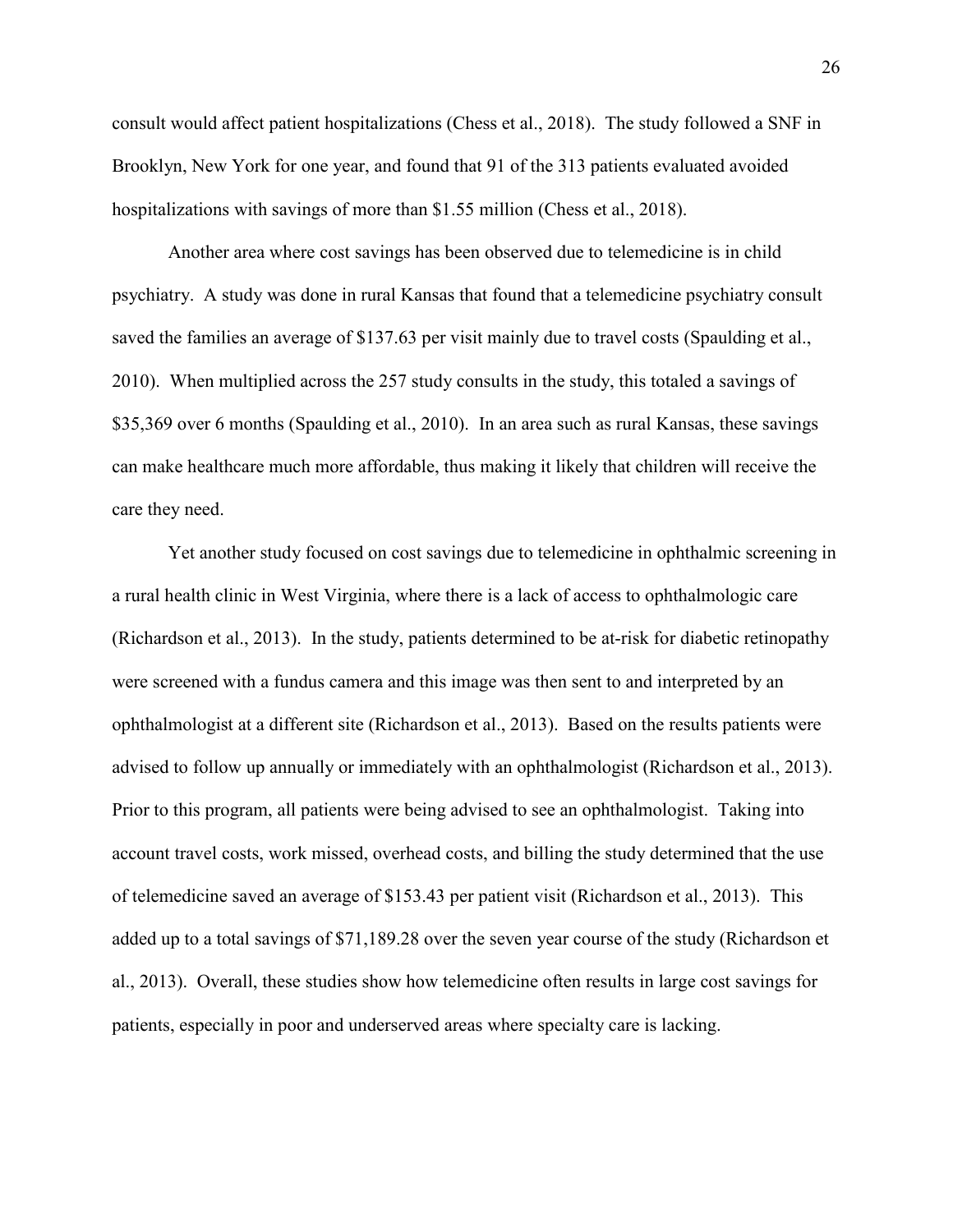consult would affect patient hospitalizations (Chess et al., 2018). The study followed a SNF in Brooklyn, New York for one year, and found that 91 of the 313 patients evaluated avoided hospitalizations with savings of more than \$1.55 million (Chess et al., 2018).

Another area where cost savings has been observed due to telemedicine is in child psychiatry. A study was done in rural Kansas that found that a telemedicine psychiatry consult saved the families an average of \$137.63 per visit mainly due to travel costs (Spaulding et al., 2010). When multiplied across the 257 study consults in the study, this totaled a savings of \$35,369 over 6 months (Spaulding et al., 2010). In an area such as rural Kansas, these savings can make healthcare much more affordable, thus making it likely that children will receive the care they need.

Yet another study focused on cost savings due to telemedicine in ophthalmic screening in a rural health clinic in West Virginia, where there is a lack of access to ophthalmologic care (Richardson et al., 2013). In the study, patients determined to be at-risk for diabetic retinopathy were screened with a fundus camera and this image was then sent to and interpreted by an ophthalmologist at a different site (Richardson et al., 2013). Based on the results patients were advised to follow up annually or immediately with an ophthalmologist (Richardson et al., 2013). Prior to this program, all patients were being advised to see an ophthalmologist. Taking into account travel costs, work missed, overhead costs, and billing the study determined that the use of telemedicine saved an average of \$153.43 per patient visit (Richardson et al., 2013). This added up to a total savings of \$71,189.28 over the seven year course of the study (Richardson et al., 2013). Overall, these studies show how telemedicine often results in large cost savings for patients, especially in poor and underserved areas where specialty care is lacking.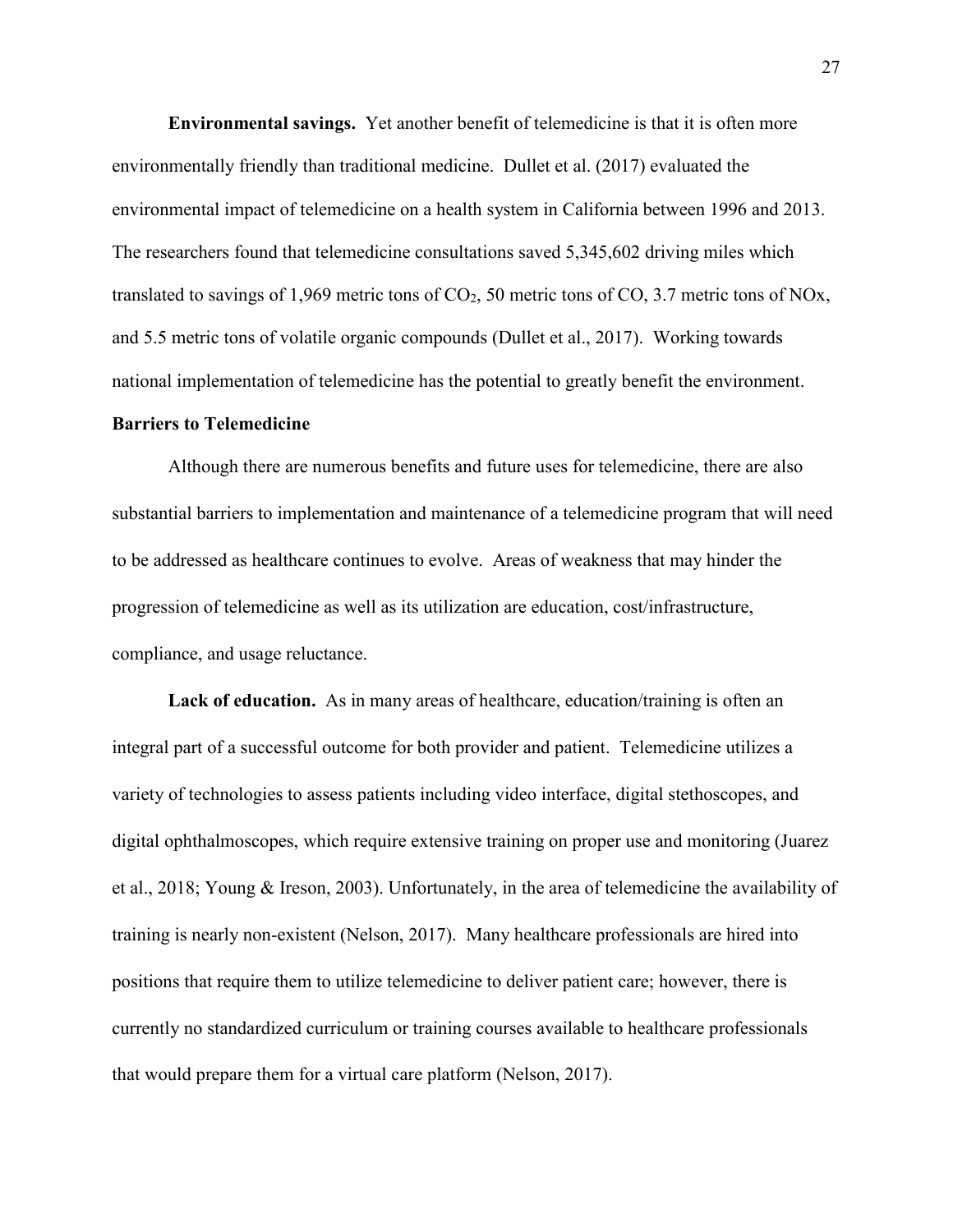**Environmental savings.** Yet another benefit of telemedicine is that it is often more environmentally friendly than traditional medicine. Dullet et al. (2017) evaluated the environmental impact of telemedicine on a health system in California between 1996 and 2013. The researchers found that telemedicine consultations saved 5,345,602 driving miles which translated to savings of 1,969 metric tons of  $CO<sub>2</sub>$ , 50 metric tons of CO, 3.7 metric tons of NOx, and 5.5 metric tons of volatile organic compounds (Dullet et al., 2017). Working towards national implementation of telemedicine has the potential to greatly benefit the environment.

#### **Barriers to Telemedicine**

Although there are numerous benefits and future uses for telemedicine, there are also substantial barriers to implementation and maintenance of a telemedicine program that will need to be addressed as healthcare continues to evolve. Areas of weakness that may hinder the progression of telemedicine as well as its utilization are education, cost/infrastructure, compliance, and usage reluctance.

**Lack of education.** As in many areas of healthcare, education/training is often an integral part of a successful outcome for both provider and patient. Telemedicine utilizes a variety of technologies to assess patients including video interface, digital stethoscopes, and digital ophthalmoscopes, which require extensive training on proper use and monitoring (Juarez et al., 2018; Young & Ireson, 2003). Unfortunately, in the area of telemedicine the availability of training is nearly non-existent (Nelson, 2017). Many healthcare professionals are hired into positions that require them to utilize telemedicine to deliver patient care; however, there is currently no standardized curriculum or training courses available to healthcare professionals that would prepare them for a virtual care platform (Nelson, 2017).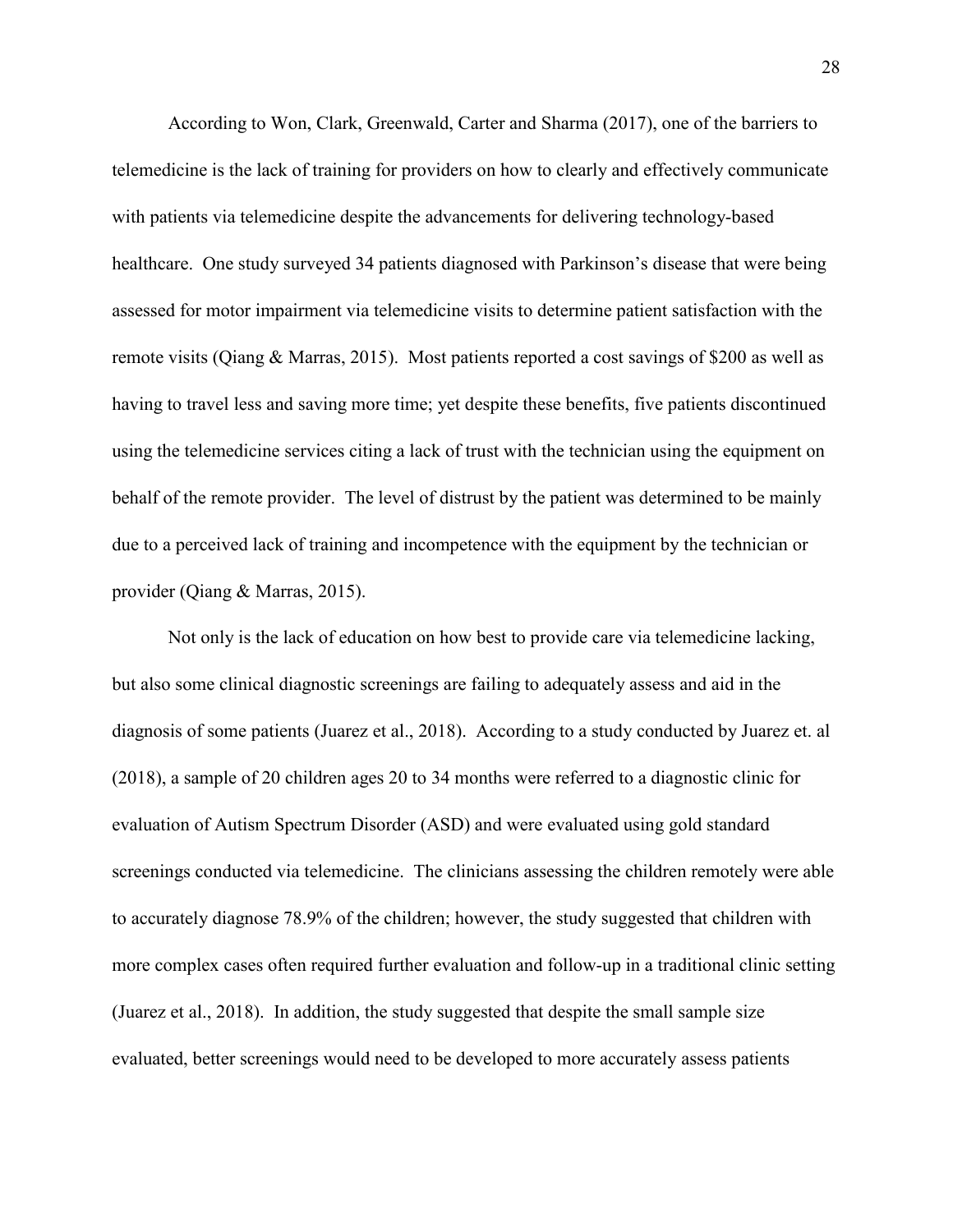According to Won, Clark, Greenwald, Carter and Sharma (2017), one of the barriers to telemedicine is the lack of training for providers on how to clearly and effectively communicate with patients via telemedicine despite the advancements for delivering technology-based healthcare. One study surveyed 34 patients diagnosed with Parkinson's disease that were being assessed for motor impairment via telemedicine visits to determine patient satisfaction with the remote visits (Qiang & Marras, 2015). Most patients reported a cost savings of \$200 as well as having to travel less and saving more time; yet despite these benefits, five patients discontinued using the telemedicine services citing a lack of trust with the technician using the equipment on behalf of the remote provider. The level of distrust by the patient was determined to be mainly due to a perceived lack of training and incompetence with the equipment by the technician or provider (Qiang & Marras, 2015).

Not only is the lack of education on how best to provide care via telemedicine lacking, but also some clinical diagnostic screenings are failing to adequately assess and aid in the diagnosis of some patients (Juarez et al., 2018). According to a study conducted by Juarez et. al (2018), a sample of 20 children ages 20 to 34 months were referred to a diagnostic clinic for evaluation of Autism Spectrum Disorder (ASD) and were evaluated using gold standard screenings conducted via telemedicine. The clinicians assessing the children remotely were able to accurately diagnose 78.9% of the children; however, the study suggested that children with more complex cases often required further evaluation and follow-up in a traditional clinic setting (Juarez et al., 2018). In addition, the study suggested that despite the small sample size evaluated, better screenings would need to be developed to more accurately assess patients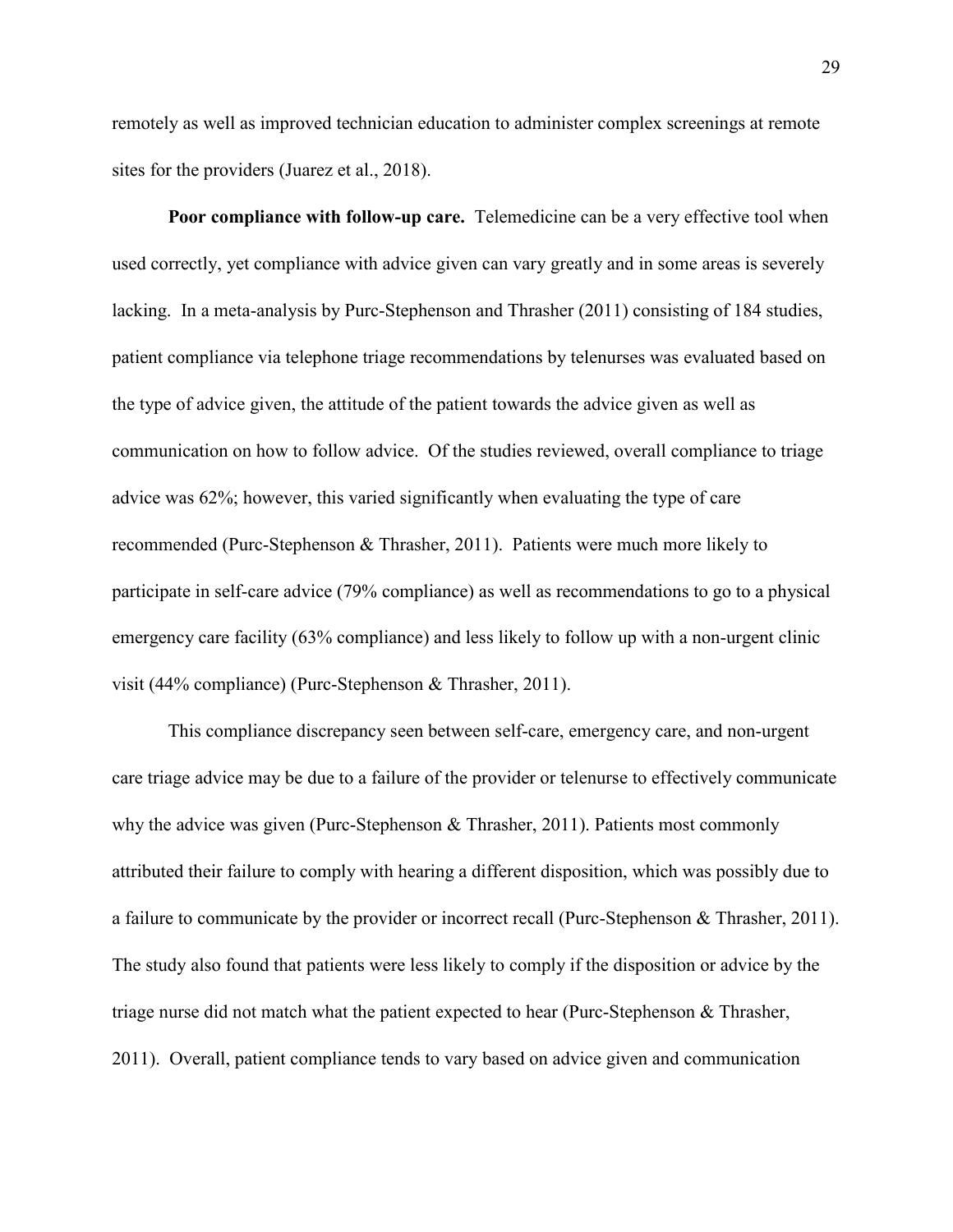remotely as well as improved technician education to administer complex screenings at remote sites for the providers (Juarez et al., 2018).

**Poor compliance with follow-up care.** Telemedicine can be a very effective tool when used correctly, yet compliance with advice given can vary greatly and in some areas is severely lacking. In a meta-analysis by Purc-Stephenson and Thrasher (2011) consisting of 184 studies, patient compliance via telephone triage recommendations by telenurses was evaluated based on the type of advice given, the attitude of the patient towards the advice given as well as communication on how to follow advice. Of the studies reviewed, overall compliance to triage advice was 62%; however, this varied significantly when evaluating the type of care recommended (Purc-Stephenson & Thrasher, 2011). Patients were much more likely to participate in self-care advice (79% compliance) as well as recommendations to go to a physical emergency care facility (63% compliance) and less likely to follow up with a non-urgent clinic visit (44% compliance) (Purc-Stephenson & Thrasher, 2011).

This compliance discrepancy seen between self-care, emergency care, and non-urgent care triage advice may be due to a failure of the provider or telenurse to effectively communicate why the advice was given (Purc-Stephenson & Thrasher, 2011). Patients most commonly attributed their failure to comply with hearing a different disposition, which was possibly due to a failure to communicate by the provider or incorrect recall (Purc-Stephenson & Thrasher, 2011). The study also found that patients were less likely to comply if the disposition or advice by the triage nurse did not match what the patient expected to hear (Purc-Stephenson & Thrasher, 2011). Overall, patient compliance tends to vary based on advice given and communication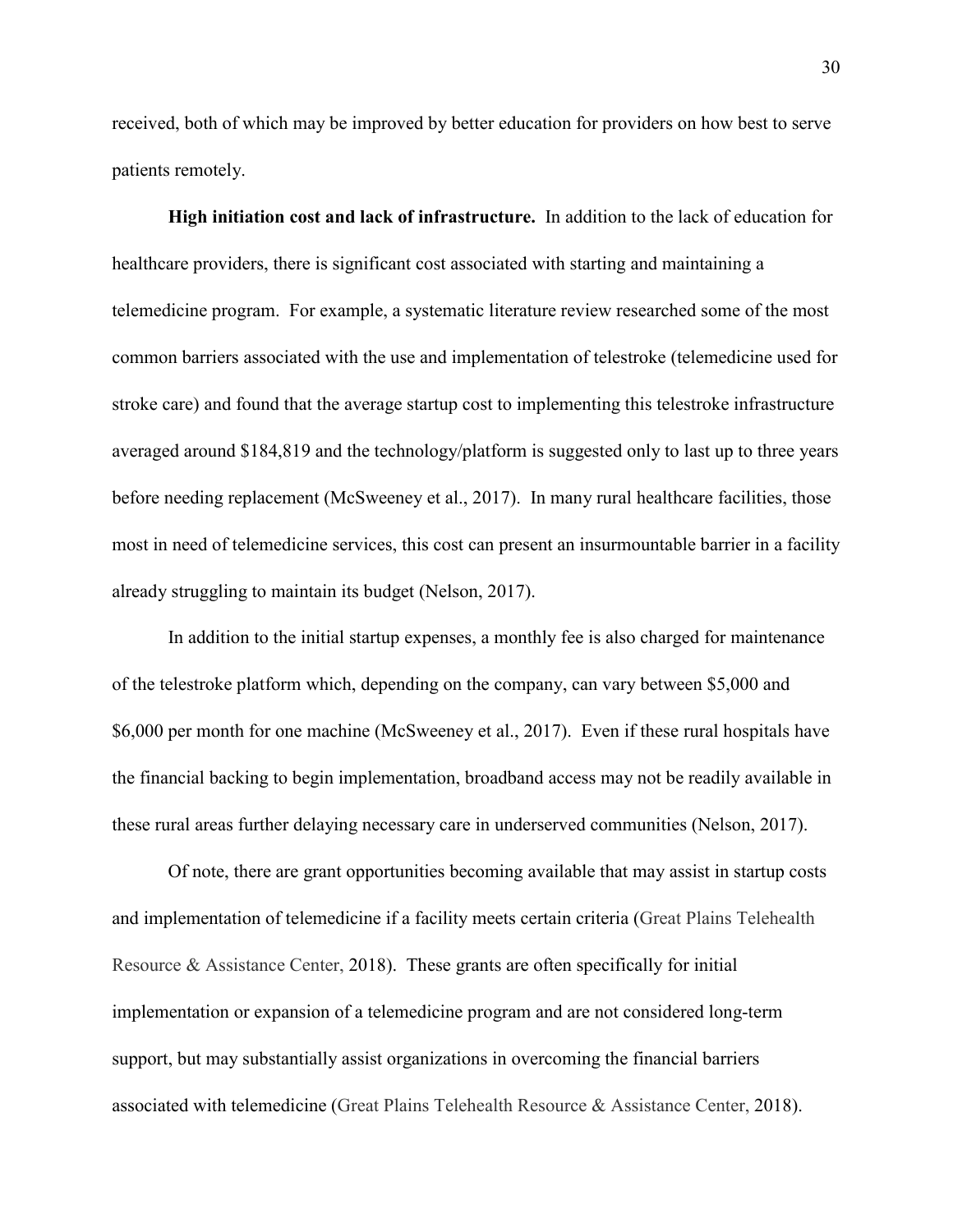received, both of which may be improved by better education for providers on how best to serve patients remotely.

**High initiation cost and lack of infrastructure.** In addition to the lack of education for healthcare providers, there is significant cost associated with starting and maintaining a telemedicine program. For example, a systematic literature review researched some of the most common barriers associated with the use and implementation of telestroke (telemedicine used for stroke care) and found that the average startup cost to implementing this telestroke infrastructure averaged around \$184,819 and the technology/platform is suggested only to last up to three years before needing replacement (McSweeney et al., 2017). In many rural healthcare facilities, those most in need of telemedicine services, this cost can present an insurmountable barrier in a facility already struggling to maintain its budget (Nelson, 2017).

In addition to the initial startup expenses, a monthly fee is also charged for maintenance of the telestroke platform which, depending on the company, can vary between \$5,000 and \$6,000 per month for one machine (McSweeney et al., 2017). Even if these rural hospitals have the financial backing to begin implementation, broadband access may not be readily available in these rural areas further delaying necessary care in underserved communities (Nelson, 2017).

Of note, there are grant opportunities becoming available that may assist in startup costs and implementation of telemedicine if a facility meets certain criteria (Great Plains Telehealth Resource & Assistance Center, 2018). These grants are often specifically for initial implementation or expansion of a telemedicine program and are not considered long-term support, but may substantially assist organizations in overcoming the financial barriers associated with telemedicine (Great Plains Telehealth Resource & Assistance Center, 2018).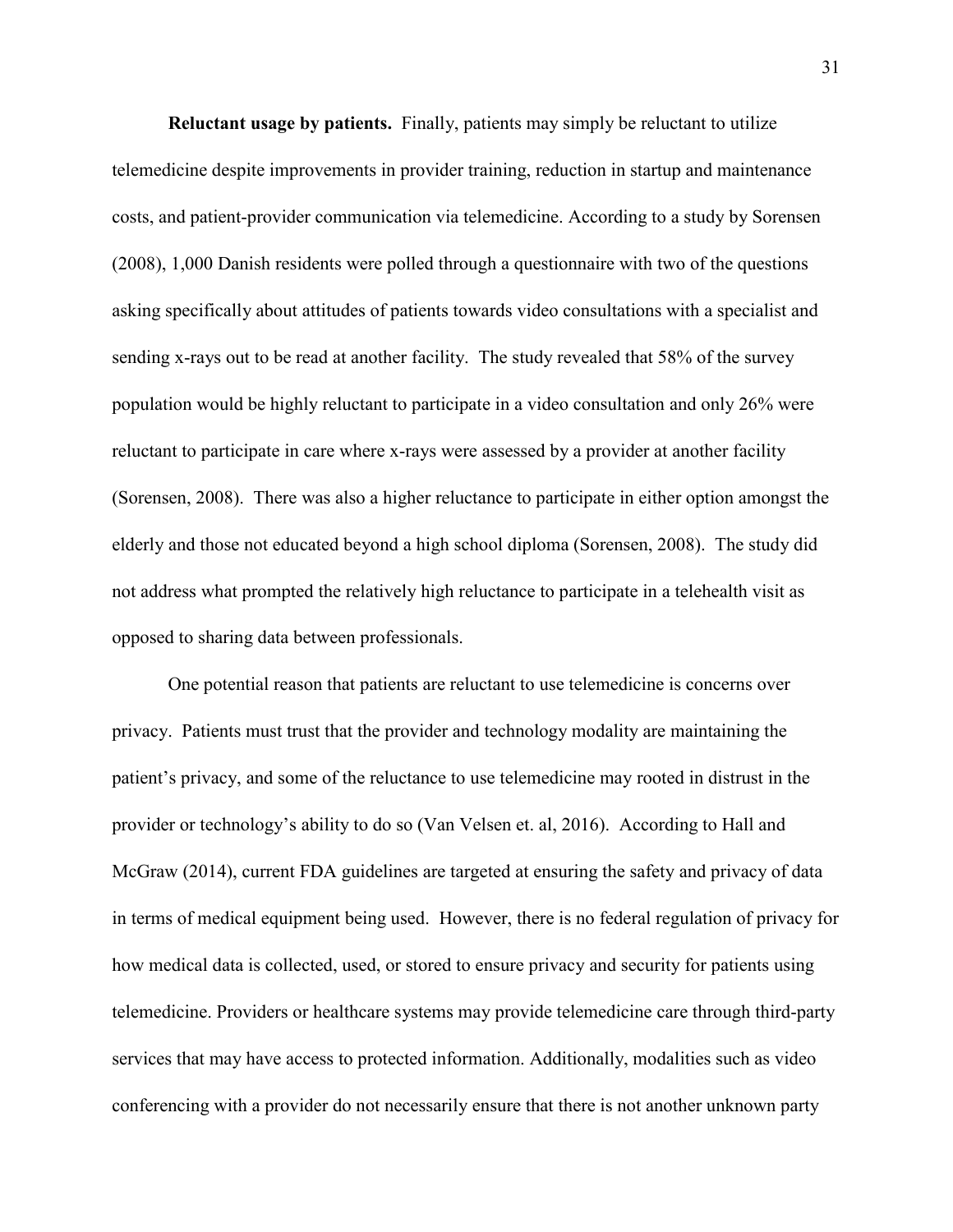**Reluctant usage by patients.** Finally, patients may simply be reluctant to utilize telemedicine despite improvements in provider training, reduction in startup and maintenance costs, and patient-provider communication via telemedicine. According to a study by Sorensen (2008), 1,000 Danish residents were polled through a questionnaire with two of the questions asking specifically about attitudes of patients towards video consultations with a specialist and sending x-rays out to be read at another facility. The study revealed that 58% of the survey population would be highly reluctant to participate in a video consultation and only 26% were reluctant to participate in care where x-rays were assessed by a provider at another facility (Sorensen, 2008). There was also a higher reluctance to participate in either option amongst the elderly and those not educated beyond a high school diploma (Sorensen, 2008). The study did not address what prompted the relatively high reluctance to participate in a telehealth visit as opposed to sharing data between professionals.

One potential reason that patients are reluctant to use telemedicine is concerns over privacy. Patients must trust that the provider and technology modality are maintaining the patient's privacy, and some of the reluctance to use telemedicine may rooted in distrust in the provider or technology's ability to do so (Van Velsen et. al, 2016). According to Hall and McGraw (2014), current FDA guidelines are targeted at ensuring the safety and privacy of data in terms of medical equipment being used. However, there is no federal regulation of privacy for how medical data is collected, used, or stored to ensure privacy and security for patients using telemedicine. Providers or healthcare systems may provide telemedicine care through third-party services that may have access to protected information. Additionally, modalities such as video conferencing with a provider do not necessarily ensure that there is not another unknown party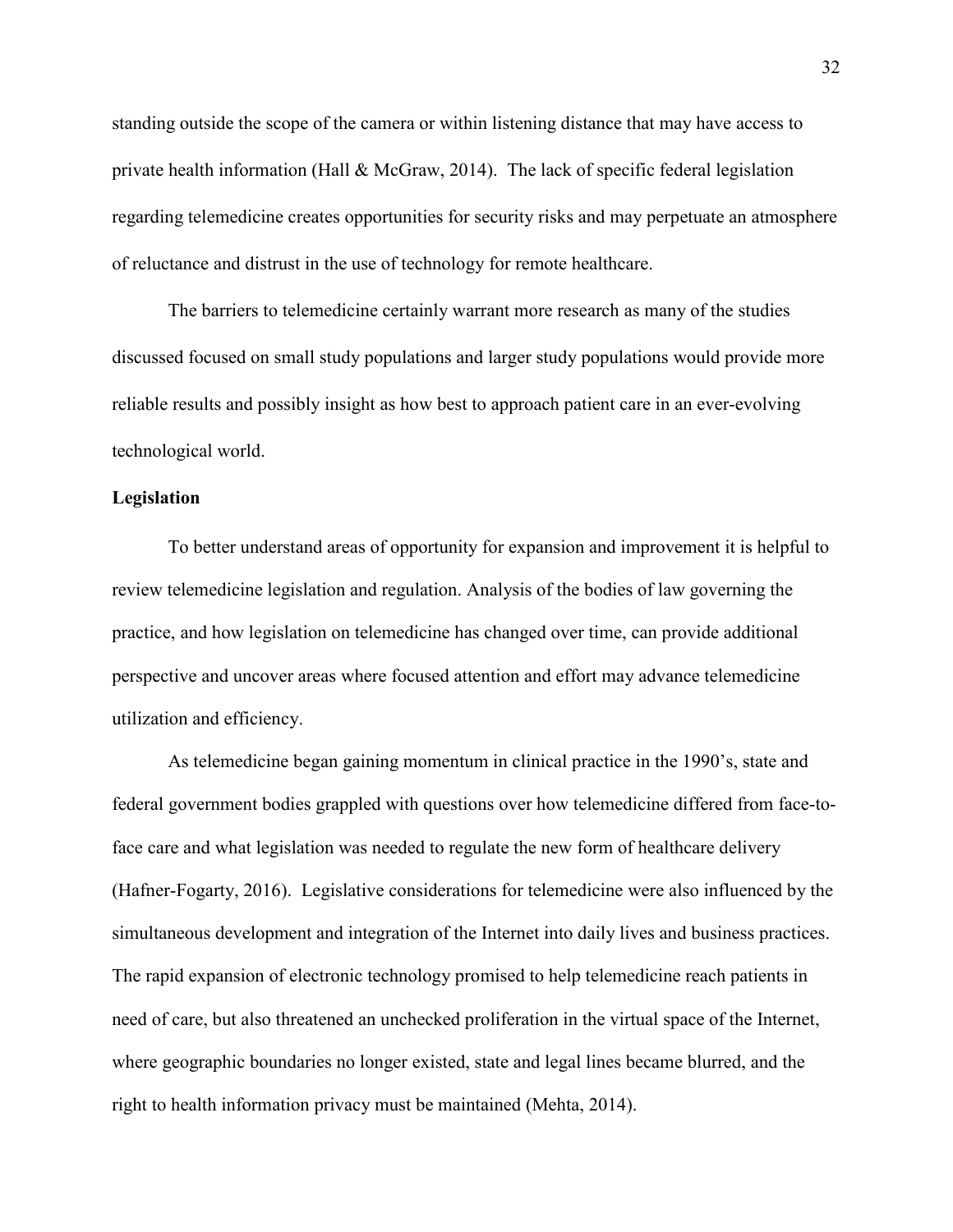standing outside the scope of the camera or within listening distance that may have access to private health information (Hall & McGraw, 2014). The lack of specific federal legislation regarding telemedicine creates opportunities for security risks and may perpetuate an atmosphere of reluctance and distrust in the use of technology for remote healthcare.

The barriers to telemedicine certainly warrant more research as many of the studies discussed focused on small study populations and larger study populations would provide more reliable results and possibly insight as how best to approach patient care in an ever-evolving technological world.

#### **Legislation**

To better understand areas of opportunity for expansion and improvement it is helpful to review telemedicine legislation and regulation. Analysis of the bodies of law governing the practice, and how legislation on telemedicine has changed over time, can provide additional perspective and uncover areas where focused attention and effort may advance telemedicine utilization and efficiency.

As telemedicine began gaining momentum in clinical practice in the 1990's, state and federal government bodies grappled with questions over how telemedicine differed from face-toface care and what legislation was needed to regulate the new form of healthcare delivery (Hafner-Fogarty, 2016). Legislative considerations for telemedicine were also influenced by the simultaneous development and integration of the Internet into daily lives and business practices. The rapid expansion of electronic technology promised to help telemedicine reach patients in need of care, but also threatened an unchecked proliferation in the virtual space of the Internet, where geographic boundaries no longer existed, state and legal lines became blurred, and the right to health information privacy must be maintained (Mehta, 2014).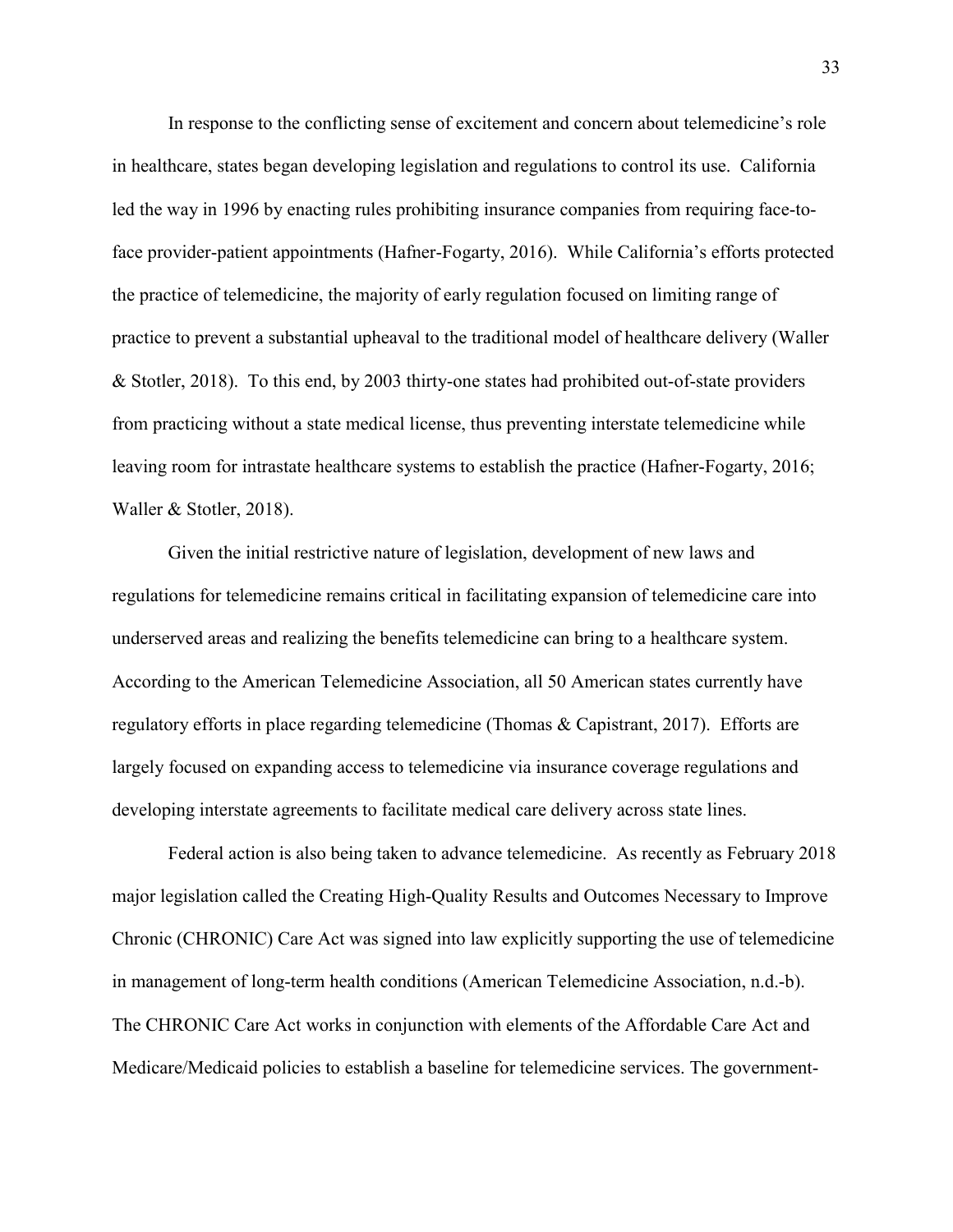In response to the conflicting sense of excitement and concern about telemedicine's role in healthcare, states began developing legislation and regulations to control its use. California led the way in 1996 by enacting rules prohibiting insurance companies from requiring face-toface provider-patient appointments (Hafner-Fogarty, 2016). While California's efforts protected the practice of telemedicine, the majority of early regulation focused on limiting range of practice to prevent a substantial upheaval to the traditional model of healthcare delivery (Waller & Stotler, 2018). To this end, by 2003 thirty-one states had prohibited out-of-state providers from practicing without a state medical license, thus preventing interstate telemedicine while leaving room for intrastate healthcare systems to establish the practice (Hafner-Fogarty, 2016; Waller & Stotler, 2018).

Given the initial restrictive nature of legislation, development of new laws and regulations for telemedicine remains critical in facilitating expansion of telemedicine care into underserved areas and realizing the benefits telemedicine can bring to a healthcare system. According to the American Telemedicine Association, all 50 American states currently have regulatory efforts in place regarding telemedicine (Thomas & Capistrant, 2017). Efforts are largely focused on expanding access to telemedicine via insurance coverage regulations and developing interstate agreements to facilitate medical care delivery across state lines.

Federal action is also being taken to advance telemedicine. As recently as February 2018 major legislation called the Creating High-Quality Results and Outcomes Necessary to Improve Chronic (CHRONIC) Care Act was signed into law explicitly supporting the use of telemedicine in management of long-term health conditions (American Telemedicine Association, n.d.-b). The CHRONIC Care Act works in conjunction with elements of the Affordable Care Act and Medicare/Medicaid policies to establish a baseline for telemedicine services. The government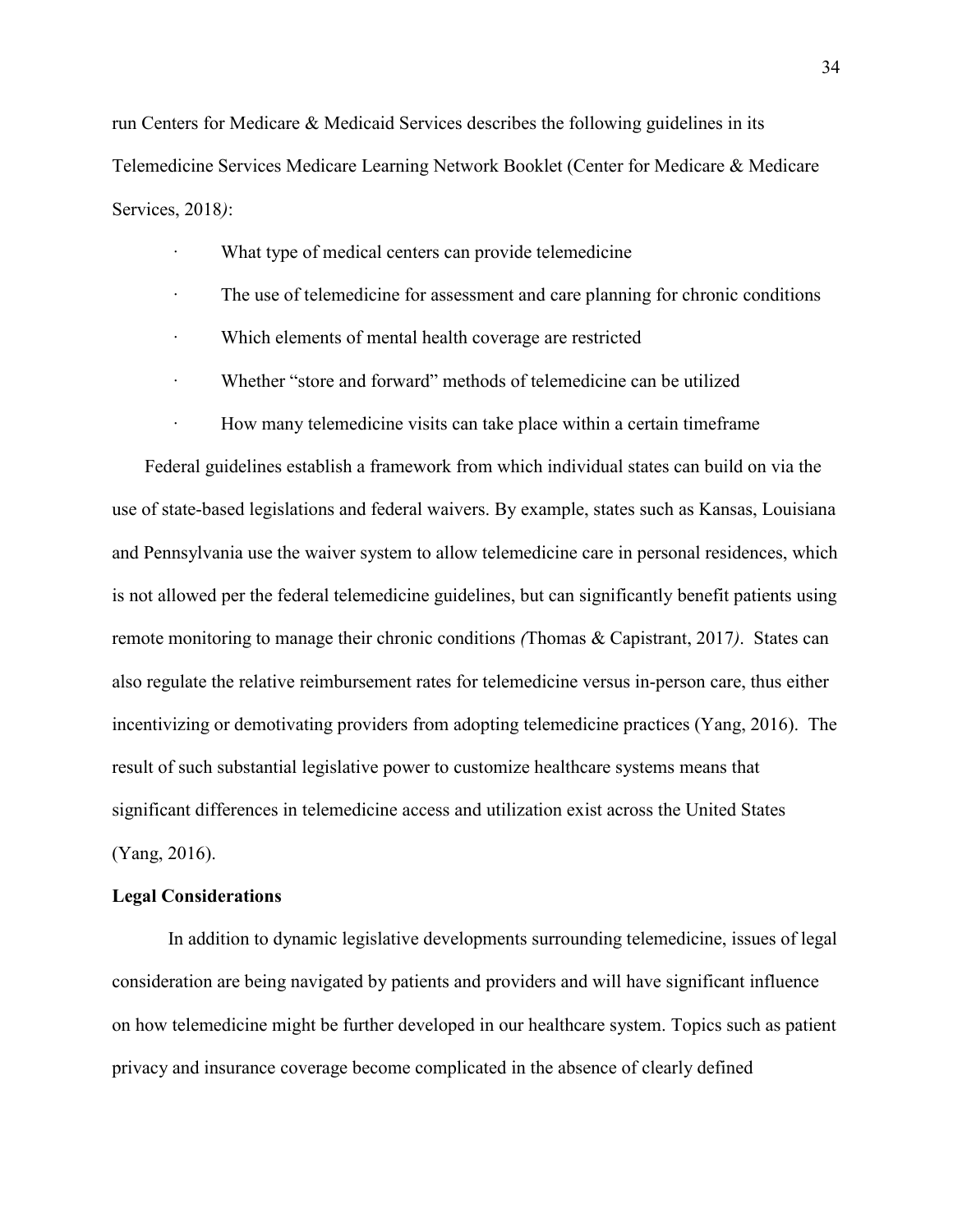run Centers for Medicare & Medicaid Services describes the following guidelines in its Telemedicine Services Medicare Learning Network Booklet (Center for Medicare & Medicare Services, 2018*)*:

- What type of medical centers can provide telemedicine
- · The use of telemedicine for assessment and care planning for chronic conditions
- · Which elements of mental health coverage are restricted
- · Whether "store and forward" methods of telemedicine can be utilized
- How many telemedicine visits can take place within a certain time frame

Federal guidelines establish a framework from which individual states can build on via the use of state-based legislations and federal waivers. By example, states such as Kansas, Louisiana and Pennsylvania use the waiver system to allow telemedicine care in personal residences, which is not allowed per the federal telemedicine guidelines, but can significantly benefit patients using remote monitoring to manage their chronic conditions *(*Thomas & Capistrant, 2017*)*. States can also regulate the relative reimbursement rates for telemedicine versus in-person care, thus either incentivizing or demotivating providers from adopting telemedicine practices (Yang, 2016). The result of such substantial legislative power to customize healthcare systems means that significant differences in telemedicine access and utilization exist across the United States (Yang, 2016).

#### **Legal Considerations**

In addition to dynamic legislative developments surrounding telemedicine, issues of legal consideration are being navigated by patients and providers and will have significant influence on how telemedicine might be further developed in our healthcare system. Topics such as patient privacy and insurance coverage become complicated in the absence of clearly defined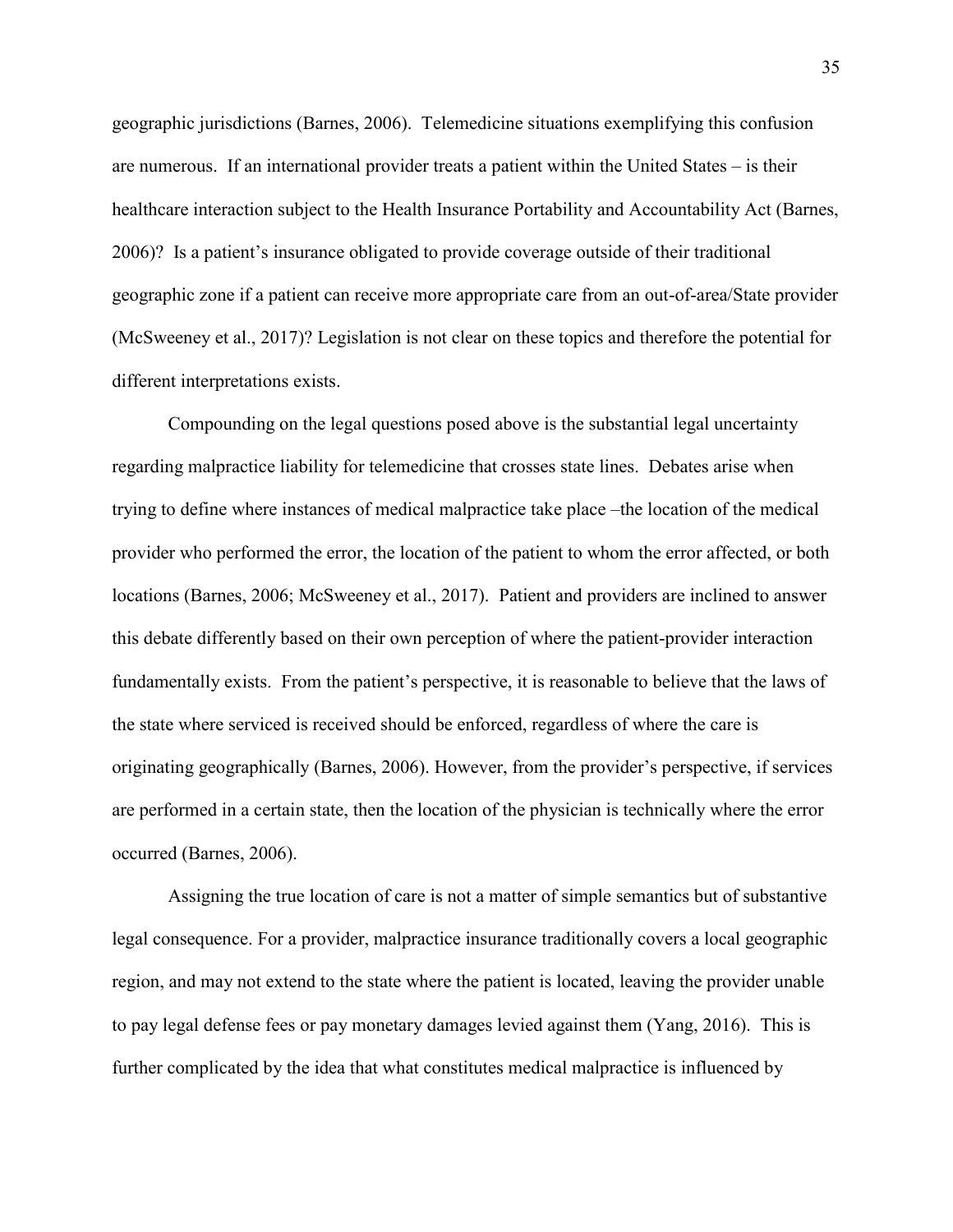geographic jurisdictions (Barnes, 2006). Telemedicine situations exemplifying this confusion are numerous. If an international provider treats a patient within the United States – is their healthcare interaction subject to the Health Insurance Portability and Accountability Act (Barnes, 2006)? Is a patient's insurance obligated to provide coverage outside of their traditional geographic zone if a patient can receive more appropriate care from an out-of-area/State provider (McSweeney et al., 2017)? Legislation is not clear on these topics and therefore the potential for different interpretations exists.

Compounding on the legal questions posed above is the substantial legal uncertainty regarding malpractice liability for telemedicine that crosses state lines. Debates arise when trying to define where instances of medical malpractice take place –the location of the medical provider who performed the error, the location of the patient to whom the error affected, or both locations (Barnes, 2006; McSweeney et al., 2017). Patient and providers are inclined to answer this debate differently based on their own perception of where the patient-provider interaction fundamentally exists. From the patient's perspective, it is reasonable to believe that the laws of the state where serviced is received should be enforced, regardless of where the care is originating geographically (Barnes, 2006). However, from the provider's perspective, if services are performed in a certain state, then the location of the physician is technically where the error occurred (Barnes, 2006).

Assigning the true location of care is not a matter of simple semantics but of substantive legal consequence. For a provider, malpractice insurance traditionally covers a local geographic region, and may not extend to the state where the patient is located, leaving the provider unable to pay legal defense fees or pay monetary damages levied against them (Yang, 2016). This is further complicated by the idea that what constitutes medical malpractice is influenced by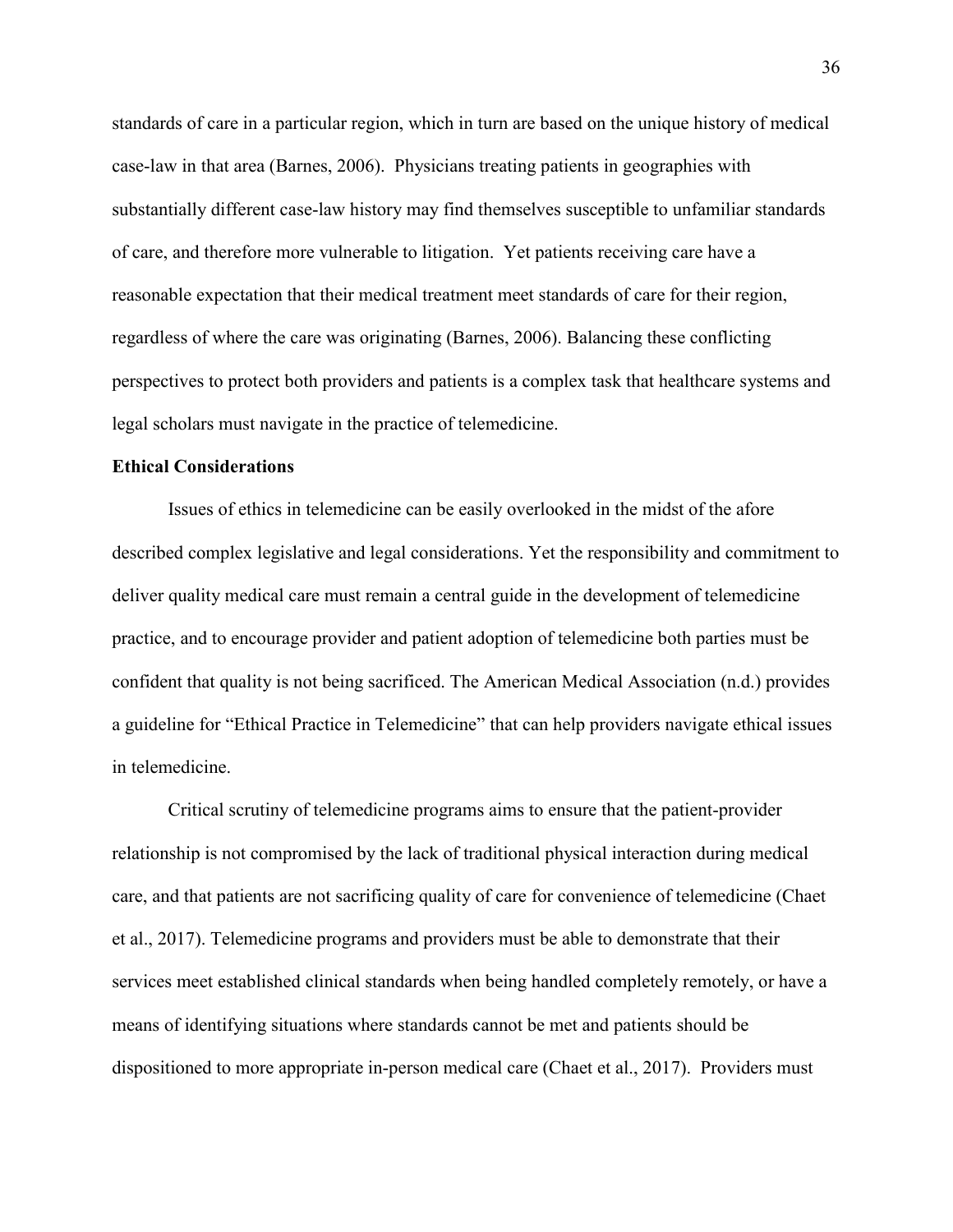standards of care in a particular region, which in turn are based on the unique history of medical case-law in that area (Barnes, 2006). Physicians treating patients in geographies with substantially different case-law history may find themselves susceptible to unfamiliar standards of care, and therefore more vulnerable to litigation. Yet patients receiving care have a reasonable expectation that their medical treatment meet standards of care for their region, regardless of where the care was originating (Barnes, 2006). Balancing these conflicting perspectives to protect both providers and patients is a complex task that healthcare systems and legal scholars must navigate in the practice of telemedicine.

### **Ethical Considerations**

Issues of ethics in telemedicine can be easily overlooked in the midst of the afore described complex legislative and legal considerations. Yet the responsibility and commitment to deliver quality medical care must remain a central guide in the development of telemedicine practice, and to encourage provider and patient adoption of telemedicine both parties must be confident that quality is not being sacrificed. The American Medical Association (n.d.) provides a guideline for "Ethical Practice in Telemedicine" that can help providers navigate ethical issues in telemedicine.

Critical scrutiny of telemedicine programs aims to ensure that the patient-provider relationship is not compromised by the lack of traditional physical interaction during medical care, and that patients are not sacrificing quality of care for convenience of telemedicine (Chaet et al., 2017). Telemedicine programs and providers must be able to demonstrate that their services meet established clinical standards when being handled completely remotely, or have a means of identifying situations where standards cannot be met and patients should be dispositioned to more appropriate in-person medical care (Chaet et al., 2017). Providers must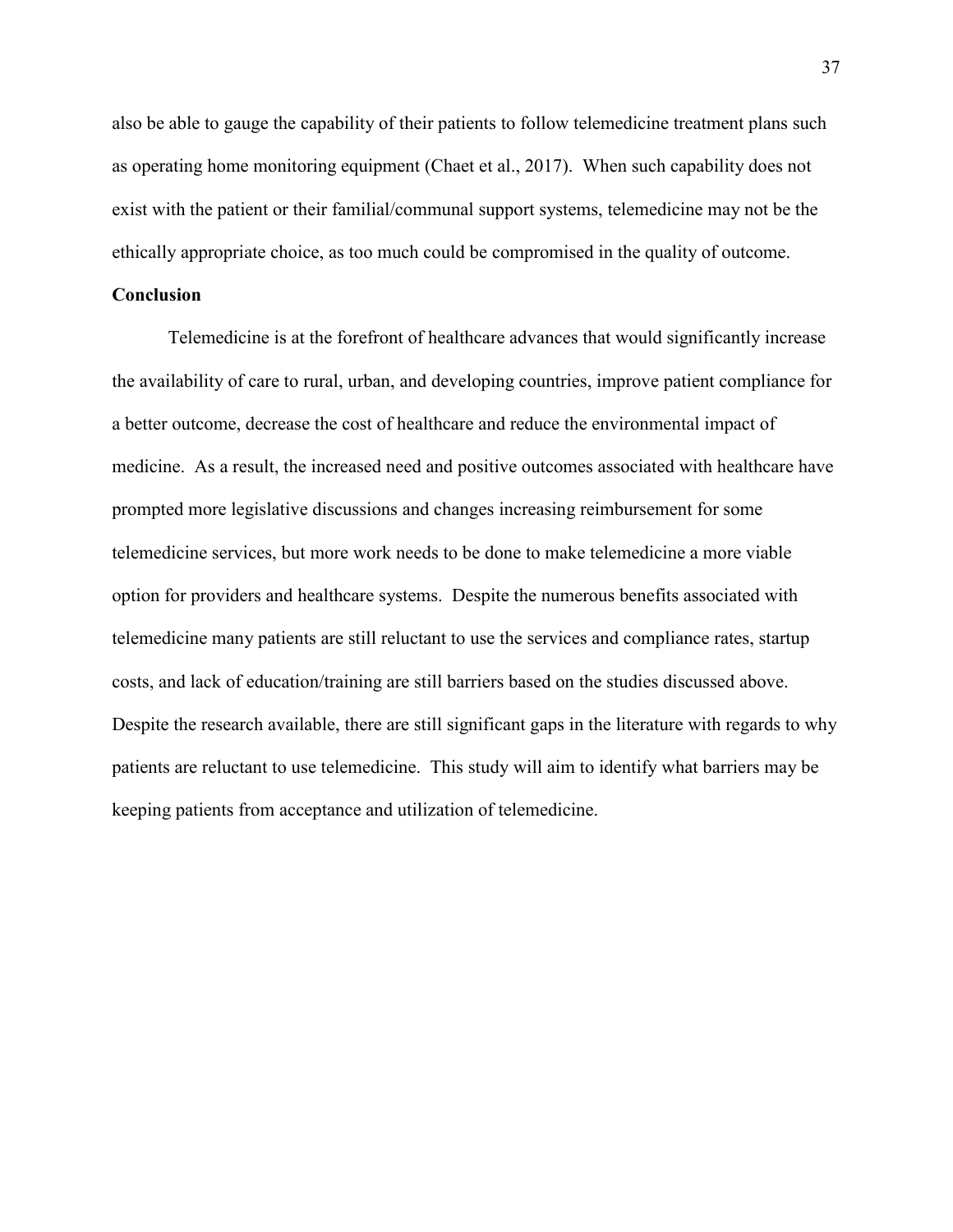also be able to gauge the capability of their patients to follow telemedicine treatment plans such as operating home monitoring equipment (Chaet et al., 2017). When such capability does not exist with the patient or their familial/communal support systems, telemedicine may not be the ethically appropriate choice, as too much could be compromised in the quality of outcome.

## **Conclusion**

Telemedicine is at the forefront of healthcare advances that would significantly increase the availability of care to rural, urban, and developing countries, improve patient compliance for a better outcome, decrease the cost of healthcare and reduce the environmental impact of medicine. As a result, the increased need and positive outcomes associated with healthcare have prompted more legislative discussions and changes increasing reimbursement for some telemedicine services, but more work needs to be done to make telemedicine a more viable option for providers and healthcare systems. Despite the numerous benefits associated with telemedicine many patients are still reluctant to use the services and compliance rates, startup costs, and lack of education/training are still barriers based on the studies discussed above. Despite the research available, there are still significant gaps in the literature with regards to why patients are reluctant to use telemedicine. This study will aim to identify what barriers may be keeping patients from acceptance and utilization of telemedicine.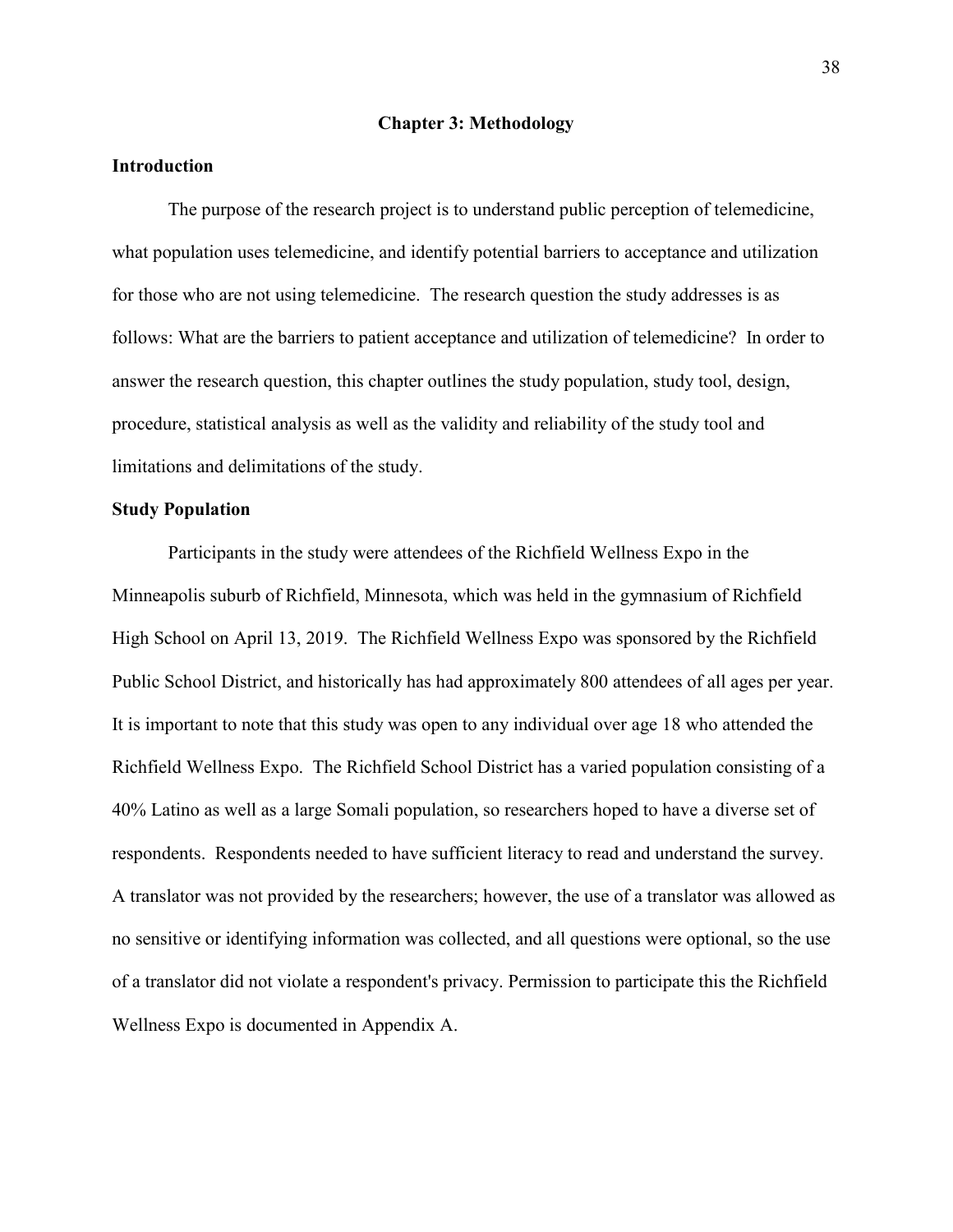#### **Chapter 3: Methodology**

## **Introduction**

The purpose of the research project is to understand public perception of telemedicine, what population uses telemedicine, and identify potential barriers to acceptance and utilization for those who are not using telemedicine. The research question the study addresses is as follows: What are the barriers to patient acceptance and utilization of telemedicine?In order to answer the research question, this chapter outlines the study population, study tool, design, procedure, statistical analysis as well as the validity and reliability of the study tool and limitations and delimitations of the study.

### **Study Population**

Participants in the study were attendees of the Richfield Wellness Expo in the Minneapolis suburb of Richfield, Minnesota, which was held in the gymnasium of Richfield High School on April 13, 2019. The Richfield Wellness Expo was sponsored by the Richfield Public School District, and historically has had approximately 800 attendees of all ages per year. It is important to note that this study was open to any individual over age 18 who attended the Richfield Wellness Expo. The Richfield School District has a varied population consisting of a 40% Latino as well as a large Somali population, so researchers hoped to have a diverse set of respondents. Respondents needed to have sufficient literacy to read and understand the survey. A translator was not provided by the researchers; however, the use of a translator was allowed as no sensitive or identifying information was collected, and all questions were optional, so the use of a translator did not violate a respondent's privacy. Permission to participate this the Richfield Wellness Expo is documented in Appendix A.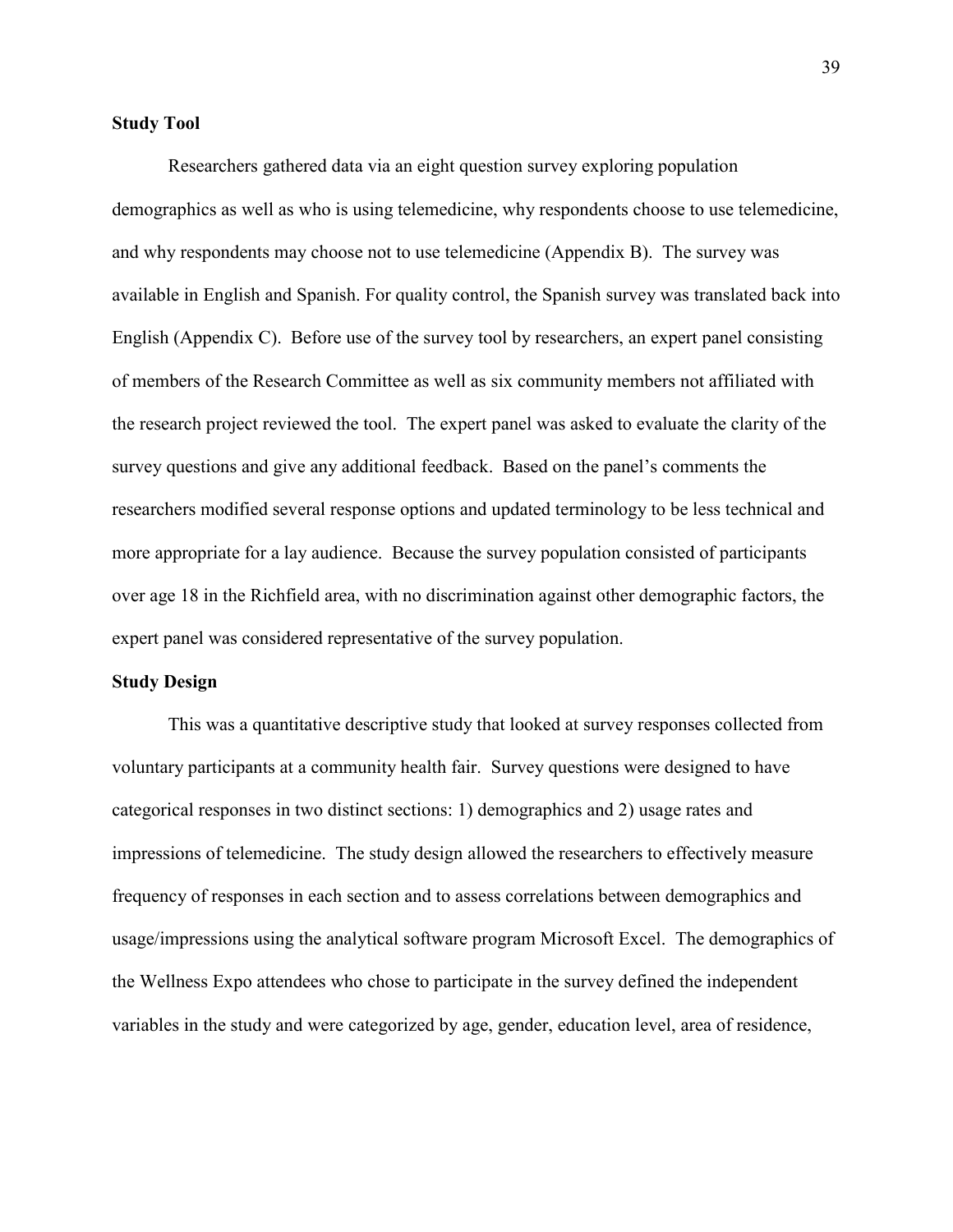## **Study Tool**

Researchers gathered data via an eight question survey exploring population demographics as well as who is using telemedicine, why respondents choose to use telemedicine, and why respondents may choose not to use telemedicine (Appendix B). The survey was available in English and Spanish. For quality control, the Spanish survey was translated back into English (Appendix C). Before use of the survey tool by researchers, an expert panel consisting of members of the Research Committee as well as six community members not affiliated with the research project reviewed the tool. The expert panel was asked to evaluate the clarity of the survey questions and give any additional feedback. Based on the panel's comments the researchers modified several response options and updated terminology to be less technical and more appropriate for a lay audience. Because the survey population consisted of participants over age 18 in the Richfield area, with no discrimination against other demographic factors, the expert panel was considered representative of the survey population.

#### **Study Design**

This was a quantitative descriptive study that looked at survey responses collected from voluntary participants at a community health fair. Survey questions were designed to have categorical responses in two distinct sections: 1) demographics and 2) usage rates and impressions of telemedicine. The study design allowed the researchers to effectively measure frequency of responses in each section and to assess correlations between demographics and usage/impressions using the analytical software program Microsoft Excel. The demographics of the Wellness Expo attendees who chose to participate in the survey defined the independent variables in the study and were categorized by age, gender, education level, area of residence,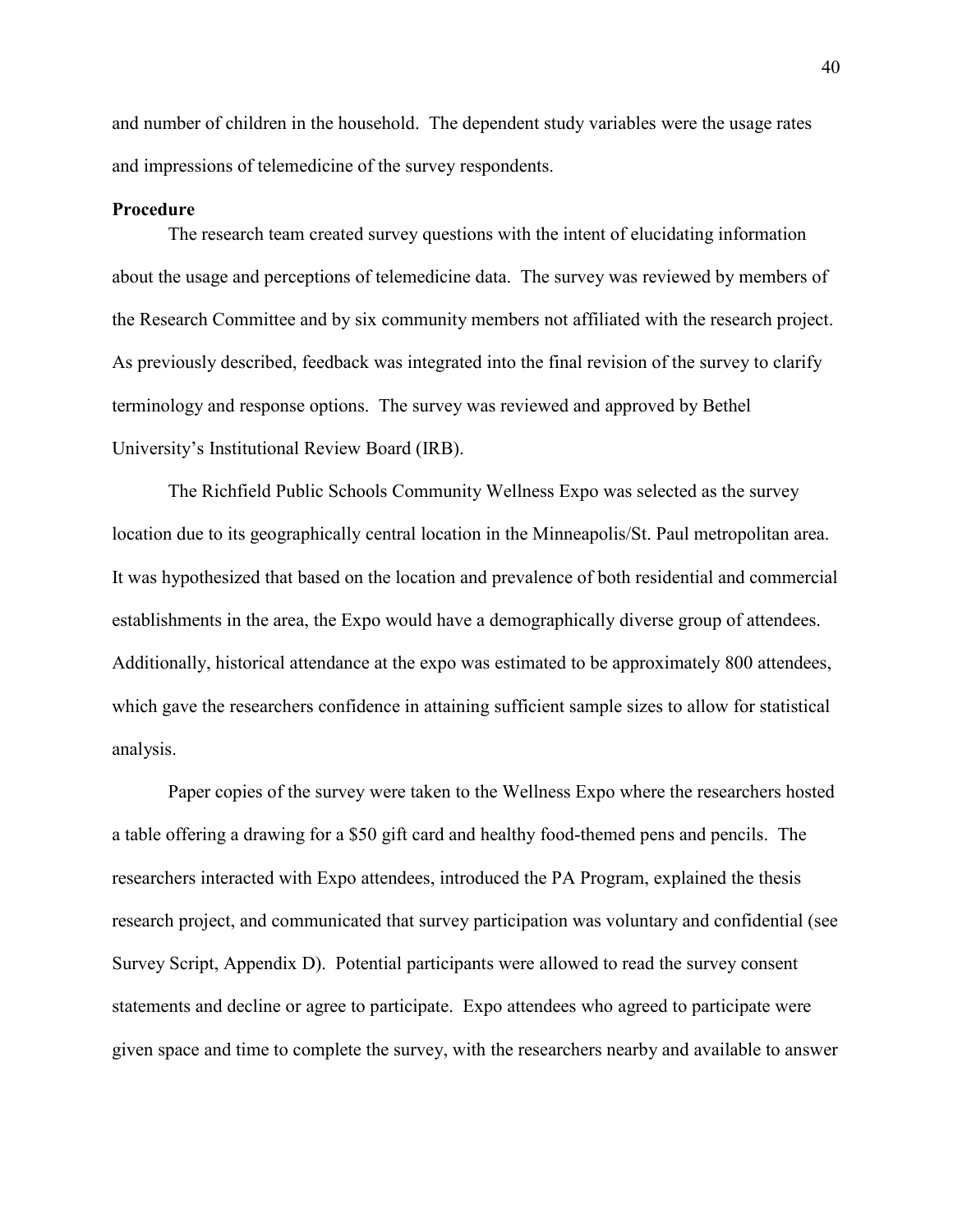and number of children in the household. The dependent study variables were the usage rates and impressions of telemedicine of the survey respondents.

### **Procedure**

 The research team created survey questions with the intent of elucidating information about the usage and perceptions of telemedicine data. The survey was reviewed by members of the Research Committee and by six community members not affiliated with the research project. As previously described, feedback was integrated into the final revision of the survey to clarify terminology and response options. The survey was reviewed and approved by Bethel University's Institutional Review Board (IRB).

The Richfield Public Schools Community Wellness Expo was selected as the survey location due to its geographically central location in the Minneapolis/St. Paul metropolitan area. It was hypothesized that based on the location and prevalence of both residential and commercial establishments in the area, the Expo would have a demographically diverse group of attendees. Additionally, historical attendance at the expo was estimated to be approximately 800 attendees, which gave the researchers confidence in attaining sufficient sample sizes to allow for statistical analysis.

Paper copies of the survey were taken to the Wellness Expo where the researchers hosted a table offering a drawing for a \$50 gift card and healthy food-themed pens and pencils. The researchers interacted with Expo attendees, introduced the PA Program, explained the thesis research project, and communicated that survey participation was voluntary and confidential (see Survey Script, Appendix D). Potential participants were allowed to read the survey consent statements and decline or agree to participate. Expo attendees who agreed to participate were given space and time to complete the survey, with the researchers nearby and available to answer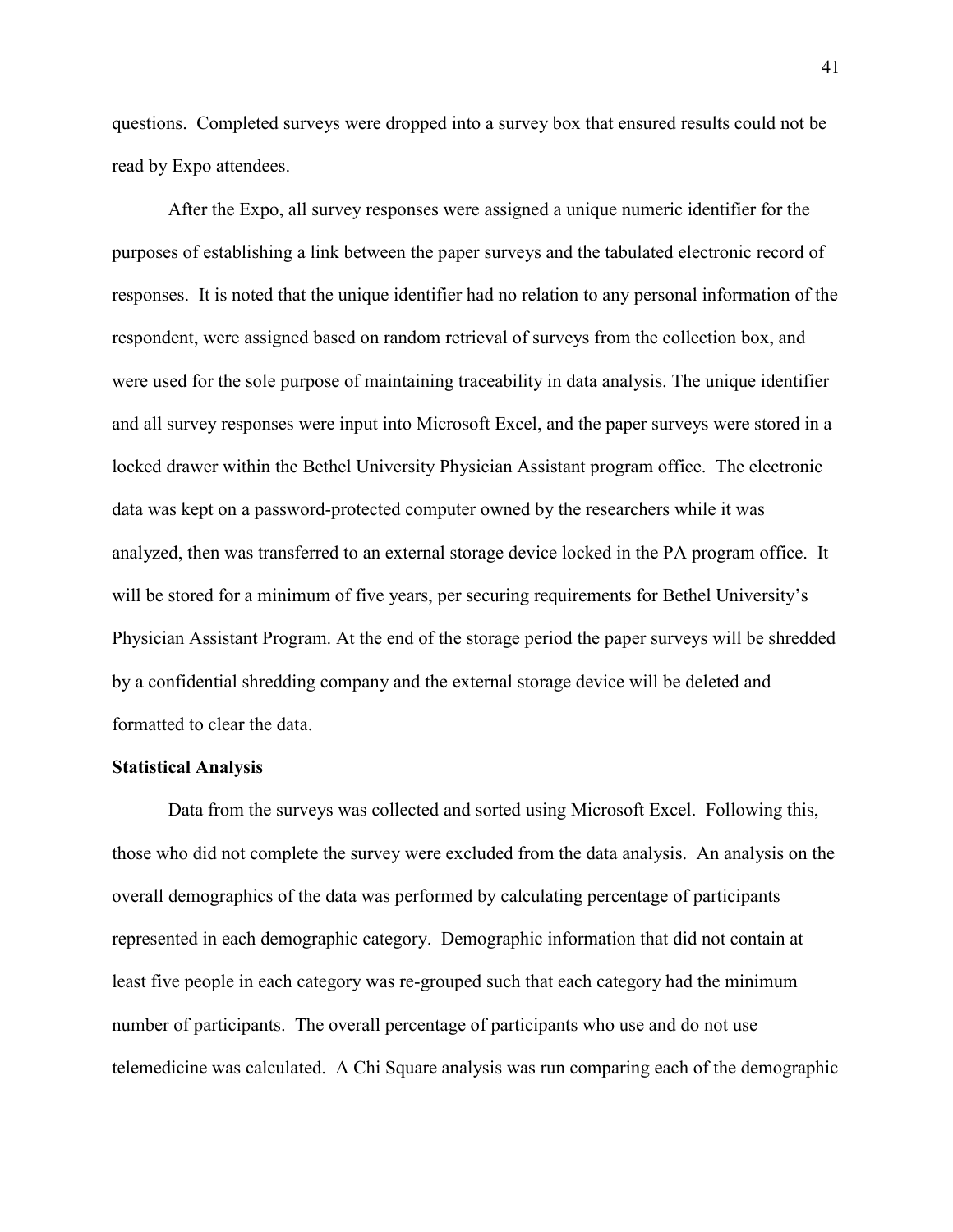questions. Completed surveys were dropped into a survey box that ensured results could not be read by Expo attendees.

After the Expo, all survey responses were assigned a unique numeric identifier for the purposes of establishing a link between the paper surveys and the tabulated electronic record of responses. It is noted that the unique identifier had no relation to any personal information of the respondent, were assigned based on random retrieval of surveys from the collection box, and were used for the sole purpose of maintaining traceability in data analysis. The unique identifier and all survey responses were input into Microsoft Excel, and the paper surveys were stored in a locked drawer within the Bethel University Physician Assistant program office. The electronic data was kept on a password-protected computer owned by the researchers while it was analyzed, then was transferred to an external storage device locked in the PA program office. It will be stored for a minimum of five years, per securing requirements for Bethel University's Physician Assistant Program. At the end of the storage period the paper surveys will be shredded by a confidential shredding company and the external storage device will be deleted and formatted to clear the data.

#### **Statistical Analysis**

Data from the surveys was collected and sorted using Microsoft Excel. Following this, those who did not complete the survey were excluded from the data analysis. An analysis on the overall demographics of the data was performed by calculating percentage of participants represented in each demographic category. Demographic information that did not contain at least five people in each category was re-grouped such that each category had the minimum number of participants. The overall percentage of participants who use and do not use telemedicine was calculated. A Chi Square analysis was run comparing each of the demographic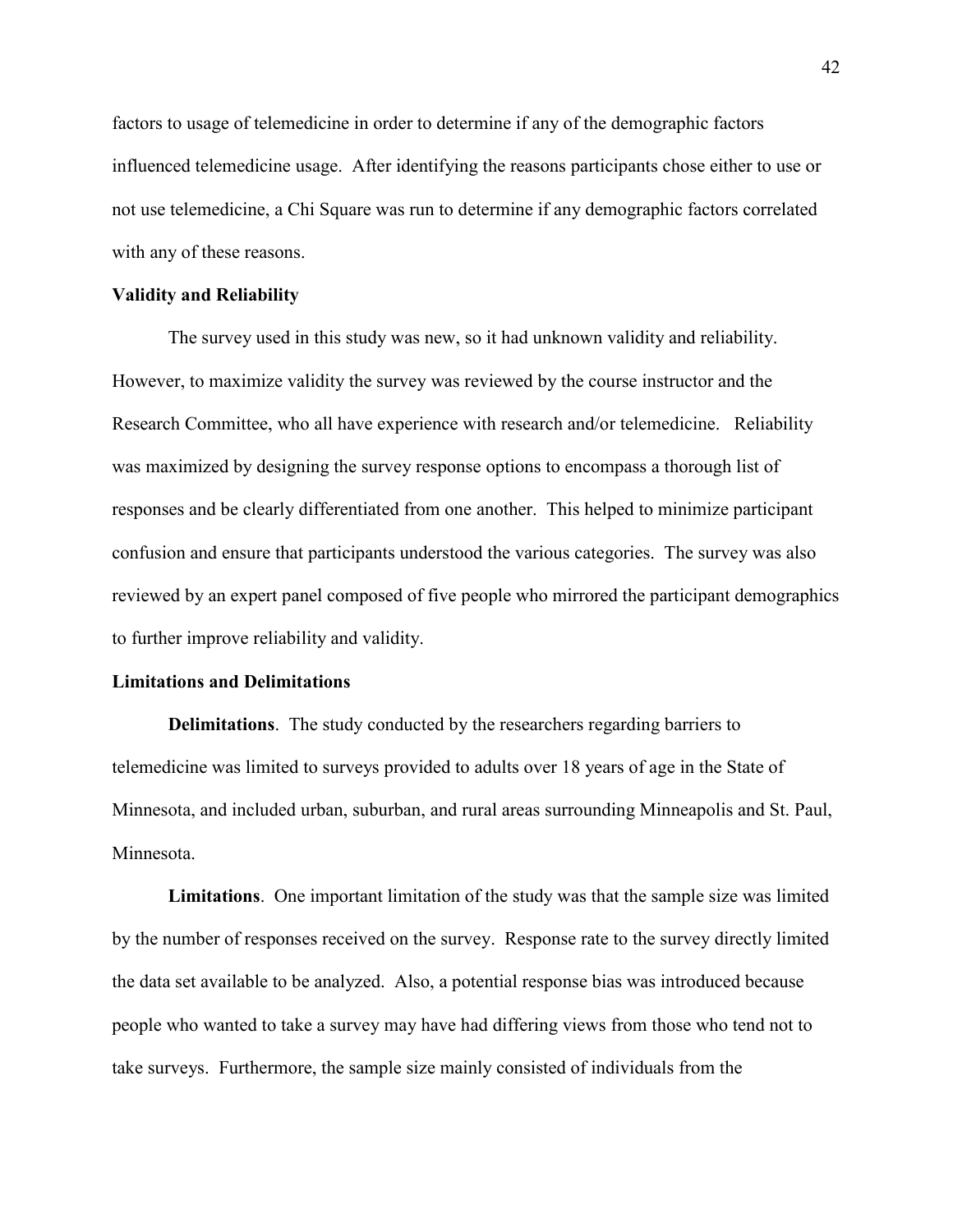factors to usage of telemedicine in order to determine if any of the demographic factors influenced telemedicine usage. After identifying the reasons participants chose either to use or not use telemedicine, a Chi Square was run to determine if any demographic factors correlated with any of these reasons.

### **Validity and Reliability**

 The survey used in this study was new, so it had unknown validity and reliability. However, to maximize validity the survey was reviewed by the course instructor and the Research Committee, who all have experience with research and/or telemedicine. Reliability was maximized by designing the survey response options to encompass a thorough list of responses and be clearly differentiated from one another. This helped to minimize participant confusion and ensure that participants understood the various categories. The survey was also reviewed by an expert panel composed of five people who mirrored the participant demographics to further improve reliability and validity.

## **Limitations and Delimitations**

**Delimitations**. The study conducted by the researchers regarding barriers to telemedicine was limited to surveys provided to adults over 18 years of age in the State of Minnesota, and included urban, suburban, and rural areas surrounding Minneapolis and St. Paul, Minnesota.

**Limitations**. One important limitation of the study was that the sample size was limited by the number of responses received on the survey. Response rate to the survey directly limited the data set available to be analyzed. Also, a potential response bias was introduced because people who wanted to take a survey may have had differing views from those who tend not to take surveys. Furthermore, the sample size mainly consisted of individuals from the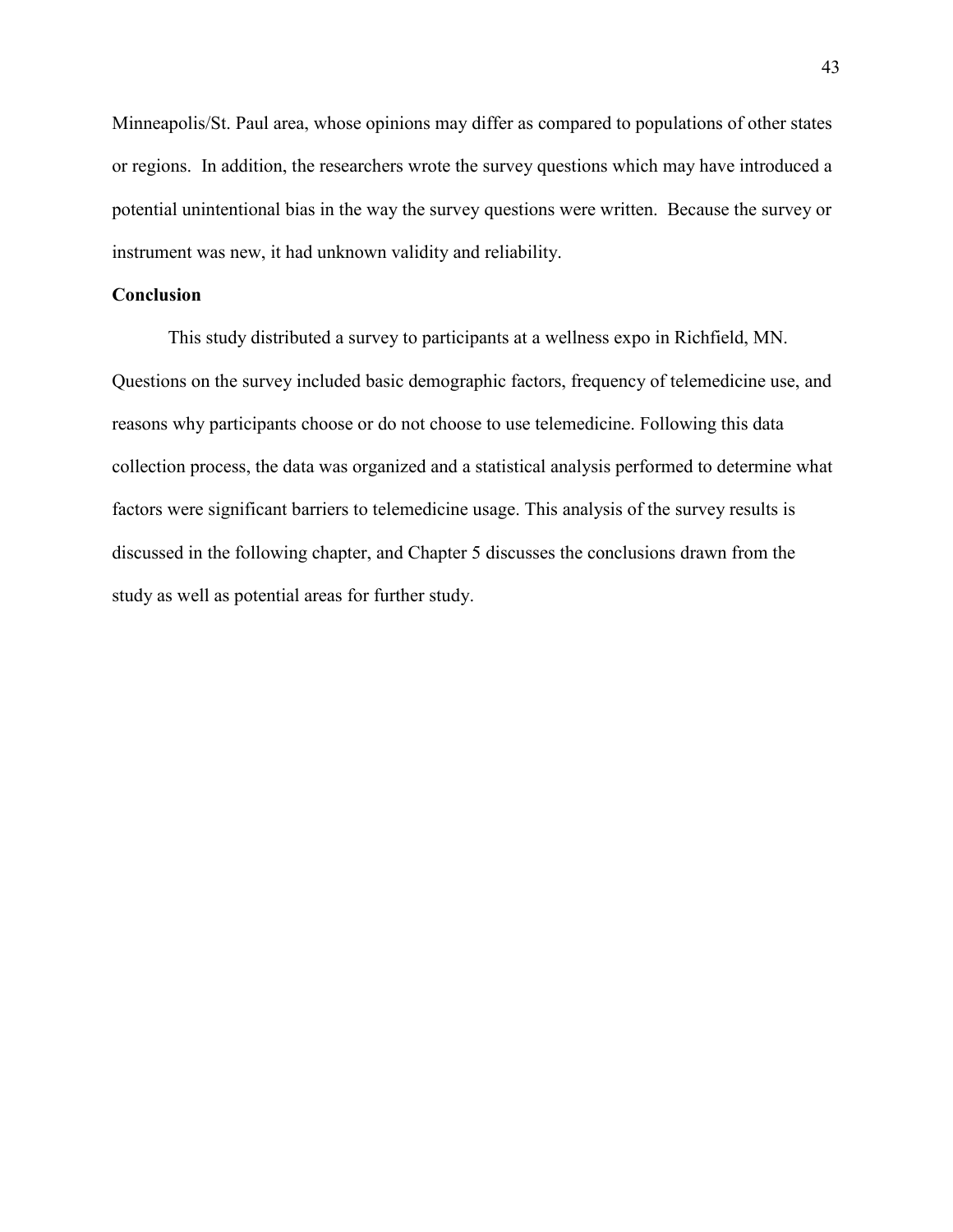Minneapolis/St. Paul area, whose opinions may differ as compared to populations of other states or regions. In addition, the researchers wrote the survey questions which may have introduced a potential unintentional bias in the way the survey questions were written. Because the survey or instrument was new, it had unknown validity and reliability.

# **Conclusion**

This study distributed a survey to participants at a wellness expo in Richfield, MN. Questions on the survey included basic demographic factors, frequency of telemedicine use, and reasons why participants choose or do not choose to use telemedicine. Following this data collection process, the data was organized and a statistical analysis performed to determine what factors were significant barriers to telemedicine usage. This analysis of the survey results is discussed in the following chapter, and Chapter 5 discusses the conclusions drawn from the study as well as potential areas for further study.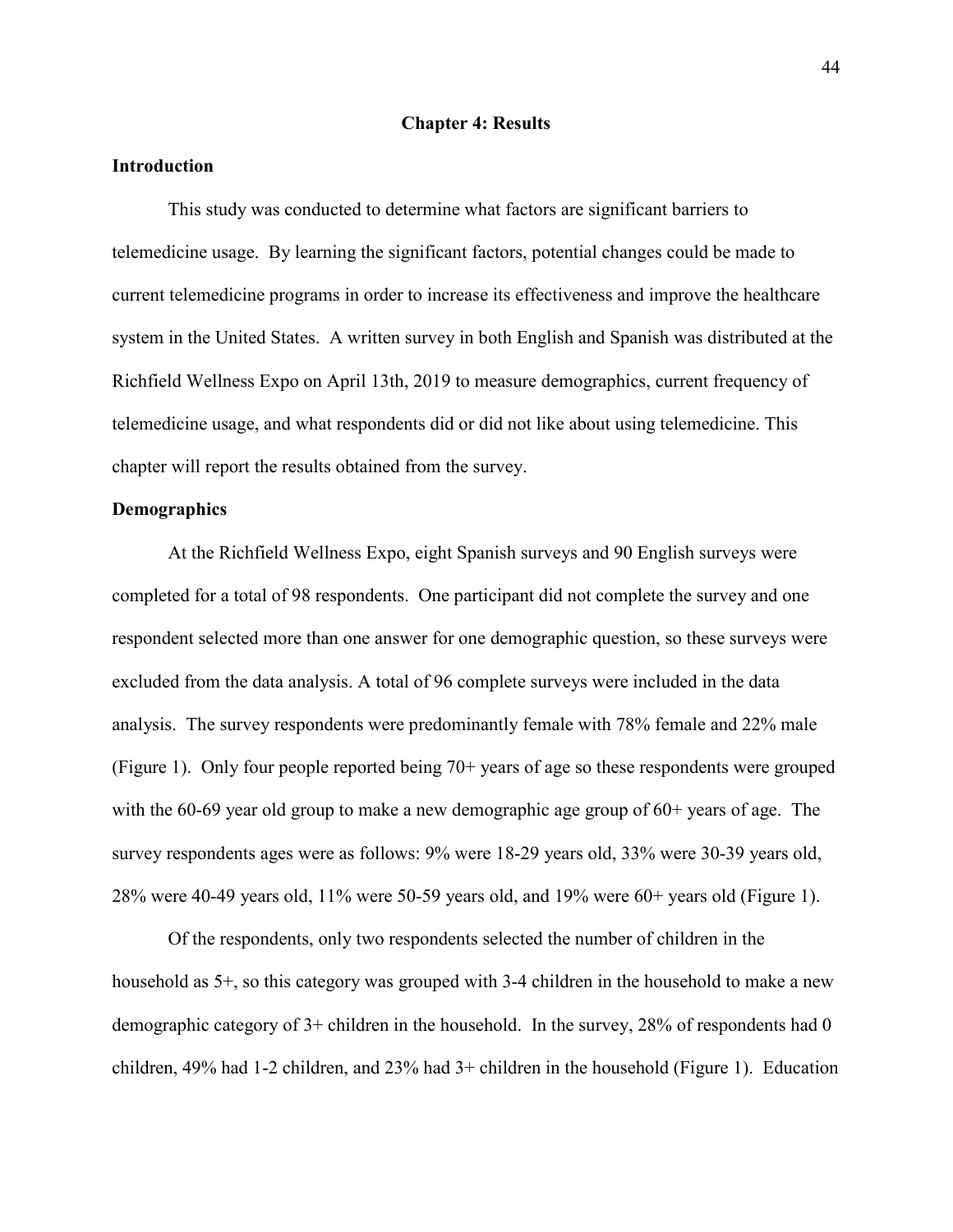#### **Chapter 4: Results**

### **Introduction**

This study was conducted to determine what factors are significant barriers to telemedicine usage. By learning the significant factors, potential changes could be made to current telemedicine programs in order to increase its effectiveness and improve the healthcare system in the United States. A written survey in both English and Spanish was distributed at the Richfield Wellness Expo on April 13th, 2019 to measure demographics, current frequency of telemedicine usage, and what respondents did or did not like about using telemedicine. This chapter will report the results obtained from the survey.

## **Demographics**

 At the Richfield Wellness Expo, eight Spanish surveys and 90 English surveys were completed for a total of 98 respondents. One participant did not complete the survey and one respondent selected more than one answer for one demographic question, so these surveys were excluded from the data analysis. A total of 96 complete surveys were included in the data analysis. The survey respondents were predominantly female with 78% female and 22% male (Figure 1). Only four people reported being 70+ years of age so these respondents were grouped with the 60-69 year old group to make a new demographic age group of 60+ years of age. The survey respondents ages were as follows: 9% were 18-29 years old, 33% were 30-39 years old, 28% were 40-49 years old, 11% were 50-59 years old, and 19% were 60+ years old (Figure 1).

Of the respondents, only two respondents selected the number of children in the household as 5<sup>+</sup>, so this category was grouped with 3-4 children in the household to make a new demographic category of 3+ children in the household. In the survey, 28% of respondents had 0 children, 49% had 1-2 children, and 23% had 3+ children in the household (Figure 1). Education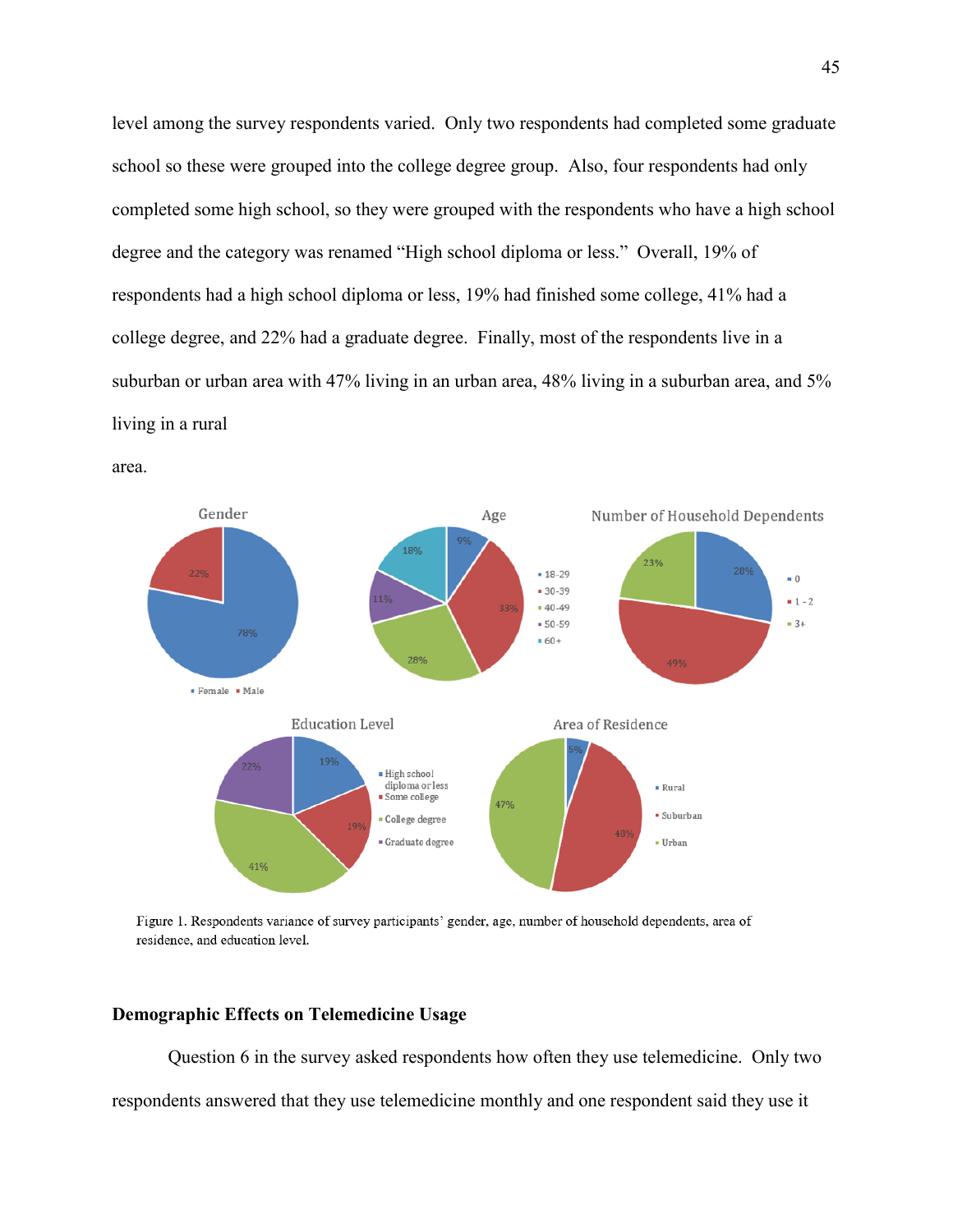level among the survey respondents varied. Only two respondents had completed some graduate school so these were grouped into the college degree group. Also, four respondents had only completed some high school, so they were grouped with the respondents who have a high school degree and the category was renamed "High school diploma or less." Overall, 19% of respondents had a high school diploma or less, 19% had finished some college, 41% had a college degree, and 22% had a graduate degree. Finally, most of the respondents live in a suburban or urban area with 47% living in an urban area, 48% living in a suburban area, and 5% living in a rural





Figure 1. Respondents variance of survey participants' gender, age, number of household dependents, area of residence, and education level.

# **Demographic Effects on Telemedicine Usage**

 Question 6 in the survey asked respondents how often they use telemedicine. Only two respondents answered that they use telemedicine monthly and one respondent said they use it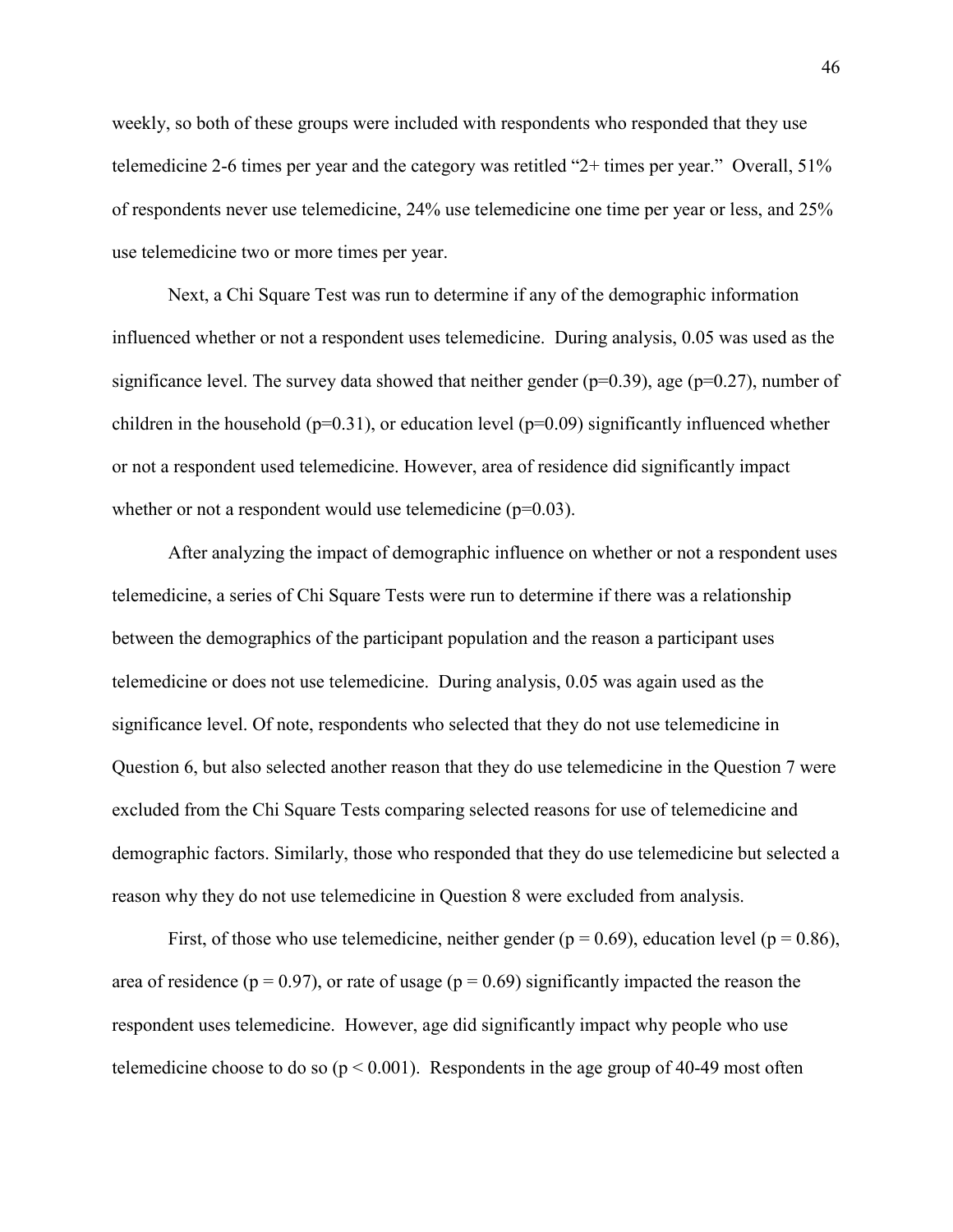weekly, so both of these groups were included with respondents who responded that they use telemedicine 2-6 times per year and the category was retitled "2+ times per year." Overall, 51% of respondents never use telemedicine, 24% use telemedicine one time per year or less, and 25% use telemedicine two or more times per year.

 Next, a Chi Square Test was run to determine if any of the demographic information influenced whether or not a respondent uses telemedicine. During analysis, 0.05 was used as the significance level. The survey data showed that neither gender ( $p=0.39$ ), age ( $p=0.27$ ), number of children in the household ( $p=0.31$ ), or education level ( $p=0.09$ ) significantly influenced whether or not a respondent used telemedicine. However, area of residence did significantly impact whether or not a respondent would use telemedicine  $(p=0.03)$ .

After analyzing the impact of demographic influence on whether or not a respondent uses telemedicine, a series of Chi Square Tests were run to determine if there was a relationship between the demographics of the participant population and the reason a participant uses telemedicine or does not use telemedicine. During analysis, 0.05 was again used as the significance level. Of note, respondents who selected that they do not use telemedicine in Question 6, but also selected another reason that they do use telemedicine in the Question 7 were excluded from the Chi Square Tests comparing selected reasons for use of telemedicine and demographic factors. Similarly, those who responded that they do use telemedicine but selected a reason why they do not use telemedicine in Question 8 were excluded from analysis.

First, of those who use telemedicine, neither gender ( $p = 0.69$ ), education level ( $p = 0.86$ ), area of residence ( $p = 0.97$ ), or rate of usage ( $p = 0.69$ ) significantly impacted the reason the respondent uses telemedicine. However, age did significantly impact why people who use telemedicine choose to do so ( $p < 0.001$ ). Respondents in the age group of 40-49 most often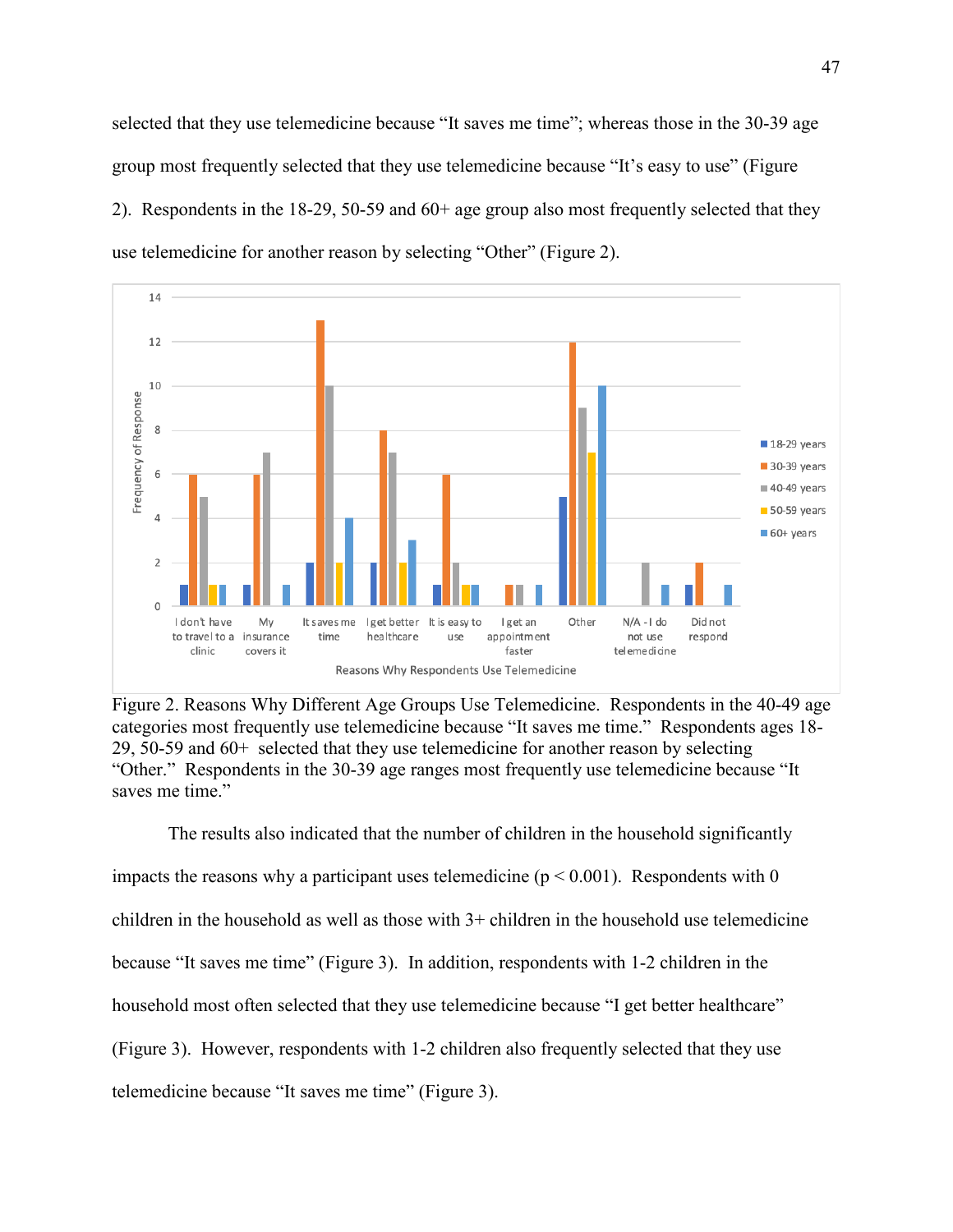selected that they use telemedicine because "It saves me time"; whereas those in the 30-39 age group most frequently selected that they use telemedicine because "It's easy to use" (Figure 2). Respondents in the 18-29, 50-59 and 60+ age group also most frequently selected that they use telemedicine for another reason by selecting "Other" (Figure 2).



Figure 2. Reasons Why Different Age Groups Use Telemedicine. Respondents in the 40-49 age categories most frequently use telemedicine because "It saves me time." Respondents ages 18- 29, 50-59 and 60+ selected that they use telemedicine for another reason by selecting "Other." Respondents in the 30-39 age ranges most frequently use telemedicine because "It saves me time."

The results also indicated that the number of children in the household significantly impacts the reasons why a participant uses telemedicine ( $p < 0.001$ ). Respondents with 0 children in the household as well as those with  $3+$  children in the household use telemedicine because "It saves me time" (Figure 3). In addition, respondents with 1-2 children in the household most often selected that they use telemedicine because "I get better healthcare" (Figure 3). However, respondents with 1-2 children also frequently selected that they use telemedicine because "It saves me time" (Figure 3).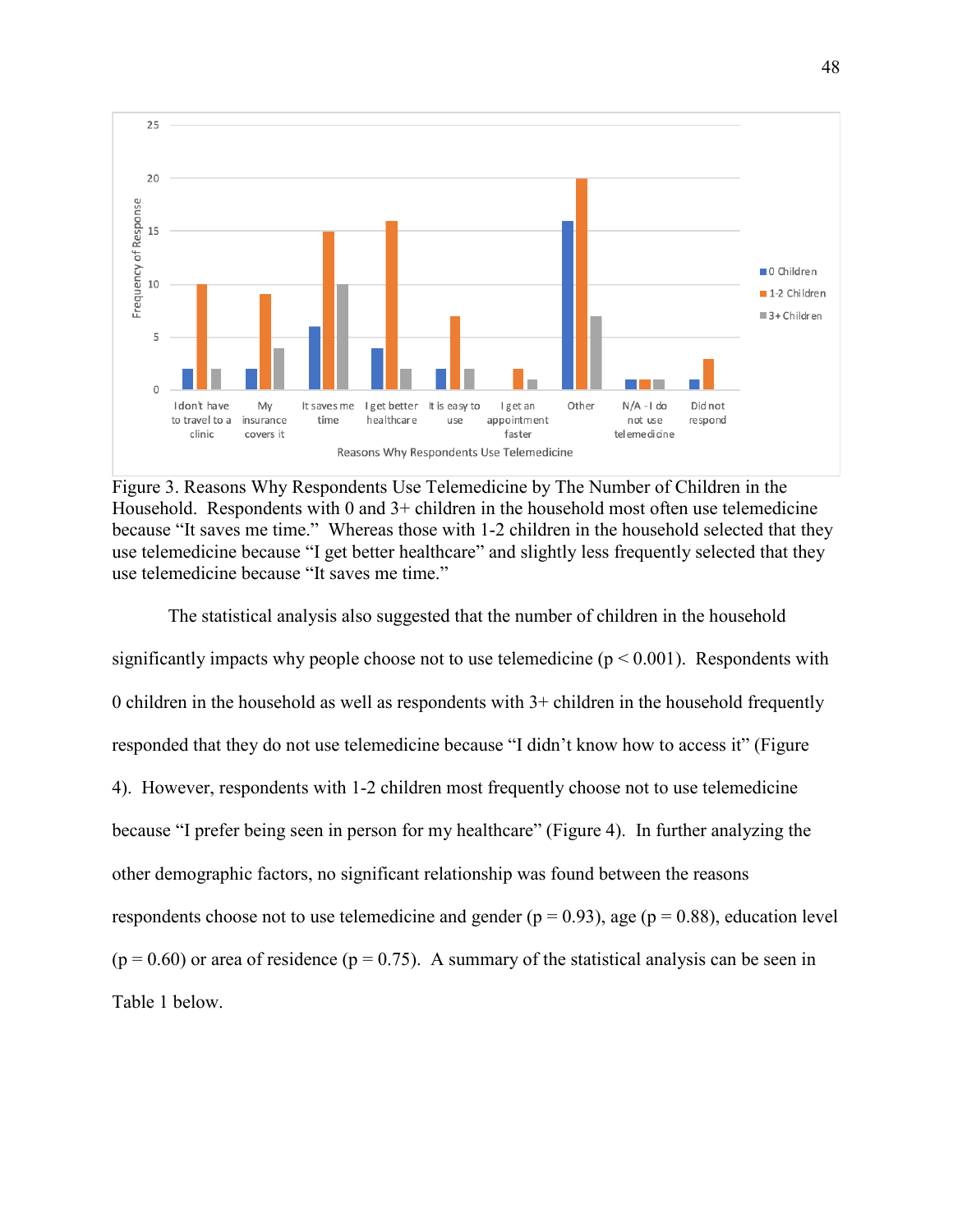

Figure 3. Reasons Why Respondents Use Telemedicine by The Number of Children in the Household. Respondents with  $0$  and  $3+$  children in the household most often use telemedicine because "It saves me time." Whereas those with 1-2 children in the household selected that they use telemedicine because "I get better healthcare" and slightly less frequently selected that they use telemedicine because "It saves me time."

The statistical analysis also suggested that the number of children in the household significantly impacts why people choose not to use telemedicine ( $p < 0.001$ ). Respondents with 0 children in the household as well as respondents with  $3+$  children in the household frequently responded that they do not use telemedicine because "I didn't know how to access it" (Figure 4). However, respondents with 1-2 children most frequently choose not to use telemedicine because "I prefer being seen in person for my healthcare" (Figure 4). In further analyzing the other demographic factors, no significant relationship was found between the reasons respondents choose not to use telemedicine and gender ( $p = 0.93$ ), age ( $p = 0.88$ ), education level  $(p = 0.60)$  or area of residence  $(p = 0.75)$ . A summary of the statistical analysis can be seen in Table 1 below.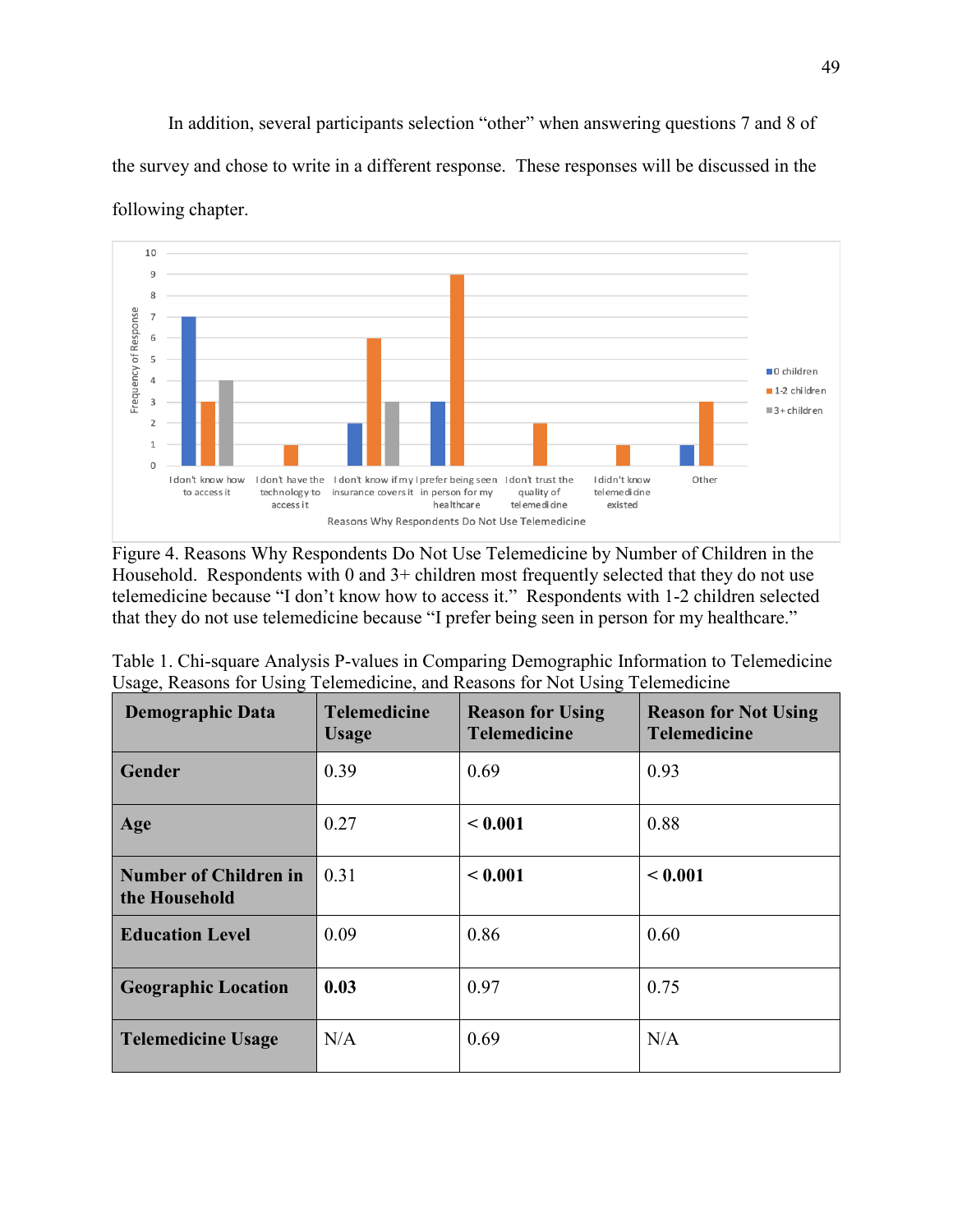In addition, several participants selection "other" when answering questions 7 and 8 of the survey and chose to write in a different response. These responses will be discussed in the following chapter.



Figure 4. Reasons Why Respondents Do Not Use Telemedicine by Number of Children in the Household. Respondents with 0 and 3+ children most frequently selected that they do not use telemedicine because "I don't know how to access it." Respondents with 1-2 children selected that they do not use telemedicine because "I prefer being seen in person for my healthcare."

| Table 1. Chi-square Analysis P-values in Comparing Demographic Information to Telemedicine |  |  |  |  |  |
|--------------------------------------------------------------------------------------------|--|--|--|--|--|
| Usage, Reasons for Using Telemedicine, and Reasons for Not Using Telemedicine              |  |  |  |  |  |
|                                                                                            |  |  |  |  |  |

| <b>Demographic Data</b>                       | <b>Telemedicine</b><br><b>Usage</b> | <b>Reason for Using</b><br><b>Telemedicine</b> | <b>Reason for Not Using</b><br><b>Telemedicine</b> |
|-----------------------------------------------|-------------------------------------|------------------------------------------------|----------------------------------------------------|
| Gender                                        | 0.39                                | 0.69                                           | 0.93                                               |
| Age                                           | 0.27                                | < 0.001                                        | 0.88                                               |
| <b>Number of Children in</b><br>the Household | 0.31                                | < 0.001                                        | < 0.001                                            |
| <b>Education Level</b>                        | 0.09                                | 0.86                                           | 0.60                                               |
| <b>Geographic Location</b>                    | 0.03                                | 0.97                                           | 0.75                                               |
| <b>Telemedicine Usage</b>                     | N/A                                 | 0.69                                           | N/A                                                |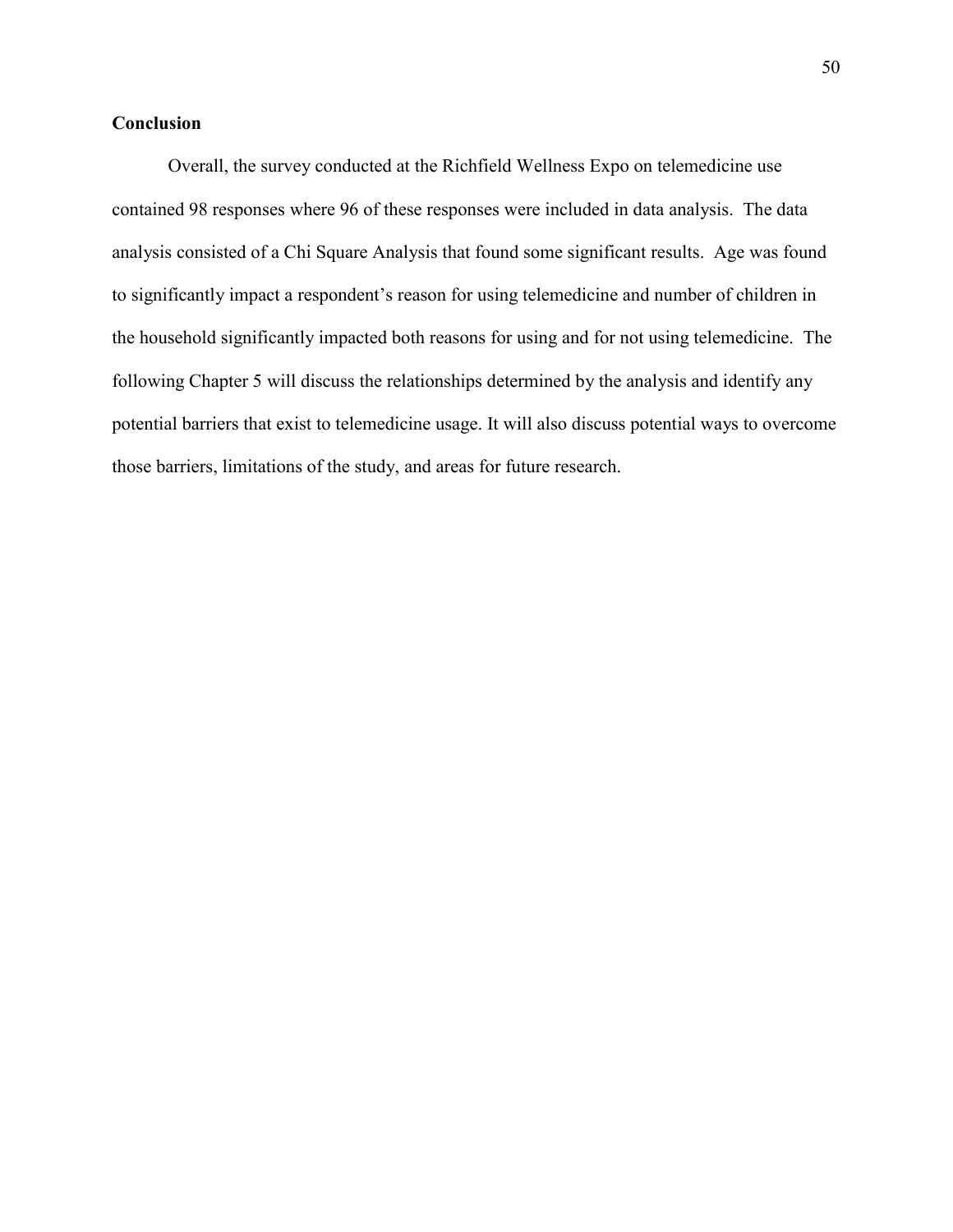# **Conclusion**

Overall, the survey conducted at the Richfield Wellness Expo on telemedicine use contained 98 responses where 96 of these responses were included in data analysis. The data analysis consisted of a Chi Square Analysis that found some significant results. Age was found to significantly impact a respondent's reason for using telemedicine and number of children in the household significantly impacted both reasons for using and for not using telemedicine. The following Chapter 5 will discuss the relationships determined by the analysis and identify any potential barriers that exist to telemedicine usage. It will also discuss potential ways to overcome those barriers, limitations of the study, and areas for future research.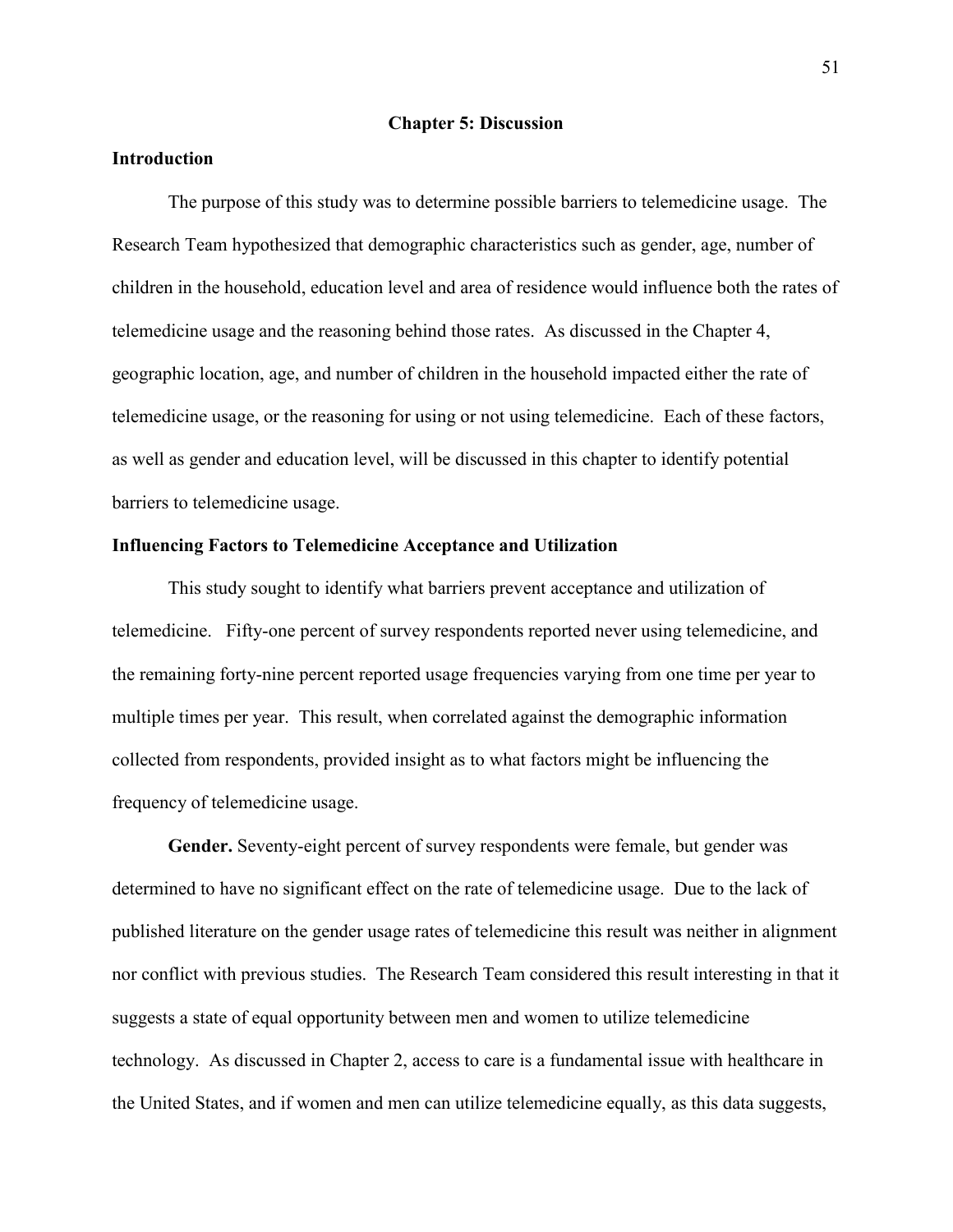#### **Chapter 5: Discussion**

### **Introduction**

The purpose of this study was to determine possible barriers to telemedicine usage. The Research Team hypothesized that demographic characteristics such as gender, age, number of children in the household, education level and area of residence would influence both the rates of telemedicine usage and the reasoning behind those rates. As discussed in the Chapter 4, geographic location, age, and number of children in the household impacted either the rate of telemedicine usage, or the reasoning for using or not using telemedicine. Each of these factors, as well as gender and education level, will be discussed in this chapter to identify potential barriers to telemedicine usage.

#### **Influencing Factors to Telemedicine Acceptance and Utilization**

This study sought to identify what barriers prevent acceptance and utilization of telemedicine. Fifty-one percent of survey respondents reported never using telemedicine, and the remaining forty-nine percent reported usage frequencies varying from one time per year to multiple times per year. This result, when correlated against the demographic information collected from respondents, provided insight as to what factors might be influencing the frequency of telemedicine usage.

**Gender.** Seventy-eight percent of survey respondents were female, but gender was determined to have no significant effect on the rate of telemedicine usage. Due to the lack of published literature on the gender usage rates of telemedicine this result was neither in alignment nor conflict with previous studies. The Research Team considered this result interesting in that it suggests a state of equal opportunity between men and women to utilize telemedicine technology. As discussed in Chapter 2, access to care is a fundamental issue with healthcare in the United States, and if women and men can utilize telemedicine equally, as this data suggests,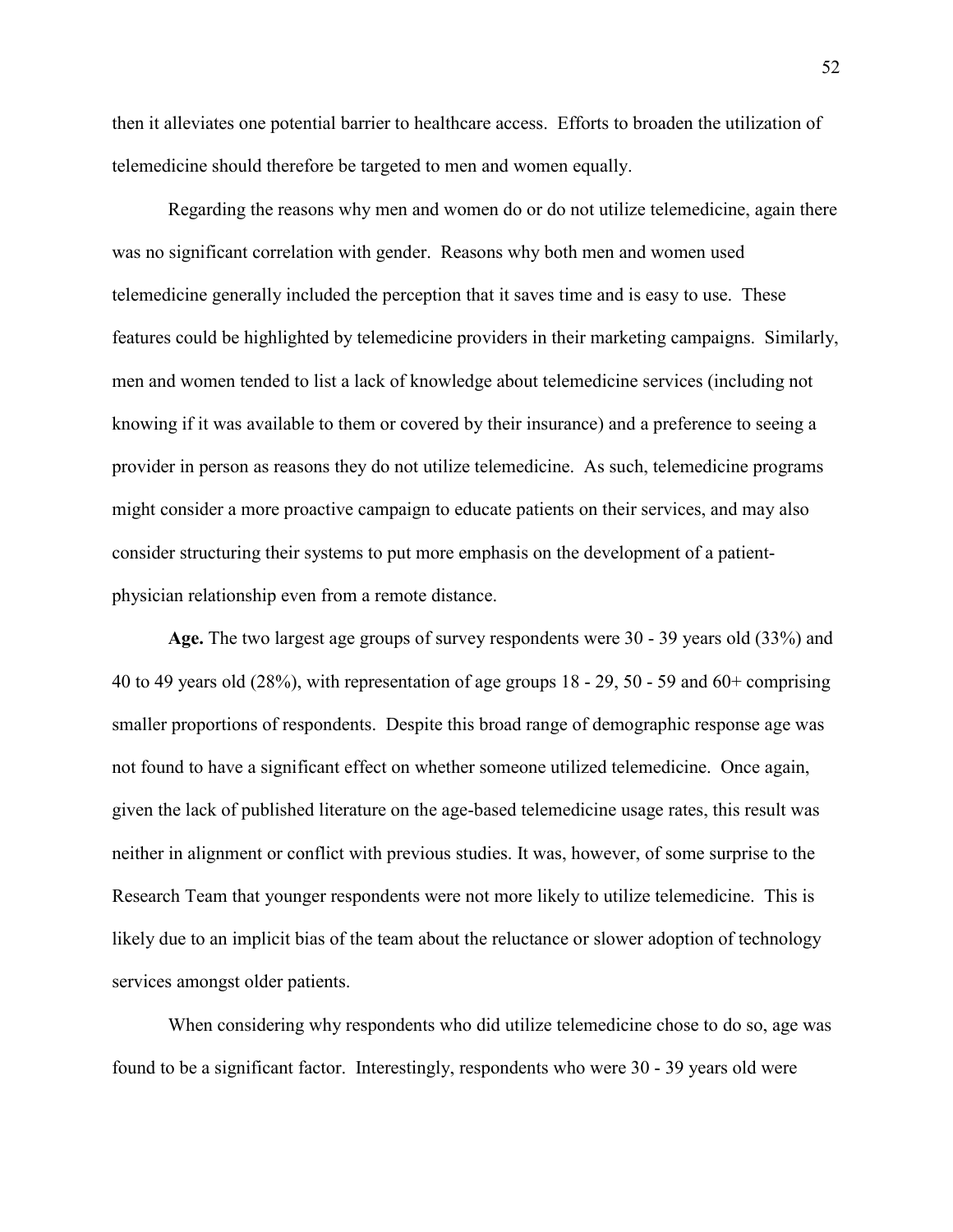then it alleviates one potential barrier to healthcare access. Efforts to broaden the utilization of telemedicine should therefore be targeted to men and women equally.

Regarding the reasons why men and women do or do not utilize telemedicine, again there was no significant correlation with gender. Reasons why both men and women used telemedicine generally included the perception that it saves time and is easy to use. These features could be highlighted by telemedicine providers in their marketing campaigns. Similarly, men and women tended to list a lack of knowledge about telemedicine services (including not knowing if it was available to them or covered by their insurance) and a preference to seeing a provider in person as reasons they do not utilize telemedicine. As such, telemedicine programs might consider a more proactive campaign to educate patients on their services, and may also consider structuring their systems to put more emphasis on the development of a patientphysician relationship even from a remote distance.

**Age.** The two largest age groups of survey respondents were 30 - 39 years old (33%) and 40 to 49 years old (28%), with representation of age groups 18 - 29, 50 - 59 and 60+ comprising smaller proportions of respondents. Despite this broad range of demographic response age was not found to have a significant effect on whether someone utilized telemedicine. Once again, given the lack of published literature on the age-based telemedicine usage rates, this result was neither in alignment or conflict with previous studies. It was, however, of some surprise to the Research Team that younger respondents were not more likely to utilize telemedicine. This is likely due to an implicit bias of the team about the reluctance or slower adoption of technology services amongst older patients.

When considering why respondents who did utilize telemedicine chose to do so, age was found to be a significant factor. Interestingly, respondents who were 30 - 39 years old were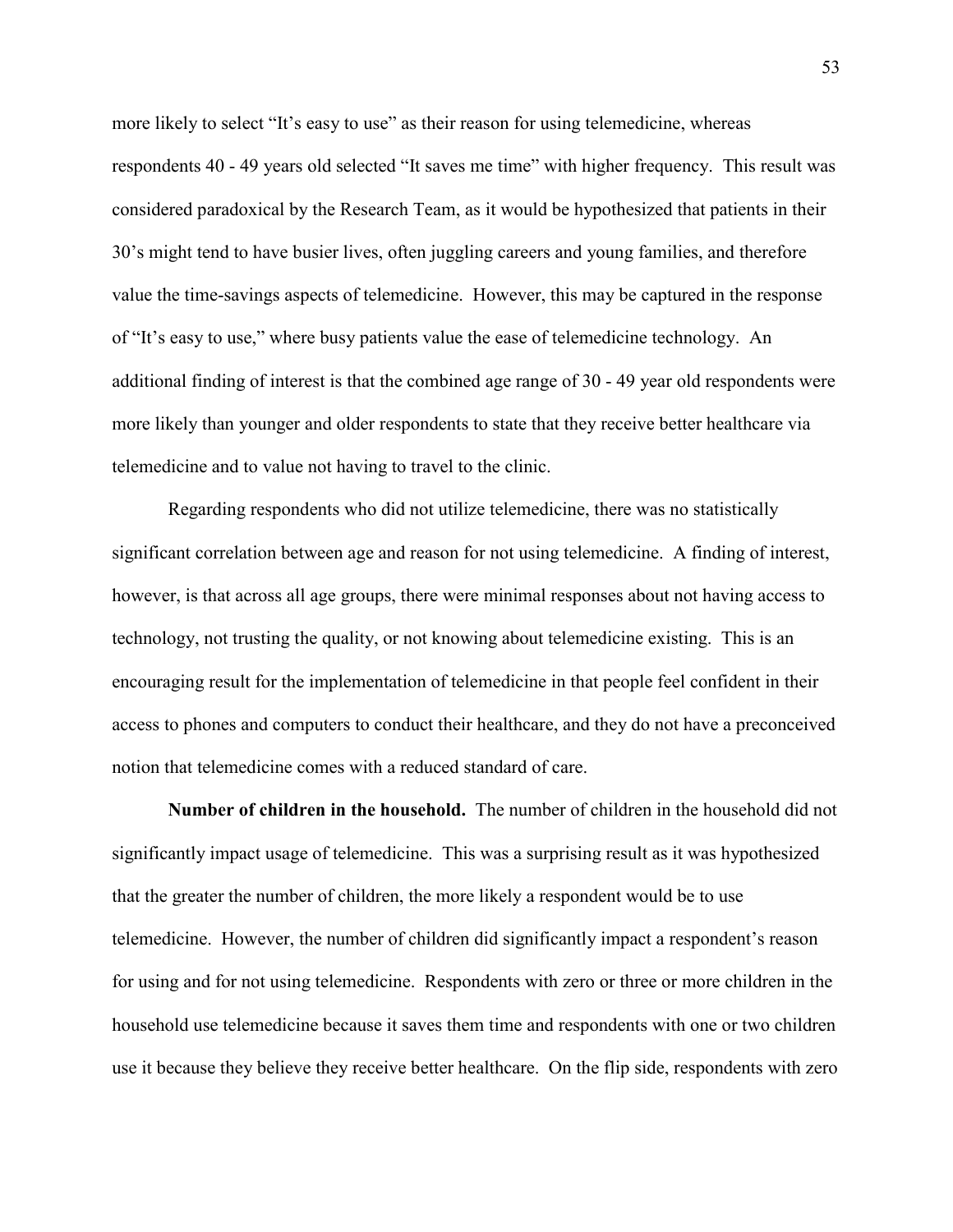more likely to select "It's easy to use" as their reason for using telemedicine, whereas respondents 40 - 49 years old selected "It saves me time" with higher frequency. This result was considered paradoxical by the Research Team, as it would be hypothesized that patients in their 30's might tend to have busier lives, often juggling careers and young families, and therefore value the time-savings aspects of telemedicine. However, this may be captured in the response of "It's easy to use," where busy patients value the ease of telemedicine technology. An additional finding of interest is that the combined age range of 30 - 49 year old respondents were more likely than younger and older respondents to state that they receive better healthcare via telemedicine and to value not having to travel to the clinic.

Regarding respondents who did not utilize telemedicine, there was no statistically significant correlation between age and reason for not using telemedicine. A finding of interest, however, is that across all age groups, there were minimal responses about not having access to technology, not trusting the quality, or not knowing about telemedicine existing. This is an encouraging result for the implementation of telemedicine in that people feel confident in their access to phones and computers to conduct their healthcare, and they do not have a preconceived notion that telemedicine comes with a reduced standard of care.

**Number of children in the household.** The number of children in the household did not significantly impact usage of telemedicine. This was a surprising result as it was hypothesized that the greater the number of children, the more likely a respondent would be to use telemedicine. However, the number of children did significantly impact a respondent's reason for using and for not using telemedicine. Respondents with zero or three or more children in the household use telemedicine because it saves them time and respondents with one or two children use it because they believe they receive better healthcare. On the flip side, respondents with zero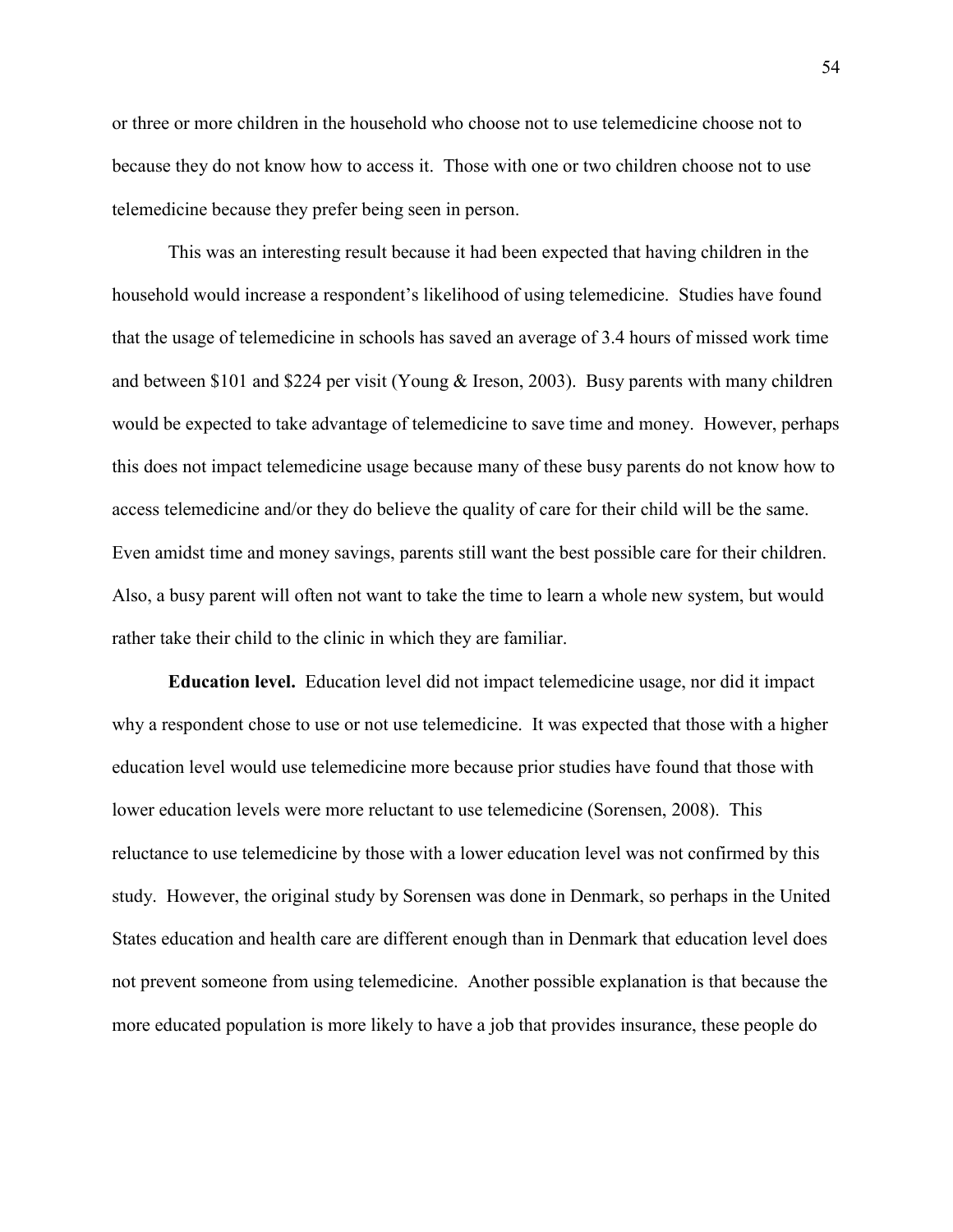or three or more children in the household who choose not to use telemedicine choose not to because they do not know how to access it. Those with one or two children choose not to use telemedicine because they prefer being seen in person.

This was an interesting result because it had been expected that having children in the household would increase a respondent's likelihood of using telemedicine. Studies have found that the usage of telemedicine in schools has saved an average of 3.4 hours of missed work time and between \$101 and \$224 per visit (Young & Ireson, 2003). Busy parents with many children would be expected to take advantage of telemedicine to save time and money. However, perhaps this does not impact telemedicine usage because many of these busy parents do not know how to access telemedicine and/or they do believe the quality of care for their child will be the same. Even amidst time and money savings, parents still want the best possible care for their children. Also, a busy parent will often not want to take the time to learn a whole new system, but would rather take their child to the clinic in which they are familiar.

 **Education level.** Education level did not impact telemedicine usage, nor did it impact why a respondent chose to use or not use telemedicine. It was expected that those with a higher education level would use telemedicine more because prior studies have found that those with lower education levels were more reluctant to use telemedicine (Sorensen, 2008). This reluctance to use telemedicine by those with a lower education level was not confirmed by this study. However, the original study by Sorensen was done in Denmark, so perhaps in the United States education and health care are different enough than in Denmark that education level does not prevent someone from using telemedicine. Another possible explanation is that because the more educated population is more likely to have a job that provides insurance, these people do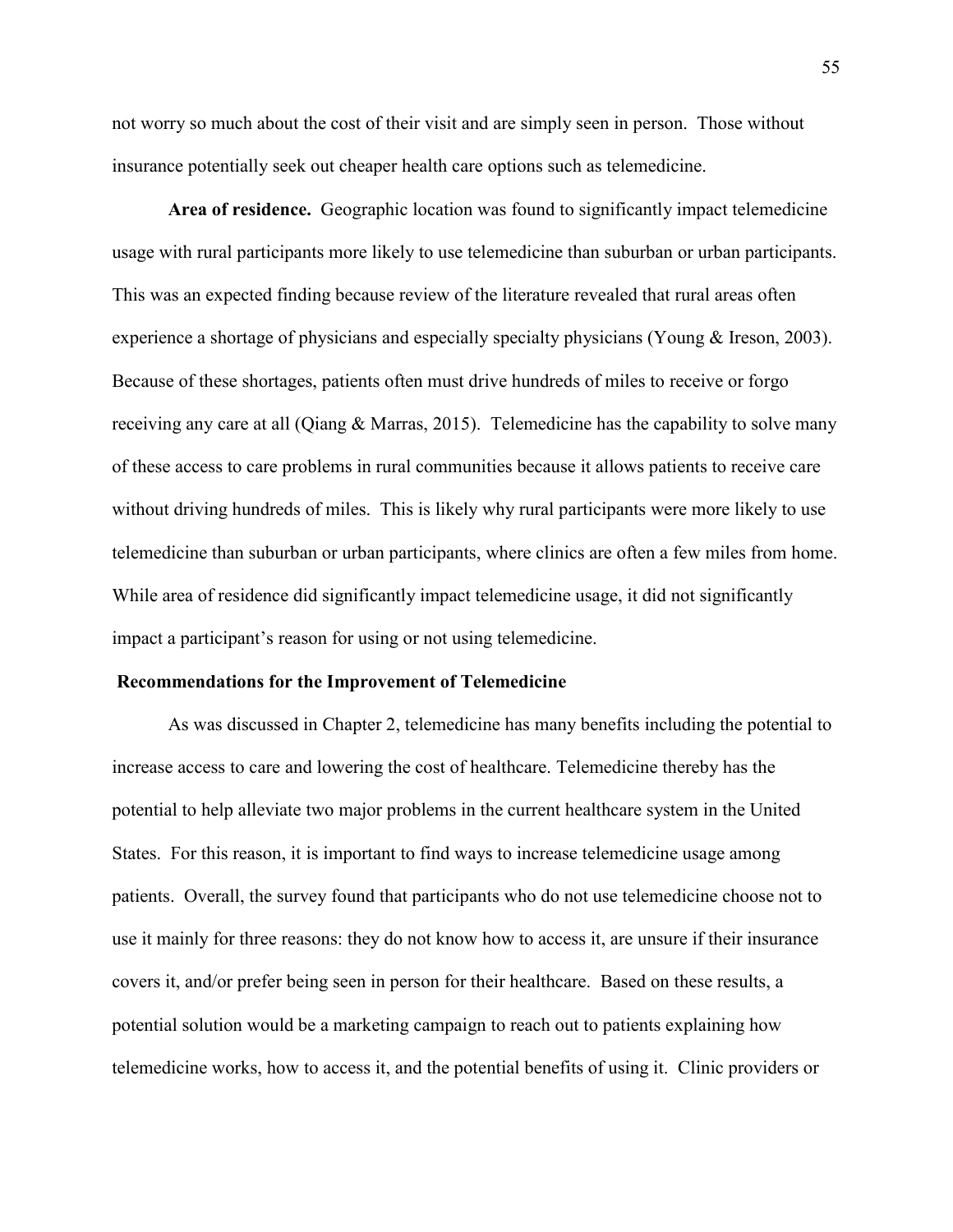not worry so much about the cost of their visit and are simply seen in person. Those without insurance potentially seek out cheaper health care options such as telemedicine.

**Area of residence.** Geographic location was found to significantly impact telemedicine usage with rural participants more likely to use telemedicine than suburban or urban participants. This was an expected finding because review of the literature revealed that rural areas often experience a shortage of physicians and especially specialty physicians (Young & Ireson, 2003). Because of these shortages, patients often must drive hundreds of miles to receive or forgo receiving any care at all (Qiang & Marras, 2015). Telemedicine has the capability to solve many of these access to care problems in rural communities because it allows patients to receive care without driving hundreds of miles. This is likely why rural participants were more likely to use telemedicine than suburban or urban participants, where clinics are often a few miles from home. While area of residence did significantly impact telemedicine usage, it did not significantly impact a participant's reason for using or not using telemedicine.

#### **Recommendations for the Improvement of Telemedicine**

As was discussed in Chapter 2, telemedicine has many benefits including the potential to increase access to care and lowering the cost of healthcare. Telemedicine thereby has the potential to help alleviate two major problems in the current healthcare system in the United States. For this reason, it is important to find ways to increase telemedicine usage among patients. Overall, the survey found that participants who do not use telemedicine choose not to use it mainly for three reasons: they do not know how to access it, are unsure if their insurance covers it, and/or prefer being seen in person for their healthcare. Based on these results, a potential solution would be a marketing campaign to reach out to patients explaining how telemedicine works, how to access it, and the potential benefits of using it. Clinic providers or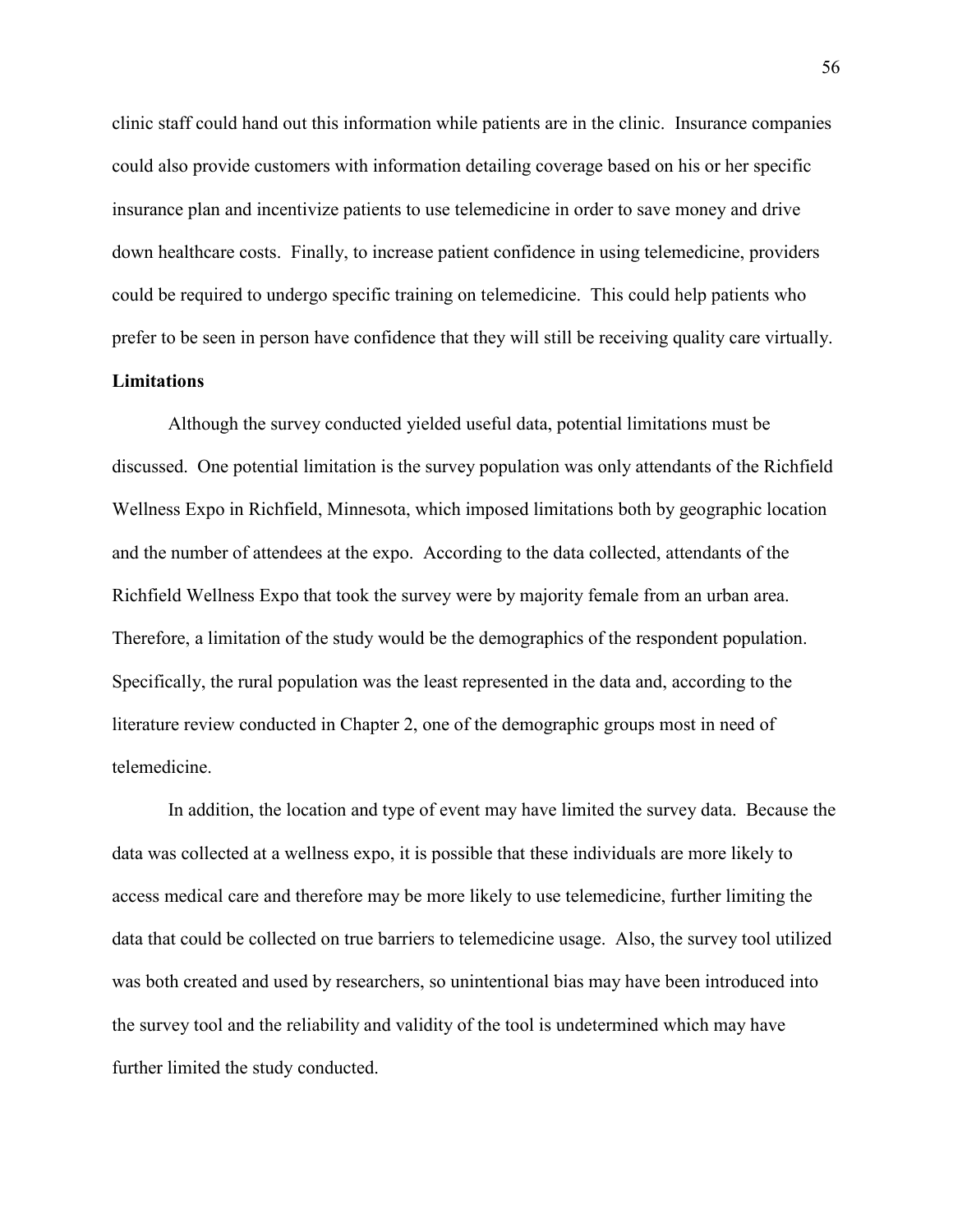clinic staff could hand out this information while patients are in the clinic. Insurance companies could also provide customers with information detailing coverage based on his or her specific insurance plan and incentivize patients to use telemedicine in order to save money and drive down healthcare costs. Finally, to increase patient confidence in using telemedicine, providers could be required to undergo specific training on telemedicine. This could help patients who prefer to be seen in person have confidence that they will still be receiving quality care virtually.

# **Limitations**

Although the survey conducted yielded useful data, potential limitations must be discussed. One potential limitation is the survey population was only attendants of the Richfield Wellness Expo in Richfield, Minnesota, which imposed limitations both by geographic location and the number of attendees at the expo. According to the data collected, attendants of the Richfield Wellness Expo that took the survey were by majority female from an urban area. Therefore, a limitation of the study would be the demographics of the respondent population. Specifically, the rural population was the least represented in the data and, according to the literature review conducted in Chapter 2, one of the demographic groups most in need of telemedicine.

In addition, the location and type of event may have limited the survey data. Because the data was collected at a wellness expo, it is possible that these individuals are more likely to access medical care and therefore may be more likely to use telemedicine, further limiting the data that could be collected on true barriers to telemedicine usage. Also, the survey tool utilized was both created and used by researchers, so unintentional bias may have been introduced into the survey tool and the reliability and validity of the tool is undetermined which may have further limited the study conducted.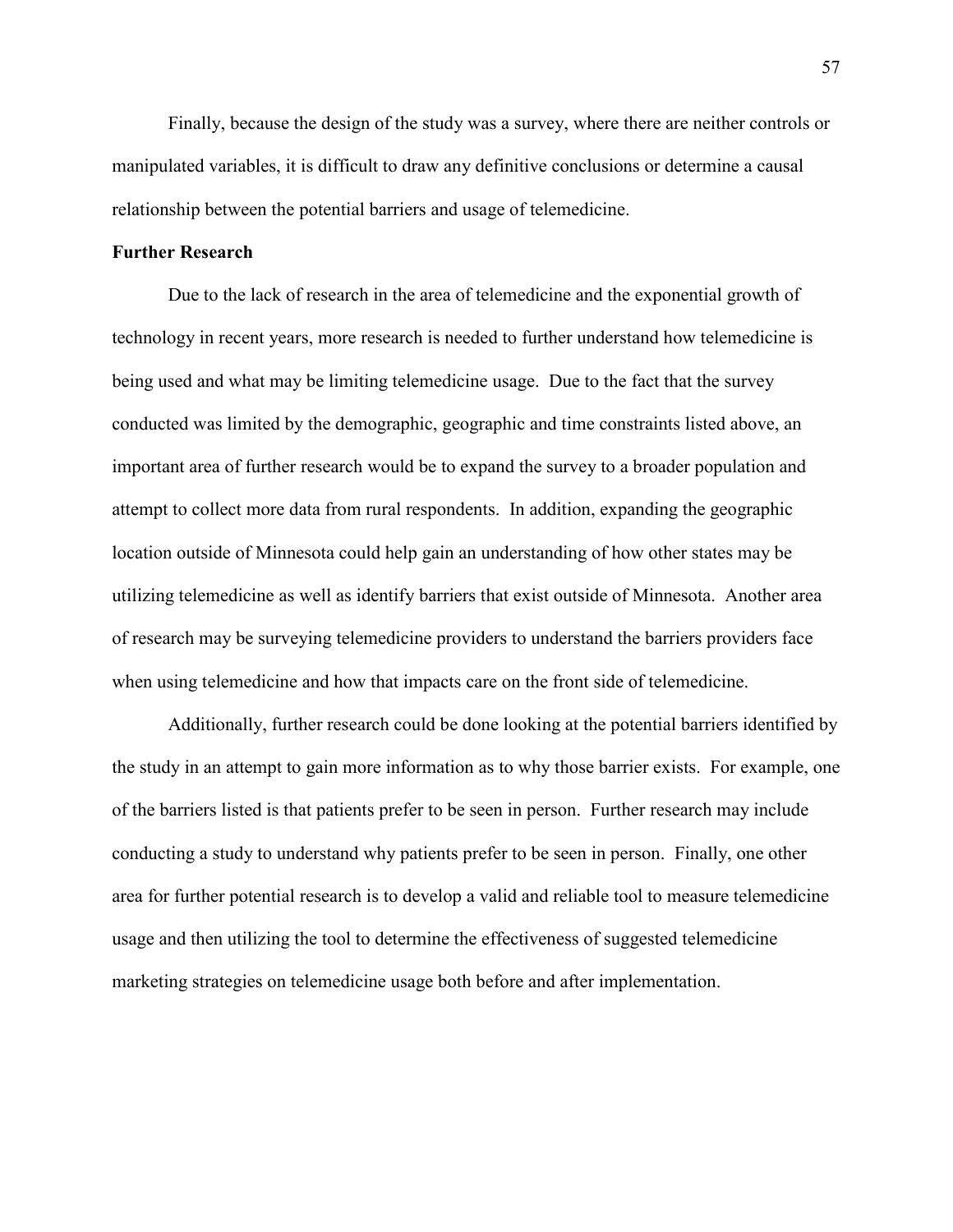Finally, because the design of the study was a survey, where there are neither controls or manipulated variables, it is difficult to draw any definitive conclusions or determine a causal relationship between the potential barriers and usage of telemedicine.

### **Further Research**

Due to the lack of research in the area of telemedicine and the exponential growth of technology in recent years, more research is needed to further understand how telemedicine is being used and what may be limiting telemedicine usage. Due to the fact that the survey conducted was limited by the demographic, geographic and time constraints listed above, an important area of further research would be to expand the survey to a broader population and attempt to collect more data from rural respondents. In addition, expanding the geographic location outside of Minnesota could help gain an understanding of how other states may be utilizing telemedicine as well as identify barriers that exist outside of Minnesota. Another area of research may be surveying telemedicine providers to understand the barriers providers face when using telemedicine and how that impacts care on the front side of telemedicine.

Additionally, further research could be done looking at the potential barriers identified by the study in an attempt to gain more information as to why those barrier exists. For example, one of the barriers listed is that patients prefer to be seen in person. Further research may include conducting a study to understand why patients prefer to be seen in person. Finally, one other area for further potential research is to develop a valid and reliable tool to measure telemedicine usage and then utilizing the tool to determine the effectiveness of suggested telemedicine marketing strategies on telemedicine usage both before and after implementation.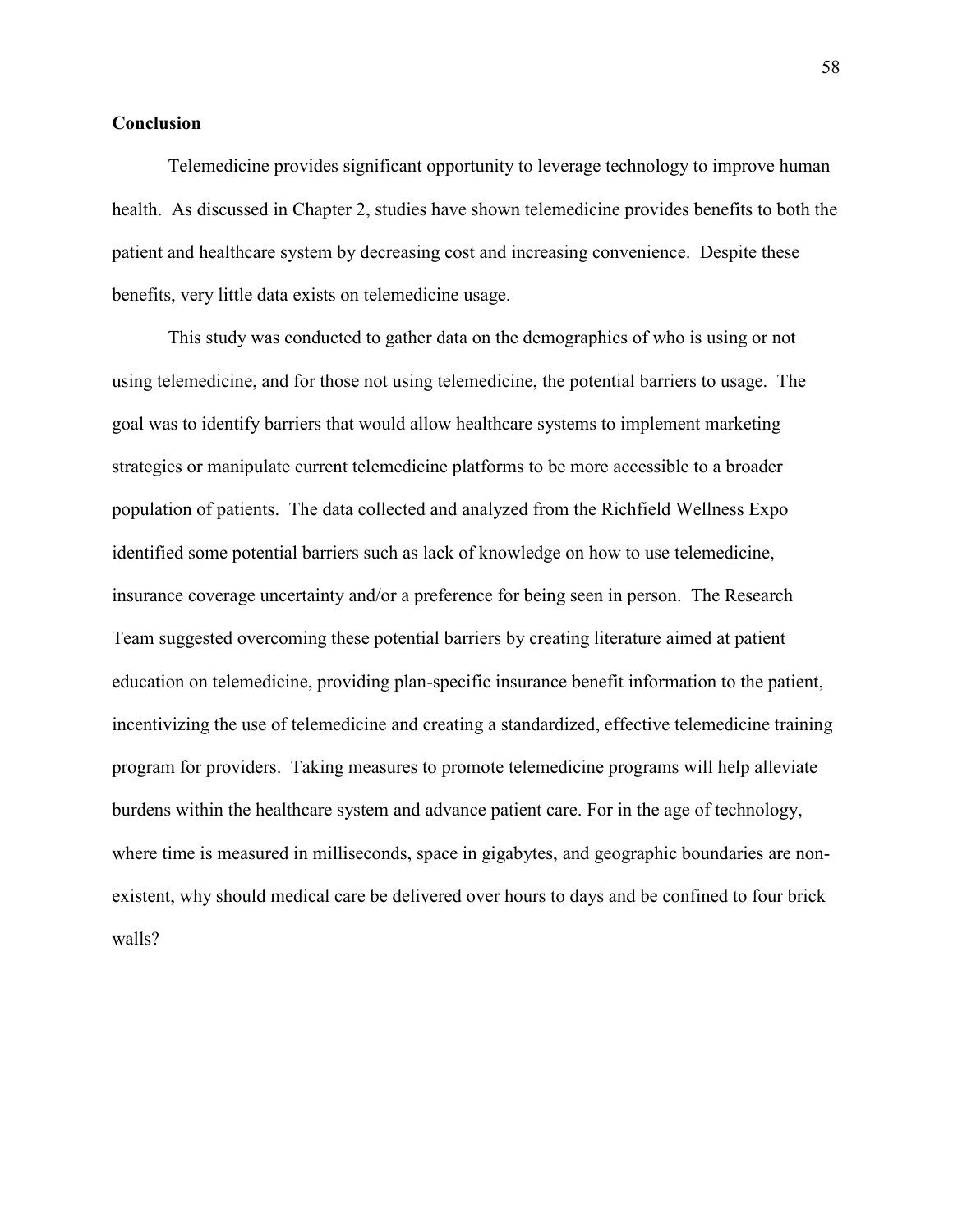# **Conclusion**

Telemedicine provides significant opportunity to leverage technology to improve human health. As discussed in Chapter 2, studies have shown telemedicine provides benefits to both the patient and healthcare system by decreasing cost and increasing convenience. Despite these benefits, very little data exists on telemedicine usage.

This study was conducted to gather data on the demographics of who is using or not using telemedicine, and for those not using telemedicine, the potential barriers to usage. The goal was to identify barriers that would allow healthcare systems to implement marketing strategies or manipulate current telemedicine platforms to be more accessible to a broader population of patients. The data collected and analyzed from the Richfield Wellness Expo identified some potential barriers such as lack of knowledge on how to use telemedicine, insurance coverage uncertainty and/or a preference for being seen in person. The Research Team suggested overcoming these potential barriers by creating literature aimed at patient education on telemedicine, providing plan-specific insurance benefit information to the patient, incentivizing the use of telemedicine and creating a standardized, effective telemedicine training program for providers. Taking measures to promote telemedicine programs will help alleviate burdens within the healthcare system and advance patient care. For in the age of technology, where time is measured in milliseconds, space in gigabytes, and geographic boundaries are nonexistent, why should medical care be delivered over hours to days and be confined to four brick walls?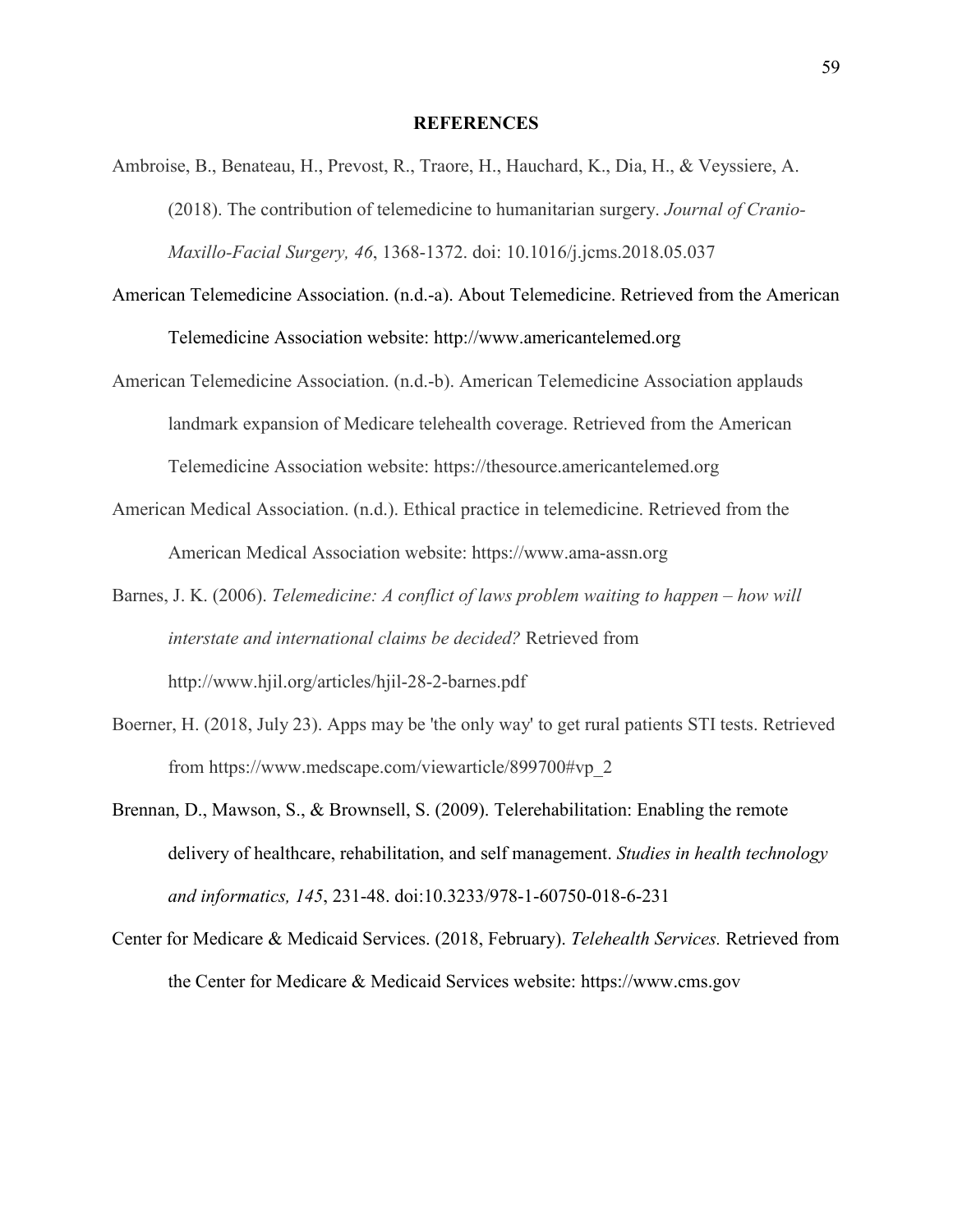### **REFERENCES**

- Ambroise, B., Benateau, H., Prevost, R., Traore, H., Hauchard, K., Dia, H., & Veyssiere, A. (2018). The contribution of telemedicine to humanitarian surgery. *Journal of Cranio-Maxillo-Facial Surgery, 46*, 1368-1372. doi: 10.1016/j.jcms.2018.05.037
- American Telemedicine Association. (n.d.-a). About Telemedicine. Retrieved from the American Telemedicine Association website: http://www.americantelemed.org
- American Telemedicine Association. (n.d.-b). American Telemedicine Association applauds landmark expansion of Medicare telehealth coverage. Retrieved from the American Telemedicine Association website: https://thesource.americantelemed.org
- American Medical Association. (n.d.). Ethical practice in telemedicine. Retrieved from the American Medical Association website: https://www.ama-assn.org
- Barnes, J. K. (2006). *Telemedicine: A conflict of laws problem waiting to happen how will interstate and international claims be decided?* Retrieved from http://www.hjil.org/articles/hjil-28-2-barnes.pdf
- Boerner, H. (2018, July 23). Apps may be 'the only way' to get rural patients STI tests. Retrieved from https://www.medscape.com/viewarticle/899700#vp\_2
- Brennan, D., Mawson, S., & Brownsell, S. (2009). Telerehabilitation: Enabling the remote delivery of healthcare, rehabilitation, and self management. *Studies in health technology and informatics, 145*, 231-48. doi:10.3233/978-1-60750-018-6-231
- Center for Medicare & Medicaid Services. (2018, February). *Telehealth Services.* Retrieved from the Center for Medicare & Medicaid Services website: https://www.cms.gov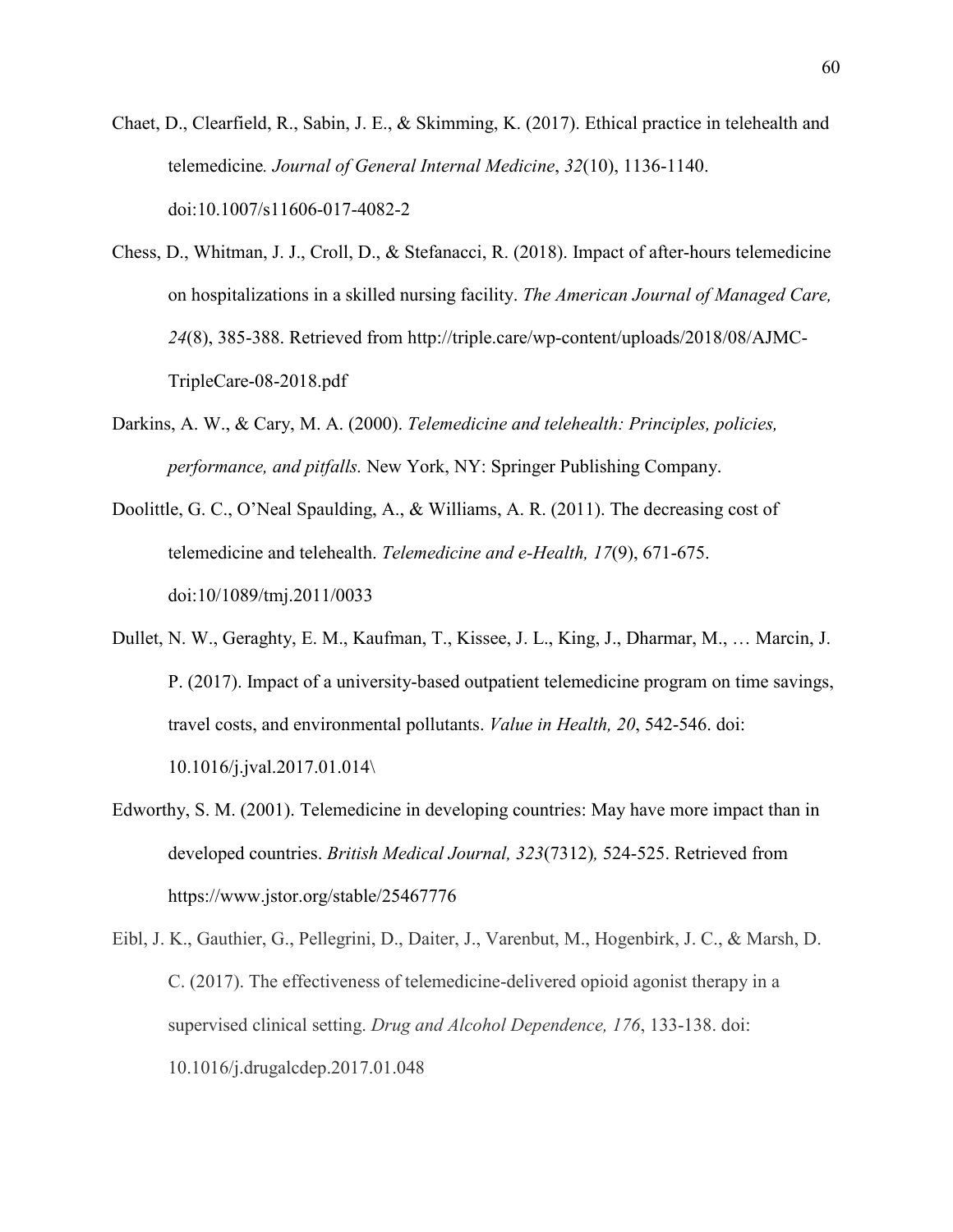- Chaet, D., Clearfield, R., Sabin, J. E., & Skimming, K. (2017). Ethical practice in telehealth and telemedicine*. Journal of General Internal Medicine*, *32*(10), 1136-1140. doi:10.1007/s11606-017-4082-2
- Chess, D., Whitman, J. J., Croll, D., & Stefanacci, R. (2018). Impact of after-hours telemedicine on hospitalizations in a skilled nursing facility. *The American Journal of Managed Care, 24*(8), 385-388. Retrieved from http://triple.care/wp-content/uploads/2018/08/AJMC-TripleCare-08-2018.pdf
- Darkins, A. W., & Cary, M. A. (2000). *Telemedicine and telehealth: Principles, policies, performance, and pitfalls.* New York, NY: Springer Publishing Company.
- Doolittle, G. C., O'Neal Spaulding, A., & Williams, A. R. (2011). The decreasing cost of telemedicine and telehealth. *Telemedicine and e-Health, 17*(9), 671-675. doi:10/1089/tmj.2011/0033
- Dullet, N. W., Geraghty, E. M., Kaufman, T., Kissee, J. L., King, J., Dharmar, M., … Marcin, J. P. (2017). Impact of a university-based outpatient telemedicine program on time savings, travel costs, and environmental pollutants. *Value in Health, 20*, 542-546. doi: 10.1016/j.jval.2017.01.014\
- Edworthy, S. M. (2001). Telemedicine in developing countries: May have more impact than in developed countries. *British Medical Journal, 323*(7312)*,* 524-525. Retrieved from https://www.jstor.org/stable/25467776
- Eibl, J. K., Gauthier, G., Pellegrini, D., Daiter, J., Varenbut, M., Hogenbirk, J. C., & Marsh, D. C. (2017). The effectiveness of telemedicine-delivered opioid agonist therapy in a supervised clinical setting. *Drug and Alcohol Dependence, 176*, 133-138. doi: 10.1016/j.drugalcdep.2017.01.048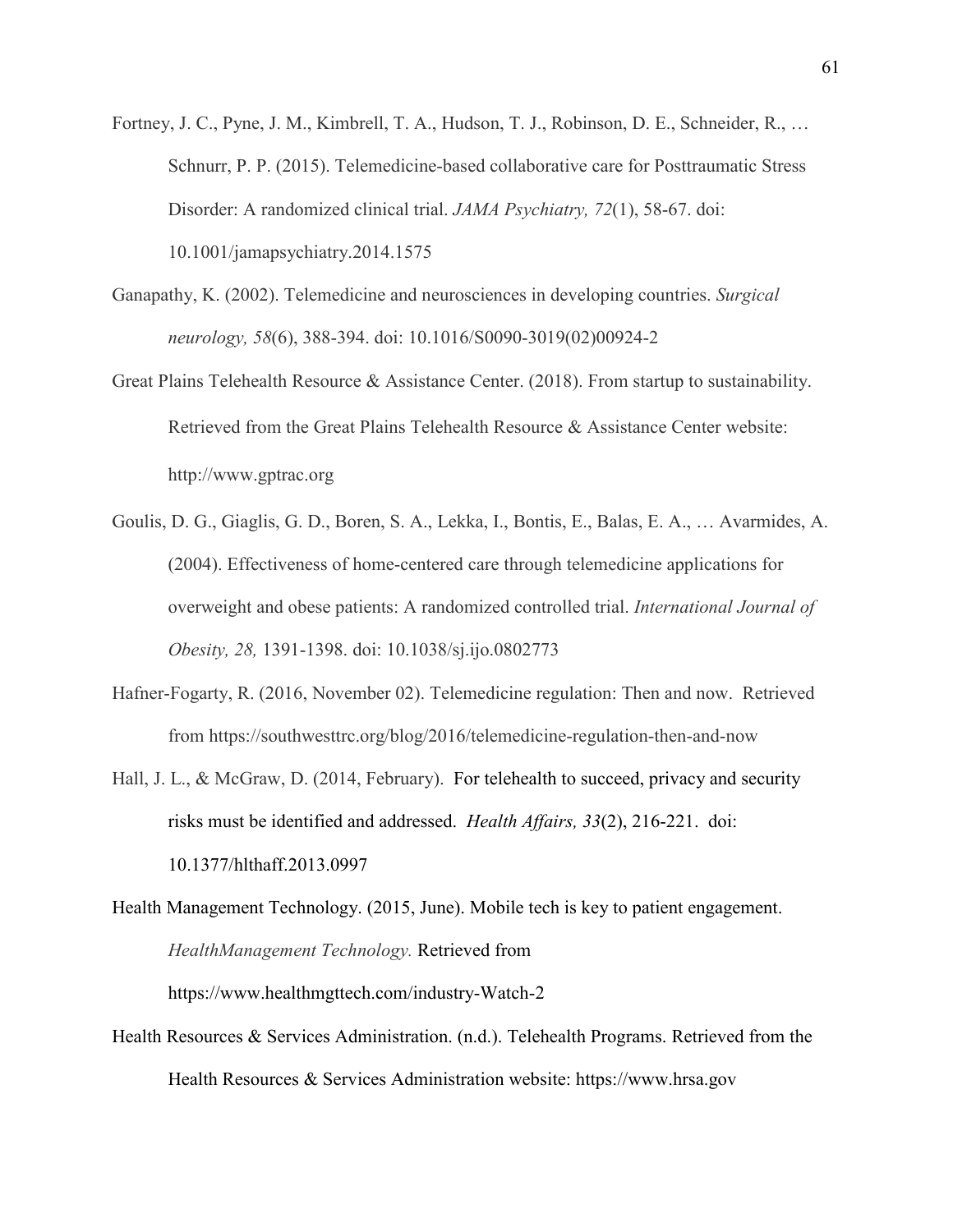Fortney, J. C., Pyne, J. M., Kimbrell, T. A., Hudson, T. J., Robinson, D. E., Schneider, R., … Schnurr, P. P. (2015). Telemedicine-based collaborative care for Posttraumatic Stress Disorder: A randomized clinical trial. *JAMA Psychiatry, 72*(1), 58-67. doi: 10.1001/jamapsychiatry.2014.1575

- Ganapathy, K. (2002). Telemedicine and neurosciences in developing countries. *Surgical neurology, 58*(6), 388-394. doi: 10.1016/S0090-3019(02)00924-2
- Great Plains Telehealth Resource & Assistance Center. (2018). From startup to sustainability. Retrieved from the Great Plains Telehealth Resource & Assistance Center website: http://www.gptrac.org
- Goulis, D. G., Giaglis, G. D., Boren, S. A., Lekka, I., Bontis, E., Balas, E. A., … Avarmides, A. (2004). Effectiveness of home-centered care through telemedicine applications for overweight and obese patients: A randomized controlled trial. *International Journal of Obesity, 28,* 1391-1398. doi: 10.1038/sj.ijo.0802773
- Hafner-Fogarty, R. (2016, November 02). Telemedicine regulation: Then and now. Retrieved from https://southwesttrc.org/blog/2016/telemedicine-regulation-then-and-now
- Hall, J. L., & McGraw, D. (2014, February). For telehealth to succeed, privacy and security risks must be identified and addressed. *Health Affairs, 33*(2), 216-221. doi: 10.1377/hlthaff.2013.0997

Health Management Technology. (2015, June). Mobile tech is key to patient engagement. *HealthManagement Technology.* Retrieved from https://www.healthmgttech.com/industry-Watch-2

Health Resources & Services Administration. (n.d.). Telehealth Programs. Retrieved from the Health Resources & Services Administration website: https://www.hrsa.gov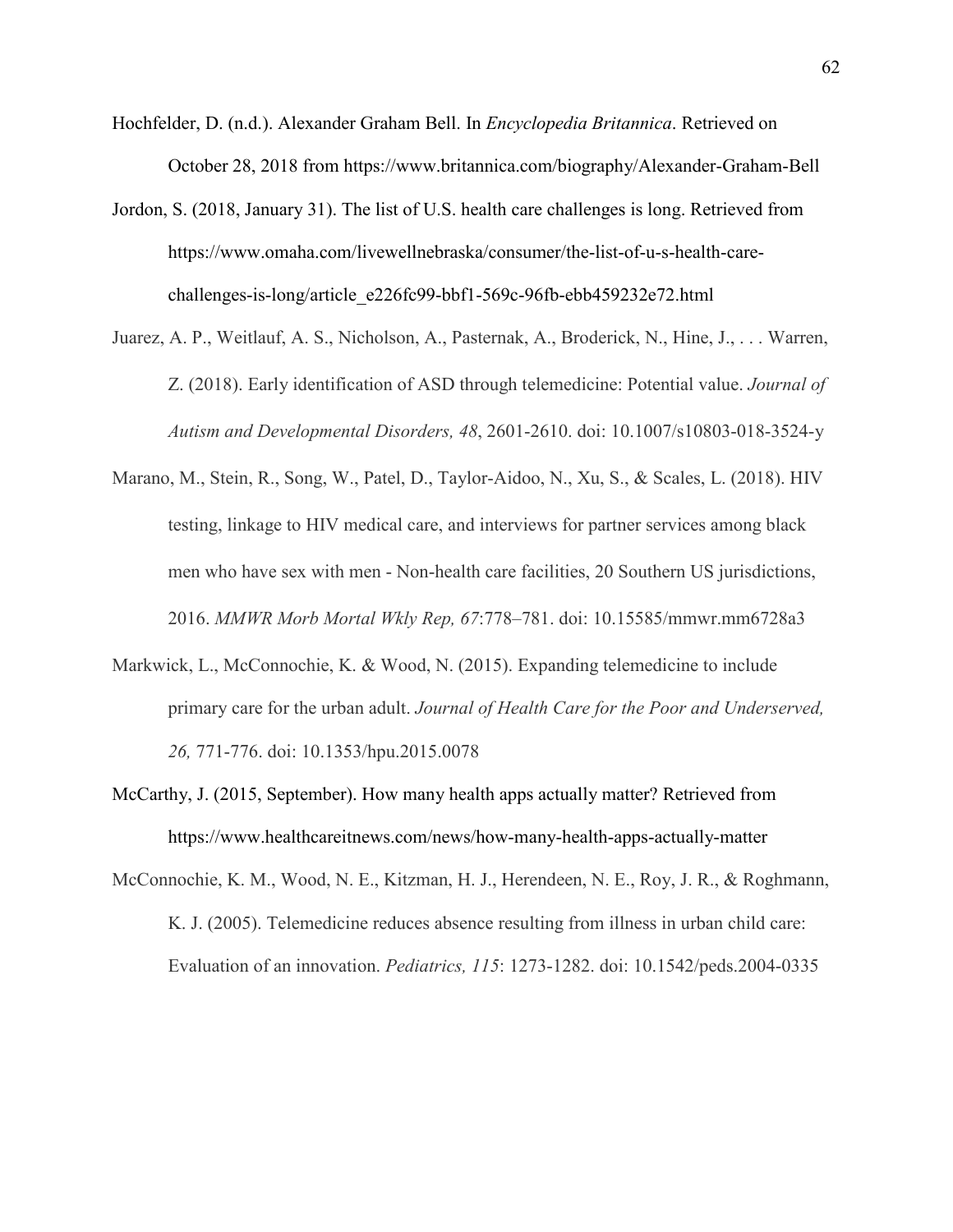- Hochfelder, D. (n.d.). Alexander Graham Bell. In *Encyclopedia Britannica*. Retrieved on October 28, 2018 from https://www.britannica.com/biography/Alexander-Graham-Bell
- Jordon, S. (2018, January 31). The list of U.S. health care challenges is long. Retrieved from https://www.omaha.com/livewellnebraska/consumer/the-list-of-u-s-health-carechallenges-is-long/article\_e226fc99-bbf1-569c-96fb-ebb459232e72.html
- Juarez, A. P., Weitlauf, A. S., Nicholson, A., Pasternak, A., Broderick, N., Hine, J., . . . Warren, Z. (2018). Early identification of ASD through telemedicine: Potential value. *Journal of Autism and Developmental Disorders, 48*, 2601-2610. doi: 10.1007/s10803-018-3524-y
- Marano, M., Stein, R., Song, W., Patel, D., Taylor-Aidoo, N., Xu, S., & Scales, L. (2018). HIV testing, linkage to HIV medical care, and interviews for partner services among black men who have sex with men - Non-health care facilities, 20 Southern US jurisdictions, 2016. *MMWR Morb Mortal Wkly Rep, 67*:778–781. doi: 10.15585/mmwr.mm6728a3
- Markwick, L., McConnochie, K. & Wood, N. (2015). Expanding telemedicine to include primary care for the urban adult. *Journal of Health Care for the Poor and Underserved, 26,* 771-776. doi: 10.1353/hpu.2015.0078
- McCarthy, J. (2015, September). How many health apps actually matter? Retrieved from https://www.healthcareitnews.com/news/how-many-health-apps-actually-matter
- McConnochie, K. M., Wood, N. E., Kitzman, H. J., Herendeen, N. E., Roy, J. R., & Roghmann, K. J. (2005). Telemedicine reduces absence resulting from illness in urban child care: Evaluation of an innovation. *Pediatrics, 115*: 1273-1282. doi: 10.1542/peds.2004-0335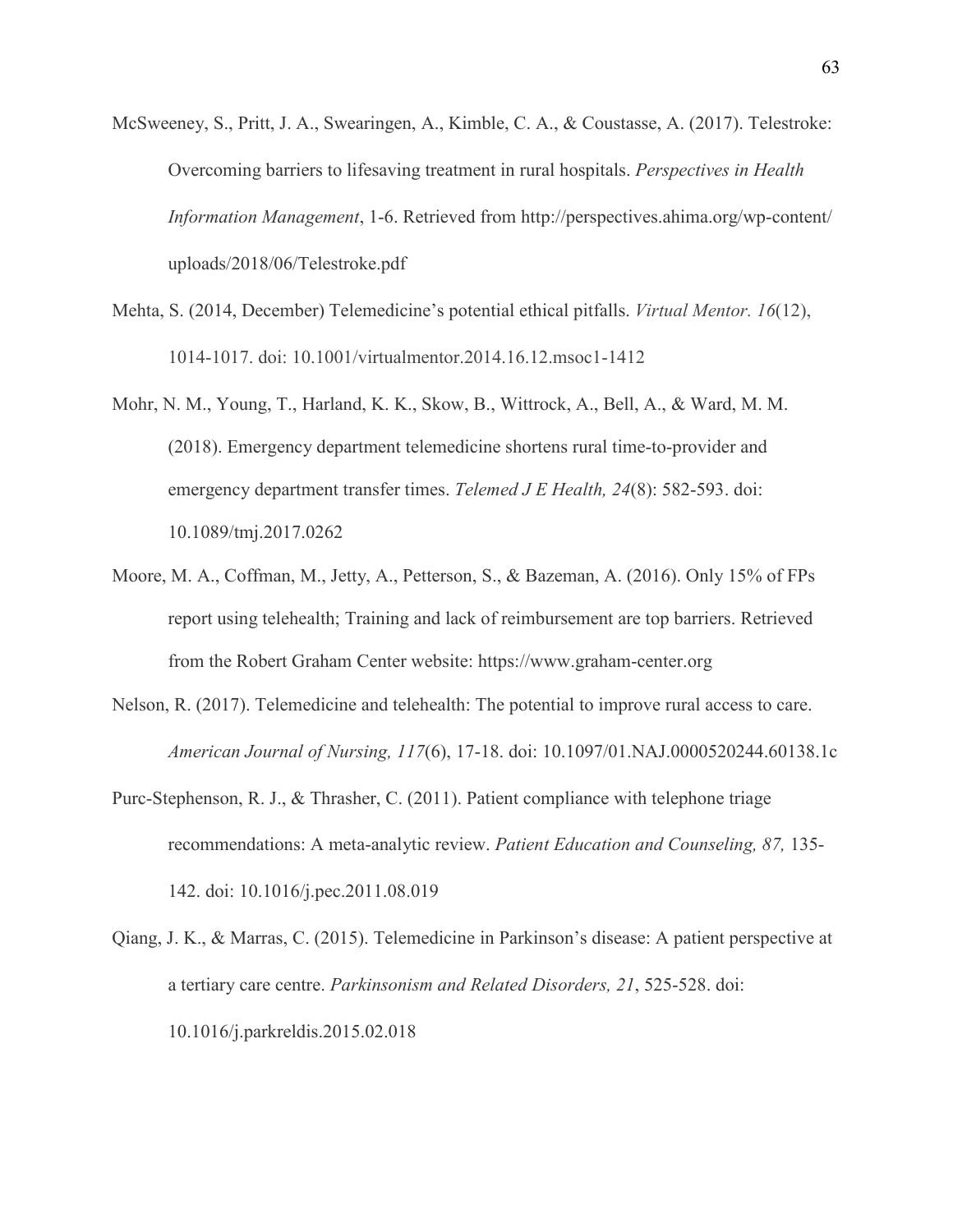- McSweeney, S., Pritt, J. A., Swearingen, A., Kimble, C. A., & Coustasse, A. (2017). Telestroke: Overcoming barriers to lifesaving treatment in rural hospitals. *Perspectives in Health Information Management*, 1-6. Retrieved from http://perspectives.ahima.org/wp-content/ uploads/2018/06/Telestroke.pdf
- Mehta, S. (2014, December) Telemedicine's potential ethical pitfalls. *Virtual Mentor. 16*(12), 1014-1017. doi: 10.1001/virtualmentor.2014.16.12.msoc1-1412
- Mohr, N. M., Young, T., Harland, K. K., Skow, B., Wittrock, A., Bell, A., & Ward, M. M. (2018). Emergency department telemedicine shortens rural time-to-provider and emergency department transfer times. *Telemed J E Health, 24*(8): 582-593. doi: 10.1089/tmj.2017.0262
- Moore, M. A., Coffman, M., Jetty, A., Petterson, S., & Bazeman, A. (2016). Only 15% of FPs report using telehealth; Training and lack of reimbursement are top barriers. Retrieved from the Robert Graham Center website: https://www.graham-center.org
- Nelson, R. (2017). Telemedicine and telehealth: The potential to improve rural access to care. *American Journal of Nursing, 117*(6), 17-18. doi: 10.1097/01.NAJ.0000520244.60138.1c
- Purc-Stephenson, R. J., & Thrasher, C. (2011). Patient compliance with telephone triage recommendations: A meta-analytic review. *Patient Education and Counseling, 87,* 135- 142. doi: 10.1016/j.pec.2011.08.019
- Qiang, J. K., & Marras, C. (2015). Telemedicine in Parkinson's disease: A patient perspective at a tertiary care centre. *Parkinsonism and Related Disorders, 21*, 525-528. doi: 10.1016/j.parkreldis.2015.02.018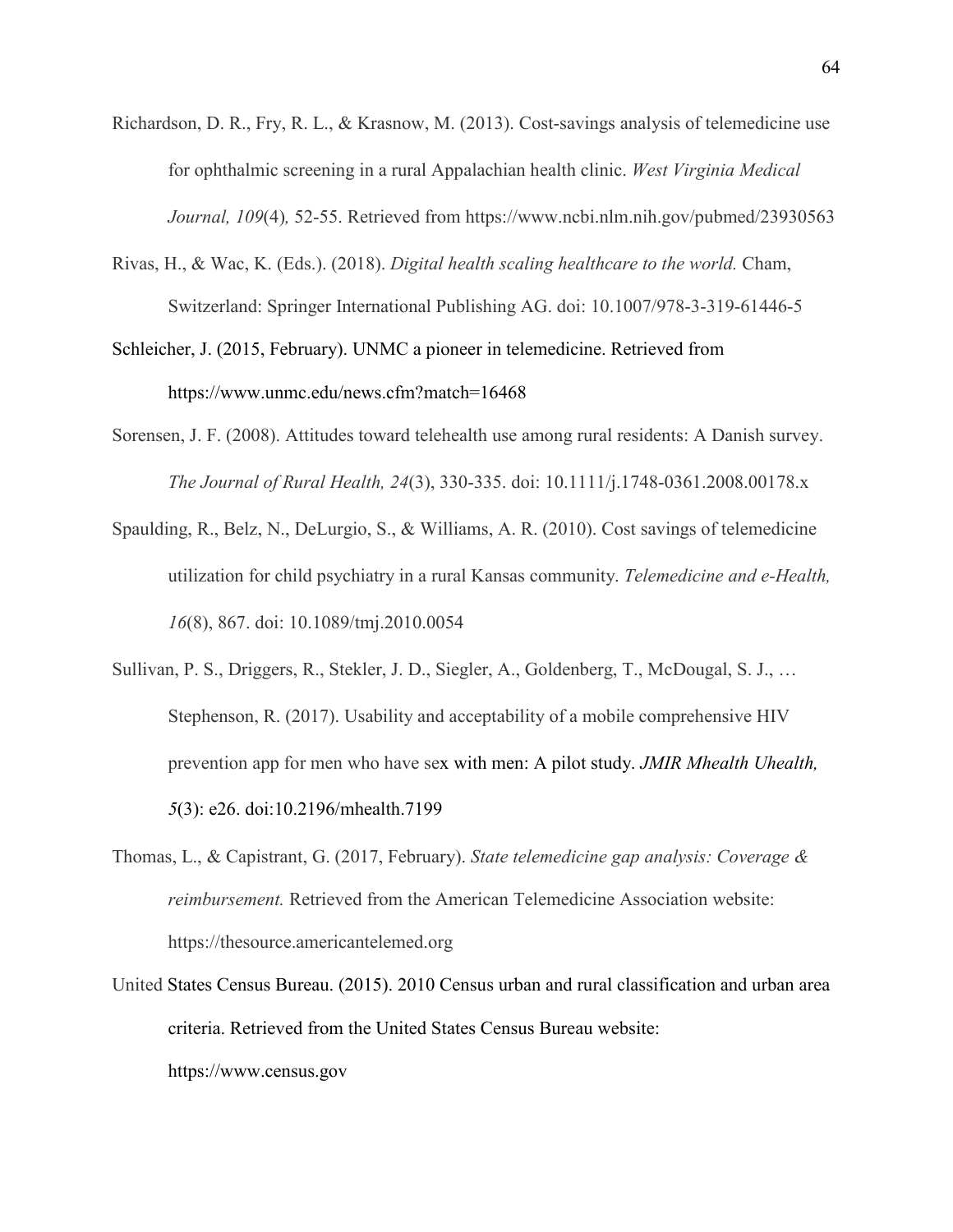- Richardson, D. R., Fry, R. L., & Krasnow, M. (2013). Cost-savings analysis of telemedicine use for ophthalmic screening in a rural Appalachian health clinic. *West Virginia Medical Journal, 109*(4)*,* 52-55. Retrieved from https://www.ncbi.nlm.nih.gov/pubmed/23930563
- Rivas, H., & Wac, K. (Eds.). (2018). *Digital health scaling healthcare to the world.* Cham, Switzerland: Springer International Publishing AG. doi: 10.1007/978-3-319-61446-5
- Schleicher, J. (2015, February). UNMC a pioneer in telemedicine. Retrieved from https://www.unmc.edu/news.cfm?match=16468
- Sorensen, J. F. (2008). Attitudes toward telehealth use among rural residents: A Danish survey. *The Journal of Rural Health, 24*(3), 330-335. doi: 10.1111/j.1748-0361.2008.00178.x
- Spaulding, R., Belz, N., DeLurgio, S., & Williams, A. R. (2010). Cost savings of telemedicine utilization for child psychiatry in a rural Kansas community. *Telemedicine and e-Health, 16*(8), 867. doi: 10.1089/tmj.2010.0054
- Sullivan, P. S., Driggers, R., Stekler, J. D., Siegler, A., Goldenberg, T., McDougal, S. J., … Stephenson, R. (2017). Usability and acceptability of a mobile comprehensive HIV prevention app for men who have sex with men: A pilot study. *JMIR Mhealth Uhealth, 5*(3): e26. doi:10.2196/mhealth.7199
- Thomas, L., & Capistrant, G. (2017, February). *State telemedicine gap analysis: Coverage & reimbursement.* Retrieved from the American Telemedicine Association website: https://thesource.americantelemed.org
- United States Census Bureau. (2015). 2010 Census urban and rural classification and urban area criteria. Retrieved from the United States Census Bureau website:

https://www.census.gov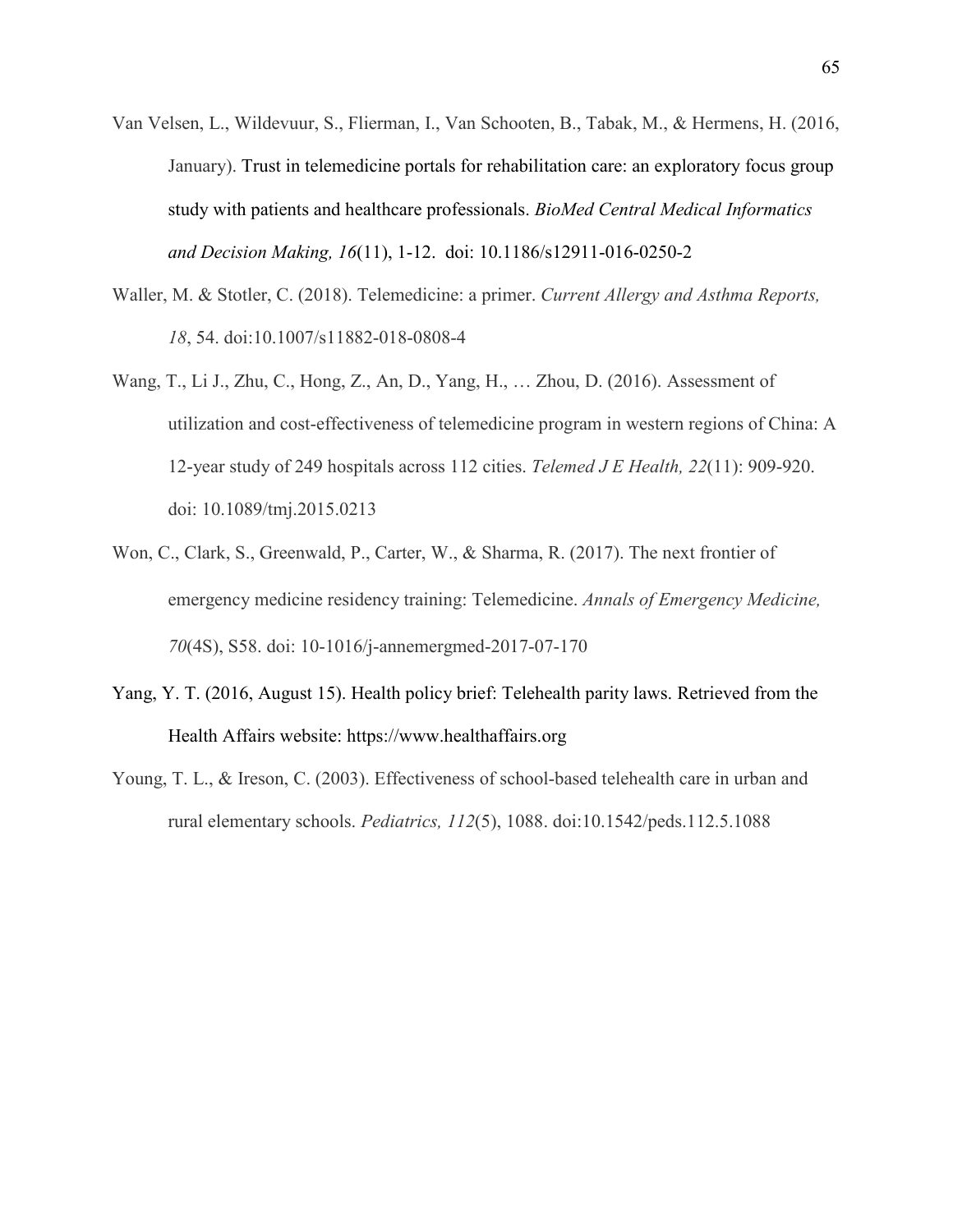- Van Velsen, L., Wildevuur, S., Flierman, I., Van Schooten, B., Tabak, M., & Hermens, H. (2016, January). Trust in telemedicine portals for rehabilitation care: an exploratory focus group study with patients and healthcare professionals. *BioMed Central Medical Informatics and Decision Making, 16*(11), 1-12. doi: 10.1186/s12911-016-0250-2
- Waller, M. & Stotler, C. (2018). Telemedicine: a primer. *Current Allergy and Asthma Reports, 18*, 54. doi:10.1007/s11882-018-0808-4
- Wang, T., Li J., Zhu, C., Hong, Z., An, D., Yang, H., … Zhou, D. (2016). Assessment of utilization and cost-effectiveness of telemedicine program in western regions of China: A 12-year study of 249 hospitals across 112 cities. *Telemed J E Health, 22*(11): 909-920. doi: 10.1089/tmj.2015.0213
- Won, C., Clark, S., Greenwald, P., Carter, W., & Sharma, R. (2017). The next frontier of emergency medicine residency training: Telemedicine. *Annals of Emergency Medicine, 70*(4S), S58. doi: 10-1016/j-annemergmed-2017-07-170
- Yang, Y. T. (2016, August 15). Health policy brief: Telehealth parity laws. Retrieved from the Health Affairs website: https://www.healthaffairs.org
- Young, T. L., & Ireson, C. (2003). Effectiveness of school-based telehealth care in urban and rural elementary schools. *Pediatrics, 112*(5), 1088. doi:10.1542/peds.112.5.1088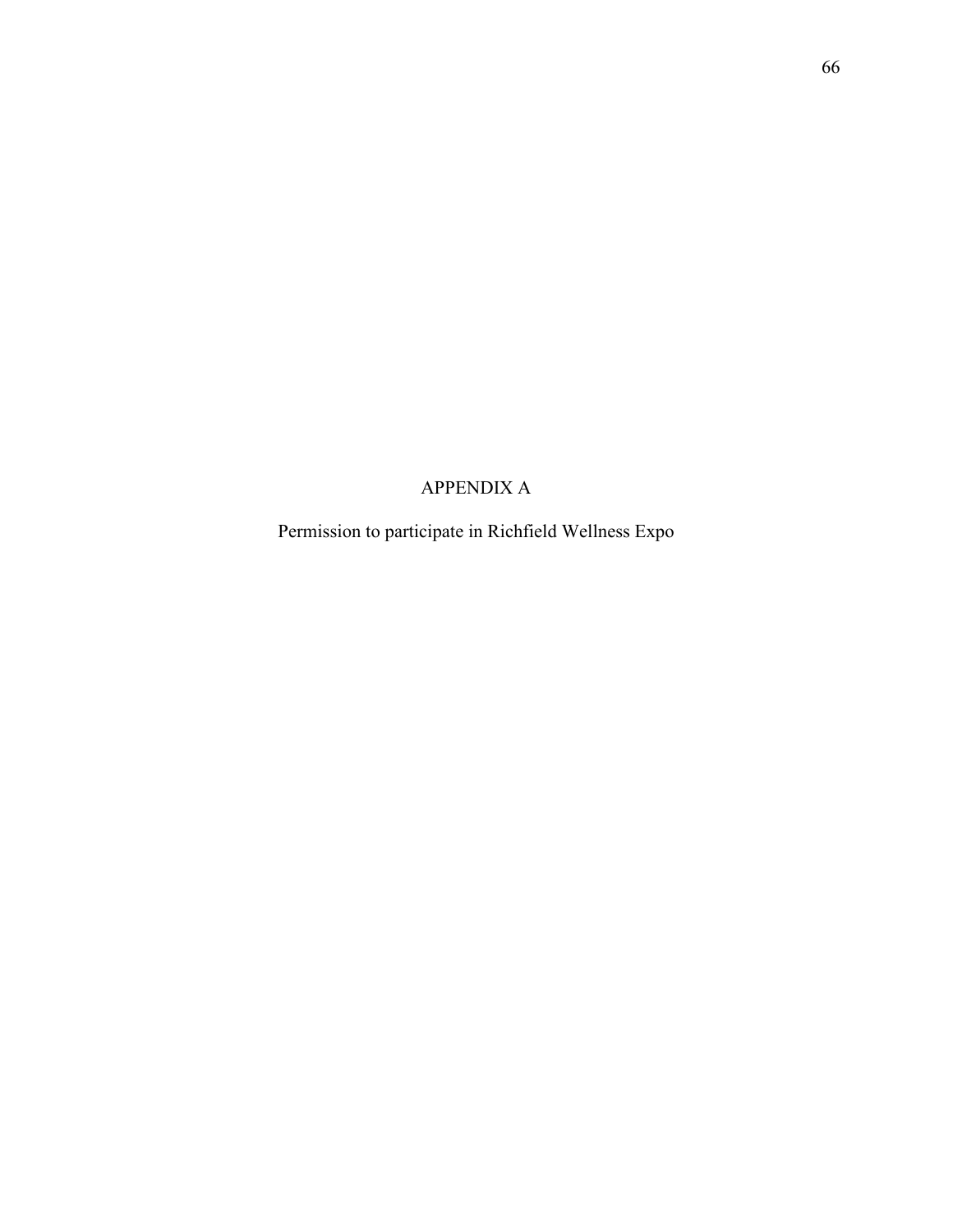# APPENDIX A

Permission to participate in Richfield Wellness Expo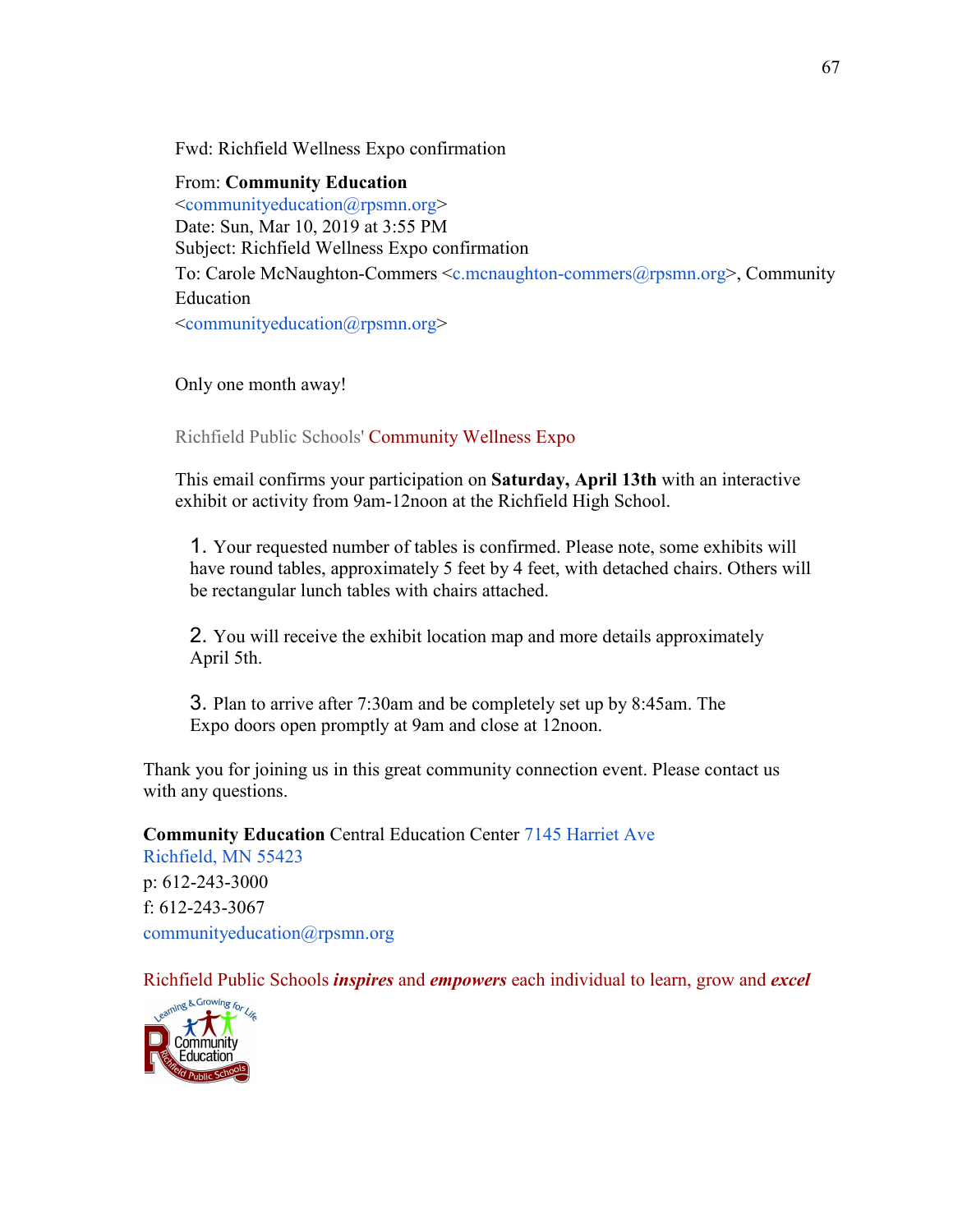Fwd: Richfield Wellness Expo confirmation

From: **Community Education**  [<communityeducation@rpsmn.org>](mailto:communityeducation@rpsmn.org) Date: Sun, Mar 10, 2019 at 3:55 PM Subject: Richfield Wellness Expo confirmation To: Carole McNaughton-Commers [<c.mcnaughton-commers@rpsmn.org>](mailto:c.mcnaughton-commers@rpsmn.org), Community Education [<communityeducation@rpsmn.org>](mailto:communityeducation@rpsmn.org)

Only one month away!

Richfield Public Schools' Community Wellness Expo

This email confirms your participation on **Saturday, April 13th** with an interactive exhibit or activity from 9am-12noon at the Richfield High School.

1. Your requested number of tables is confirmed. Please note, some exhibits will have round tables, approximately 5 feet by 4 feet, with detached chairs. Others will be rectangular lunch tables with chairs attached.

2. You will receive the exhibit location map and more details approximately April 5th.

3. Plan to arrive after 7:30am and be completely set up by 8:45am. The Expo doors open promptly at 9am and close at 12noon.

Thank you for joining us in this great community connection event. Please contact us with any questions.

**Community Education** Central Education Center [7145 Harriet Ave](https://maps.google.com/?q=7145%2BHarriet%2BAve%C2%A0%2BRichfield%2C%2BMN%2B55423&entry=gmail&source=g) [Richfield, MN 55423](https://maps.google.com/?q=7145%2BHarriet%2BAve%C2%A0%2BRichfield%2C%2BMN%2B55423&entry=gmail&source=g) p: 612-243-3000 f: 612-243-3067 [communityeducation@rpsmn.org](mailto:c.mcnaughton-commers@rpsmn.org)

Richfield Public Schools *inspires* and *empowers* each individual to learn, grow and *excel*

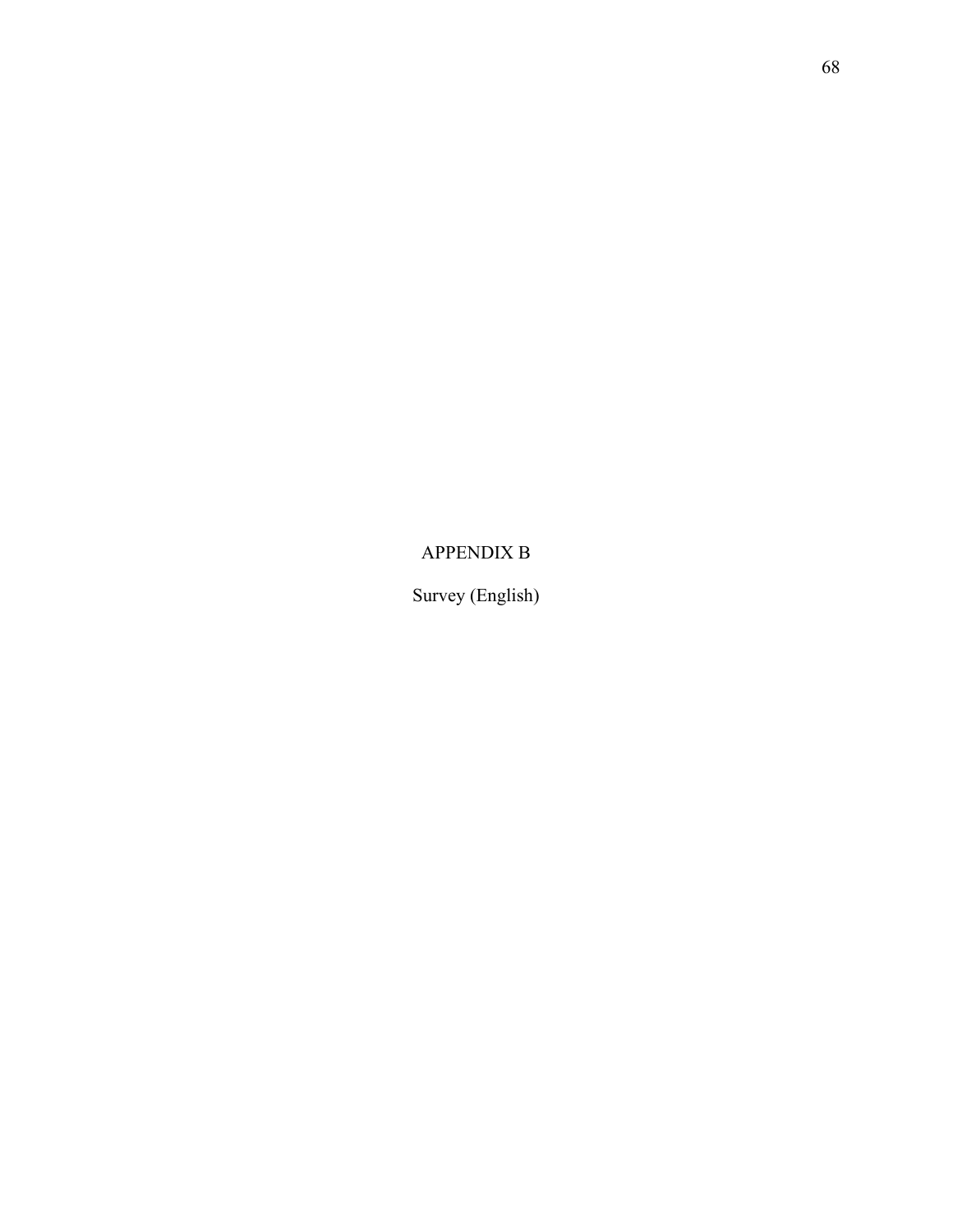APPENDIX B

Survey (English)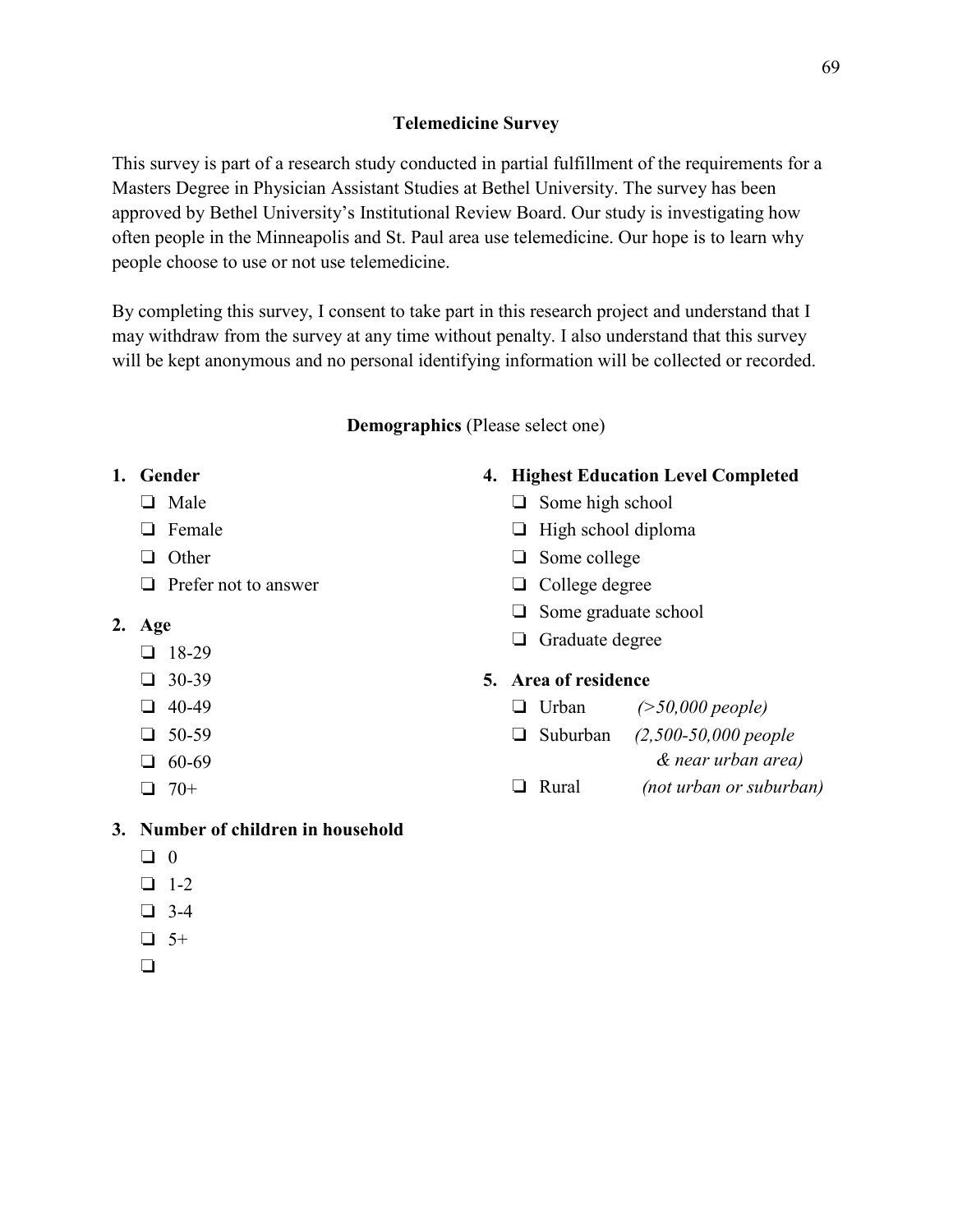# **Telemedicine Survey**

This survey is part of a research study conducted in partial fulfillment of the requirements for a Masters Degree in Physician Assistant Studies at Bethel University. The survey has been approved by Bethel University's Institutional Review Board. Our study is investigating how often people in the Minneapolis and St. Paul area use telemedicine. Our hope is to learn why people choose to use or not use telemedicine.

By completing this survey, I consent to take part in this research project and understand that I may withdraw from the survey at any time without penalty. I also understand that this survey will be kept anonymous and no personal identifying information will be collected or recorded.

# **Demographics** (Please select one)

# **1. Gender**

- ❏ Male
- ❏ Female
- ❏ Other
- ❏ Prefer not to answer
- **2. Age**
	- ❏ 18-29
	- ❏ 30-39
	- ❏ 40-49
	- ❏ 50-59
	- ❏ 60-69
	- $\Box$  70+

# **3. Number of children in household**

- ❏ 0
- ❏ 1-2
- ❏ 3-4
- $\Box$  5+
- $\Box$

# **4. Highest Education Level Completed**

- ❏ Some high school
- ❏ High school diploma
- ❏ Some college
- ❏ College degree
- ❏ Some graduate school
- ❏ Graduate degree

# **5. Area of residence**

- ❏ Urban *(>50,000 people)*
- ❏ Suburban *(2,500-50,000 people*
	- *& near urban area)*
- ❏ Rural *(not urban or suburban)*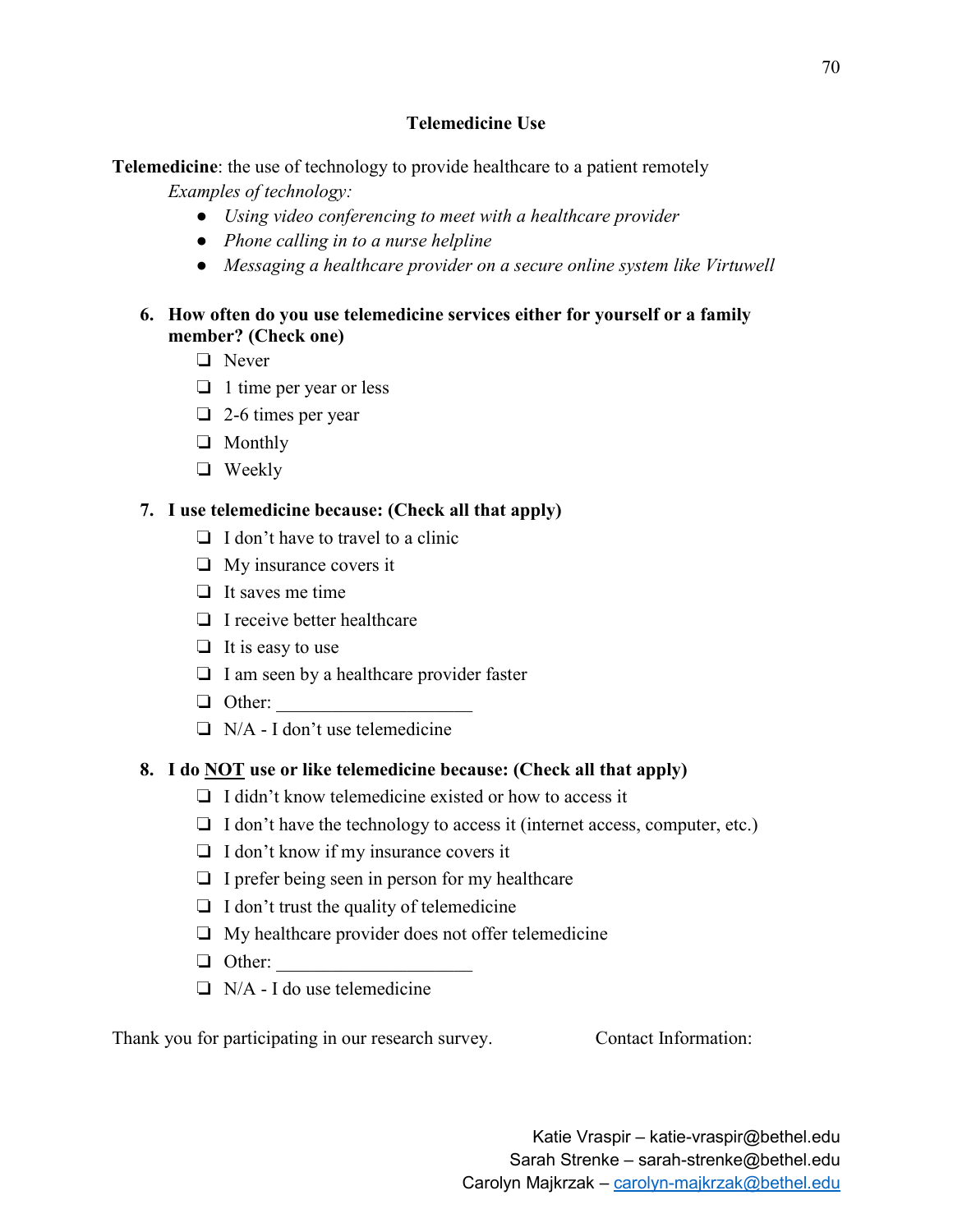# **Telemedicine Use**

**Telemedicine**: the use of technology to provide healthcare to a patient remotely

*Examples of technology:* 

- *Using video conferencing to meet with a healthcare provider*
- *Phone calling in to a nurse helpline*
- *Messaging a healthcare provider on a secure online system like Virtuwell*

# **6. How often do you use telemedicine services either for yourself or a family member? (Check one)**

- ❏ Never
- ❏ 1 time per year or less
- ❏ 2-6 times per year
- ❏ Monthly
- ❏ Weekly

# **7. I use telemedicine because: (Check all that apply)**

- ❏ I don't have to travel to a clinic
- ❏ My insurance covers it
- ❏ It saves me time
- ❏ I receive better healthcare
- $\Box$  It is easy to use
- ❏ I am seen by a healthcare provider faster
- $\Box$  Other:
- ❏ N/A I don't use telemedicine

# **8. I do NOT use or like telemedicine because: (Check all that apply)**

- ❏ I didn't know telemedicine existed or how to access it
- ❏ I don't have the technology to access it (internet access, computer, etc.)
- ❏ I don't know if my insurance covers it
- $\Box$  I prefer being seen in person for my healthcare
- ❏ I don't trust the quality of telemedicine
- ❏ My healthcare provider does not offer telemedicine
- $\Box$  Other:
- $\Box$  N/A I do use telemedicine

Thank you for participating in our research survey. Contact Information: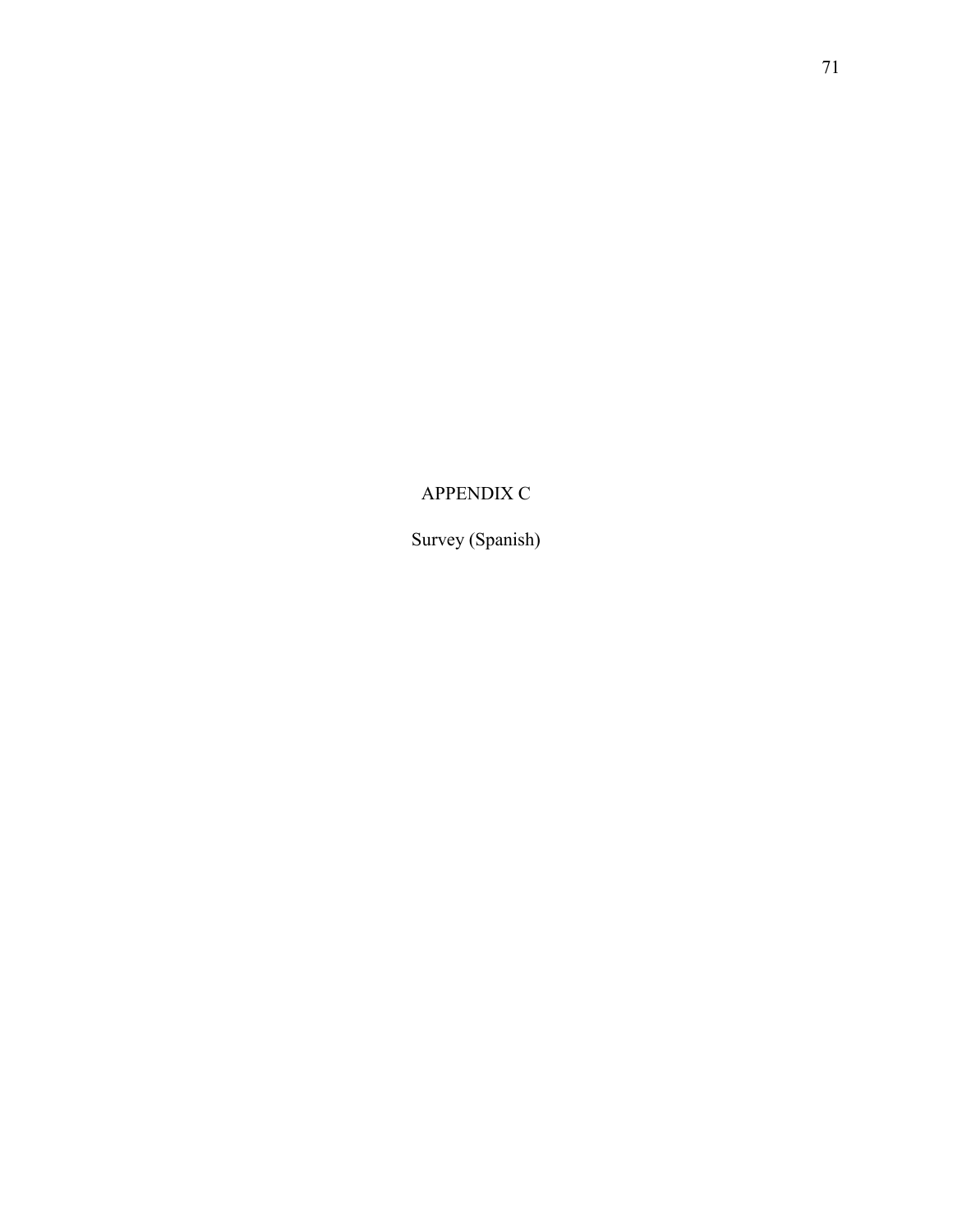# APPENDIX C

Survey (Spanish)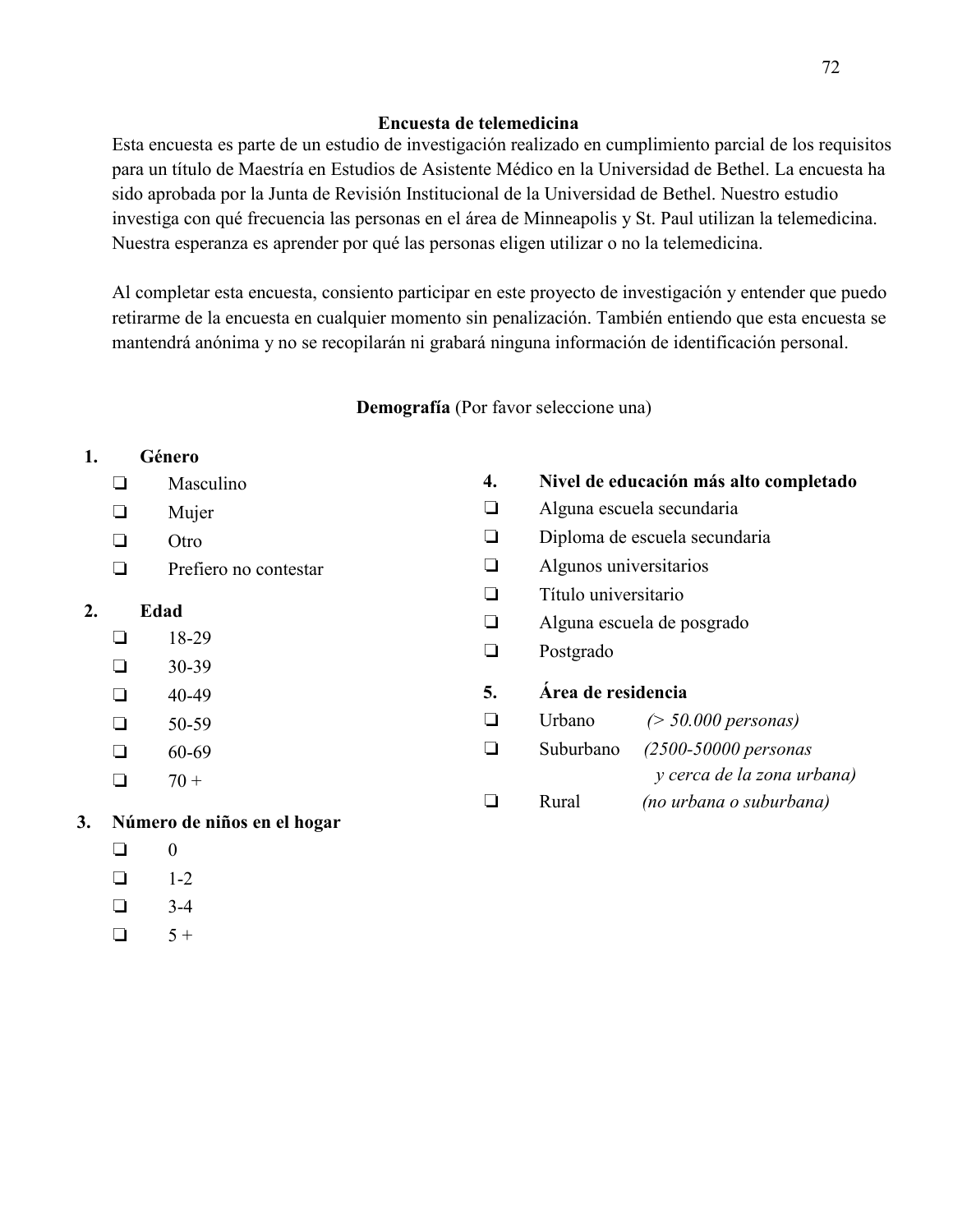#### **Encuesta de telemedicina**

Esta encuesta es parte de un estudio de investigación realizado en cumplimiento parcial de los requisitos para un título de Maestría en Estudios de Asistente Médico en la Universidad de Bethel. La encuesta ha sido aprobada por la Junta de Revisión Institucional de la Universidad de Bethel. Nuestro estudio investiga con qué frecuencia las personas en el área de Minneapolis y St. Paul utilizan la telemedicina. Nuestra esperanza es aprender por qué las personas eligen utilizar o no la telemedicina.

Al completar esta encuesta, consiento participar en este proyecto de investigación y entender que puedo retirarme de la encuesta en cualquier momento sin penalización. También entiendo que esta encuesta se mantendrá anónima y no se recopilarán ni grabará ninguna información de identificación personal.

**Demografía** (Por favor seleccione una)

## **1. Género**

- ❏ Masculino
- ❏ Mujer
- ❏ Otro
- ❏ Prefiero no contestar

# **2. Edad**

- ❏ 18-29
- $\Box$  30-39
- $\Box$  40-49
- $\Box$  50-59
- $\Box$  60-69
- $\Box$  70 +
- **3. Número de niños en el hogar**
	- $\Box$  0
	- $\Box$  1-2
	- $\Box$  3-4
	- $\Box$  5+

## **4. Nivel de educación más alto completado** ❏ Alguna escuela secundaria

- 
- ❏ Diploma de escuela secundaria
- ❏ Algunos universitarios
- ❏ Título universitario
- ❏ Alguna escuela de posgrado
- ❏ Postgrado
- **5. Área de residencia**
- ❏ Urbano *(> 50.000 personas)*
- ❏ Suburbano *(2500-50000 personas y cerca de la zona urbana)*  ❏ Rural *(no urbana o suburbana)*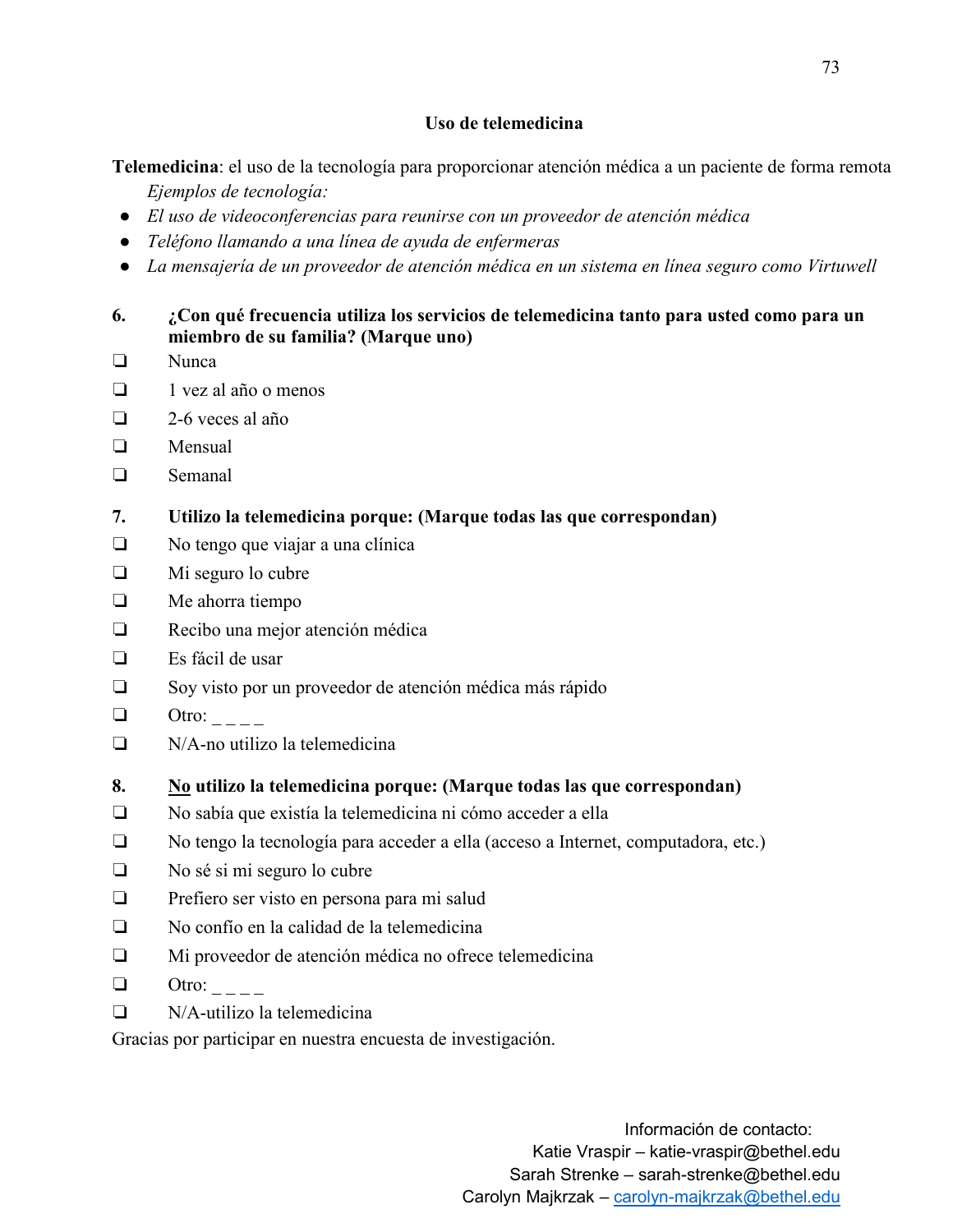### **Uso de telemedicina**

**Telemedicina**: el uso de la tecnología para proporcionar atención médica a un paciente de forma remota *Ejemplos de tecnología:* 

- *El uso de videoconferencias para reunirse con un proveedor de atención médica*
- *Teléfono llamando a una línea de ayuda de enfermeras*
- *La mensajería de un proveedor de atención médica en un sistema en línea seguro como Virtuwell*

# **6. ¿Con qué frecuencia utiliza los servicios de telemedicina tanto para usted como para un miembro de su familia? (Marque uno)**

- ❏ Nunca
- ❏ 1 vez al año o menos
- ❏ 2-6 veces al año
- ❏ Mensual
- ❏ Semanal
- **7. Utilizo la telemedicina porque: (Marque todas las que correspondan)**
- ❏ No tengo que viajar a una clínica
- ❏ Mi seguro lo cubre
- ❏ Me ahorra tiempo
- ❏ Recibo una mejor atención médica
- ❏ Es fácil de usar
- ❏ Soy visto por un proveedor de atención médica más rápido
- $\Box$  Otro:  $\Box$
- ❏ N/A-no utilizo la telemedicina
- **8. No utilizo la telemedicina porque: (Marque todas las que correspondan)**
- ❏ No sabía que existía la telemedicina ni cómo acceder a ella
- ❏ No tengo la tecnología para acceder a ella (acceso a Internet, computadora, etc.)
- ❏ No sé si mi seguro lo cubre
- ❏ Prefiero ser visto en persona para mi salud
- ❏ No confío en la calidad de la telemedicina
- ❏ Mi proveedor de atención médica no ofrece telemedicina
- $\Box$  Otro:
- ❏ N/A-utilizo la telemedicina

Gracias por participar en nuestra encuesta de investigación.

Información de contacto: Katie Vraspir – katie-vraspir@bethel.edu Sarah Strenke – sarah-strenke@bethel.edu Carolyn Majkrzak – carolyn-majkrzak@bethel.edu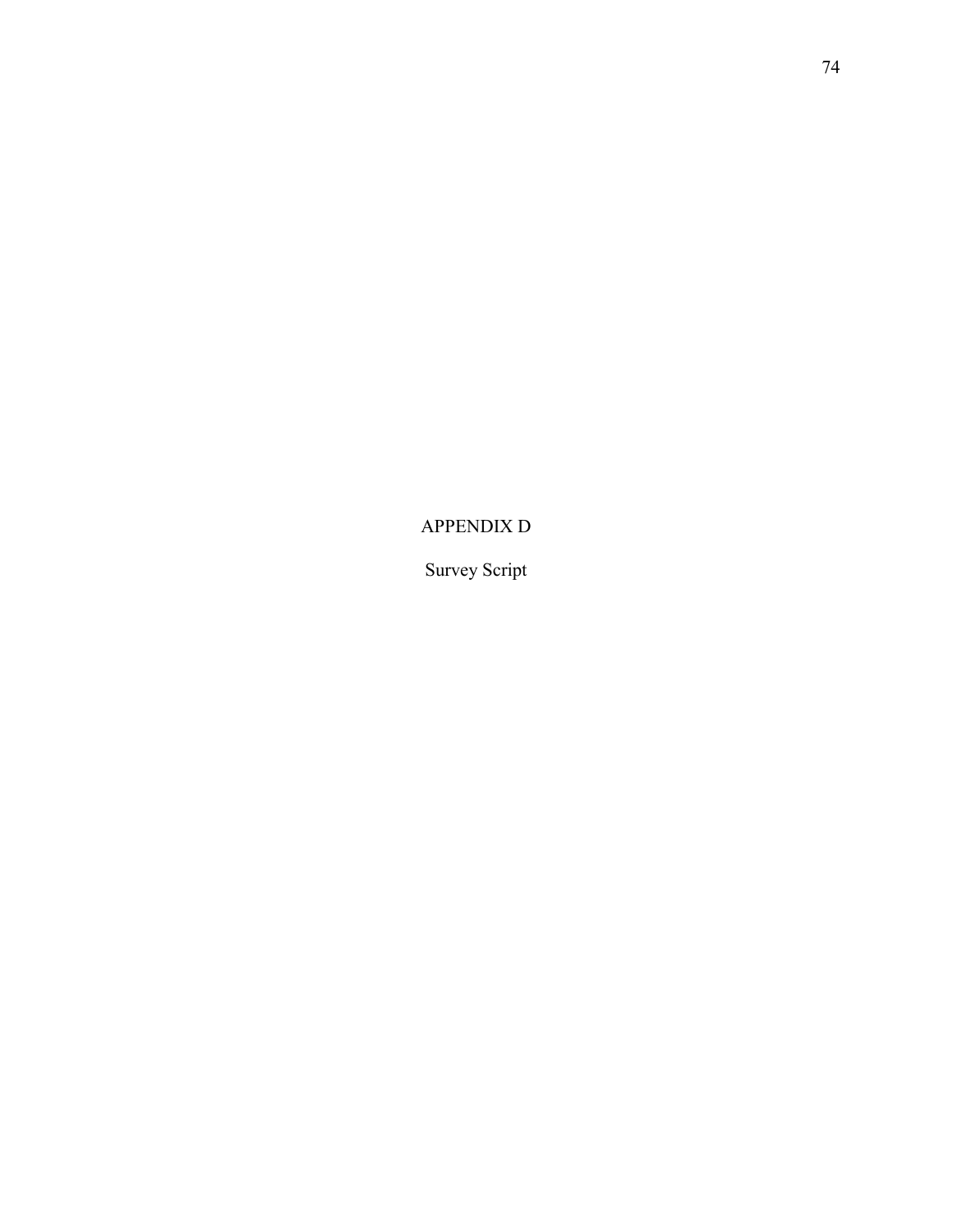APPENDIX D

Survey Script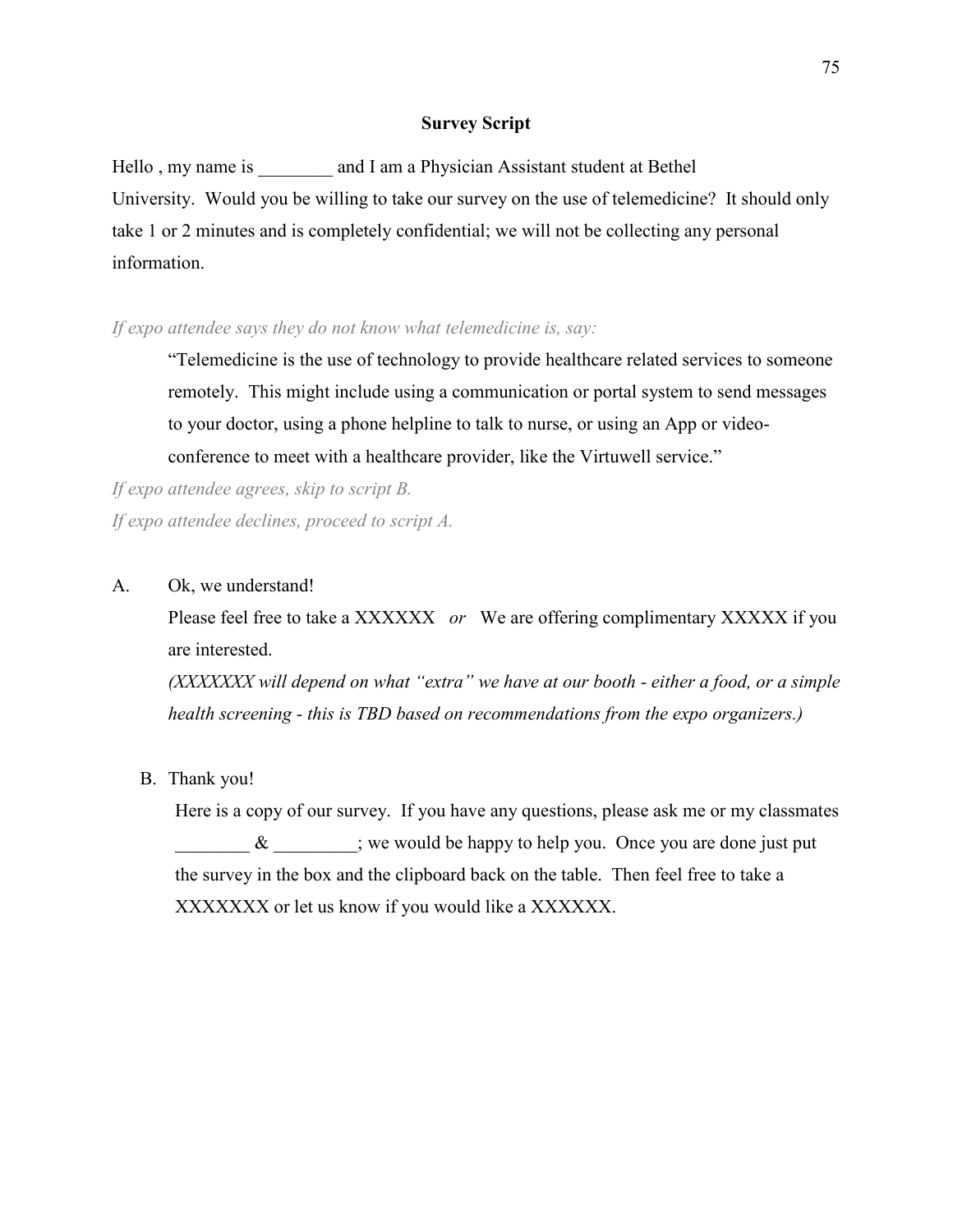#### **Survey Script**

Hello, my name is and I am a Physician Assistant student at Bethel University. Would you be willing to take our survey on the use of telemedicine? It should only take 1 or 2 minutes and is completely confidential; we will not be collecting any personal information.

#### *If expo attendee says they do not know what telemedicine is, say:*

"Telemedicine is the use of technology to provide healthcare related services to someone remotely. This might include using a communication or portal system to send messages to your doctor, using a phone helpline to talk to nurse, or using an App or videoconference to meet with a healthcare provider, like the Virtuwell service."

*If expo attendee agrees, skip to script B. If expo attendee declines, proceed to script A.*

A. Ok, we understand!

Please feel free to take a XXXXXX *or* We are offering complimentary XXXXX if you are interested.

*(XXXXXXX will depend on what "extra" we have at our booth - either a food, or a simple health screening - this is TBD based on recommendations from the expo organizers.)*

B. Thank you!

Here is a copy of our survey. If you have any questions, please ask me or my classmates  $\&$  ; we would be happy to help you. Once you are done just put the survey in the box and the clipboard back on the table. Then feel free to take a XXXXXXX or let us know if you would like a XXXXXX.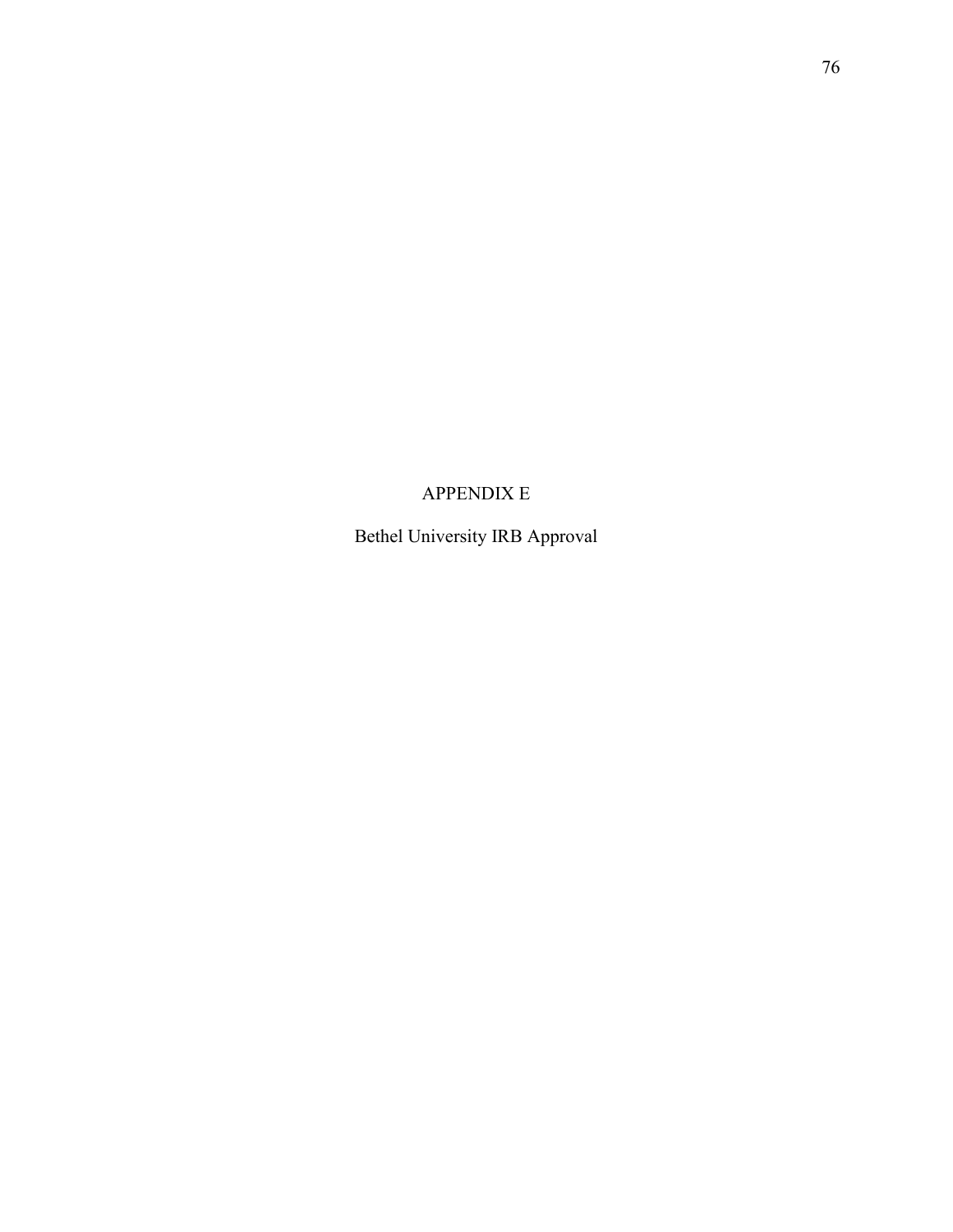# APPENDIX E

Bethel University IRB Approval